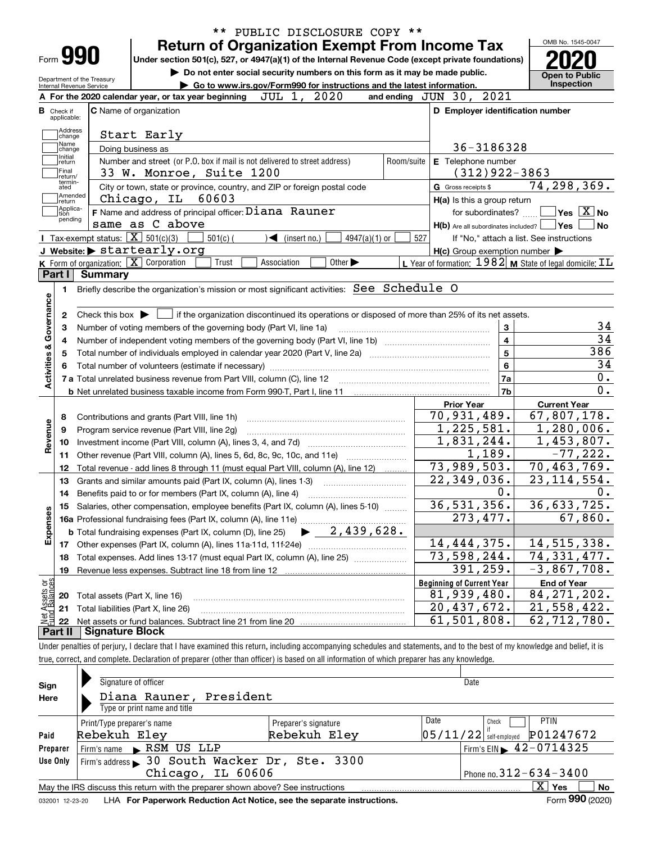|                                                        | <b>Return of Organization Exempt From Income Tax</b><br>Form 990<br>Under section 501(c), 527, or 4947(a)(1) of the Internal Revenue Code (except private foundations) |            |                                                                    |    |                                                                                                                                                                     |
|--------------------------------------------------------|------------------------------------------------------------------------------------------------------------------------------------------------------------------------|------------|--------------------------------------------------------------------|----|---------------------------------------------------------------------------------------------------------------------------------------------------------------------|
|                                                        | Do not enter social security numbers on this form as it may be made public.                                                                                            |            |                                                                    |    |                                                                                                                                                                     |
| Department of the Treasury<br>Internal Revenue Service | Go to www.irs.gov/Form990 for instructions and the latest information.                                                                                                 |            |                                                                    |    | <b>Open to Public</b><br>Inspection                                                                                                                                 |
|                                                        | JUL 1, 2020<br>A For the 2020 calendar year, or tax year beginning                                                                                                     |            | and ending JUN 30, 2021                                            |    |                                                                                                                                                                     |
| <b>B</b> Check if<br>applicable:                       | <b>C</b> Name of organization                                                                                                                                          |            | D Employer identification number                                   |    |                                                                                                                                                                     |
| Address                                                |                                                                                                                                                                        |            |                                                                    |    |                                                                                                                                                                     |
| change<br>Name                                         | Start Early                                                                                                                                                            |            |                                                                    |    |                                                                                                                                                                     |
| change<br>  Initial                                    | Doing business as                                                                                                                                                      |            | 36-3186328                                                         |    |                                                                                                                                                                     |
| return<br> Final                                       | Number and street (or P.O. box if mail is not delivered to street address)                                                                                             | Room/suite | E Telephone number                                                 |    |                                                                                                                                                                     |
| return/<br>termin-                                     | 33 W. Monroe, Suite 1200                                                                                                                                               |            | $(312)922 - 3863$                                                  |    |                                                                                                                                                                     |
| ated<br>Amended                                        | City or town, state or province, country, and ZIP or foreign postal code                                                                                               |            | G Gross receipts \$                                                |    | 74,298,369.                                                                                                                                                         |
| return<br>Applica-                                     | Chicago, IL 60603                                                                                                                                                      |            | H(a) Is this a group return                                        |    |                                                                                                                                                                     |
| tion<br>pending                                        | F Name and address of principal officer: Diana Rauner<br>same as C above                                                                                               |            | for subordinates?                                                  |    | $\blacksquare$ Yes $\boxed{\text{X}}$ No                                                                                                                            |
|                                                        | Tax-exempt status: $\boxed{\mathbf{X}}$ 501(c)(3)<br>4947(a)(1) or<br>$501(c)$ (<br>$\sqrt{\frac{1}{1}}$ (insert no.)                                                  |            | $H(b)$ Are all subordinates included? $\Box$ Yes                   |    |                                                                                                                                                                     |
|                                                        | J Website: Startearly.org                                                                                                                                              | 527        | $H(c)$ Group exemption number $\blacktriangleright$                |    | If "No," attach a list. See instructions                                                                                                                            |
|                                                        | K Form of organization: X Corporation<br>Other $\blacktriangleright$<br>Trust<br>Association                                                                           |            | L Year of formation: $1982$ M State of legal domicile: $\text{IL}$ |    |                                                                                                                                                                     |
| Part $\vert \vert$                                     | <b>Summary</b>                                                                                                                                                         |            |                                                                    |    |                                                                                                                                                                     |
|                                                        |                                                                                                                                                                        |            |                                                                    |    |                                                                                                                                                                     |
| 1.                                                     | Briefly describe the organization's mission or most significant activities: See Schedule O                                                                             |            |                                                                    |    |                                                                                                                                                                     |
|                                                        |                                                                                                                                                                        |            |                                                                    |    |                                                                                                                                                                     |
| Governance<br>2                                        | Check this box $\blacktriangleright$ $\Box$ if the organization discontinued its operations or disposed of more than 25% of its net assets.                            |            |                                                                    |    |                                                                                                                                                                     |
| з                                                      | Number of voting members of the governing body (Part VI, line 1a)                                                                                                      |            |                                                                    | 3  |                                                                                                                                                                     |
| 4                                                      |                                                                                                                                                                        |            |                                                                    | 4  |                                                                                                                                                                     |
| 5                                                      |                                                                                                                                                                        |            |                                                                    | 5  | 386                                                                                                                                                                 |
| 6                                                      |                                                                                                                                                                        |            |                                                                    | 6  |                                                                                                                                                                     |
| <b>Activities &amp;</b>                                | 7 a Total unrelated business revenue from Part VIII, column (C), line 12                                                                                               |            |                                                                    | 7a |                                                                                                                                                                     |
|                                                        | b Net unrelated business taxable income from Form 990-T, Part I, line 11                                                                                               |            |                                                                    | 7b |                                                                                                                                                                     |
|                                                        |                                                                                                                                                                        |            | <b>Prior Year</b>                                                  |    | <b>Current Year</b>                                                                                                                                                 |
| 8                                                      | Contributions and grants (Part VIII, line 1h)                                                                                                                          |            | 70,931,489.                                                        |    | 67,807,178.                                                                                                                                                         |
| 9                                                      | Program service revenue (Part VIII, line 2g)                                                                                                                           |            | 1,225,581.                                                         |    | 1,280,006.                                                                                                                                                          |
| Revenue<br>10                                          |                                                                                                                                                                        |            | 1,831,244.                                                         |    |                                                                                                                                                                     |
|                                                        | Other revenue (Part VIII, column (A), lines 5, 6d, 8c, 9c, 10c, and 11e)                                                                                               |            |                                                                    |    |                                                                                                                                                                     |
| 11                                                     |                                                                                                                                                                        |            | 1,189.                                                             |    |                                                                                                                                                                     |
| 12                                                     | Total revenue - add lines 8 through 11 (must equal Part VIII, column (A), line 12)                                                                                     |            | 73,989,503.                                                        |    |                                                                                                                                                                     |
| 13                                                     | Grants and similar amounts paid (Part IX, column (A), lines 1-3)                                                                                                       |            | 22,349,036.                                                        |    |                                                                                                                                                                     |
| 14                                                     |                                                                                                                                                                        |            | 0.                                                                 |    |                                                                                                                                                                     |
|                                                        | Benefits paid to or for members (Part IX, column (A), line 4)                                                                                                          |            |                                                                    |    |                                                                                                                                                                     |
| 15                                                     | Salaries, other compensation, employee benefits (Part IX, column (A), lines 5-10)                                                                                      |            | 36, 531, 356.<br>273,477.                                          |    |                                                                                                                                                                     |
|                                                        |                                                                                                                                                                        |            |                                                                    |    |                                                                                                                                                                     |
|                                                        |                                                                                                                                                                        |            |                                                                    |    |                                                                                                                                                                     |
| 17                                                     |                                                                                                                                                                        |            | 14,444,375.                                                        |    |                                                                                                                                                                     |
| 18                                                     | Total expenses. Add lines 13-17 (must equal Part IX, column (A), line 25)                                                                                              |            | 73,598,244.                                                        |    |                                                                                                                                                                     |
| Expenses<br>19                                         |                                                                                                                                                                        |            | 391, 259.                                                          |    |                                                                                                                                                                     |
|                                                        |                                                                                                                                                                        |            | <b>Beginning of Current Year</b>                                   |    | <b>End of Year</b>                                                                                                                                                  |
| 20                                                     | Total assets (Part X, line 16)                                                                                                                                         |            | 81,939,480.                                                        |    |                                                                                                                                                                     |
| 21                                                     | Total liabilities (Part X, line 26)                                                                                                                                    |            | 20,437,672.                                                        |    | 1,453,807.<br>$-77,222.$<br>70,463,769.<br>23, 114, 554.<br>36,633,725.<br>67,860.<br>14,515,338.<br>74, 331, 477.<br>$-3,867,708.$<br>84, 271, 202.<br>21,558,422. |
| Net Assets or<br>Fund Balances<br>22<br>Part II        | <b>Signature Block</b>                                                                                                                                                 |            | 61,501,808.                                                        |    | 62,712,780.                                                                                                                                                         |

| Sign     | Signature of officer                                                            |                      | Date                                        |  |  |  |  |  |  |  |  |
|----------|---------------------------------------------------------------------------------|----------------------|---------------------------------------------|--|--|--|--|--|--|--|--|
| Here     | Diana Rauner, President                                                         |                      |                                             |  |  |  |  |  |  |  |  |
|          | Type or print name and title                                                    |                      |                                             |  |  |  |  |  |  |  |  |
|          | Print/Type preparer's name                                                      | Preparer's signature | Date<br><b>PTIN</b><br>Check                |  |  |  |  |  |  |  |  |
| Paid     | Rebekuh Eley                                                                    | Rebekuh Eley         | P01247672<br>$ 05/11/22 $ self-employed     |  |  |  |  |  |  |  |  |
| Preparer | Firm's name RSM US LLP                                                          |                      | Firm's EIN $\blacktriangleright$ 42-0714325 |  |  |  |  |  |  |  |  |
| Use Only | Firm's address 30 South Wacker Dr, Ste. 3300                                    |                      |                                             |  |  |  |  |  |  |  |  |
|          | Chicago, IL 60606<br>Phone no. $312 - 634 - 3400$                               |                      |                                             |  |  |  |  |  |  |  |  |
|          | May the IRS discuss this return with the preparer shown above? See instructions |                      | ΧI<br><b>No</b><br>Yes                      |  |  |  |  |  |  |  |  |
|          |                                                                                 |                      | $\mathbf{a}\mathbf{a}\mathbf{a}$            |  |  |  |  |  |  |  |  |

032001 12-23-20 LHA **For Paperwork Reduction Act Notice, see the separate instructions.** Form 990 (2020)

**990**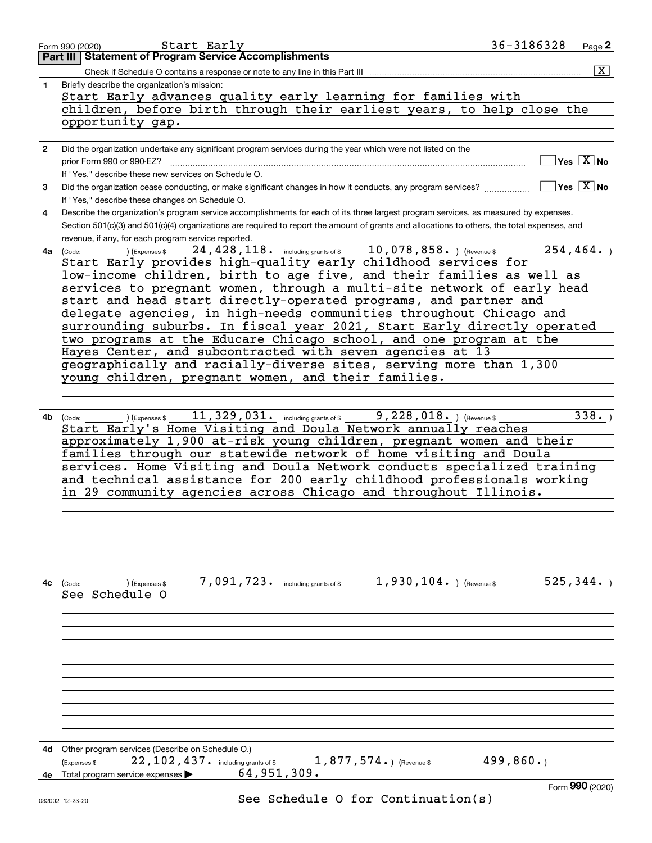|              | Start Early<br>Form 990 (2020)                                                                                                                  | 36-3186328                | Page 2                                    |
|--------------|-------------------------------------------------------------------------------------------------------------------------------------------------|---------------------------|-------------------------------------------|
|              | <b>Part III Statement of Program Service Accomplishments</b>                                                                                    |                           |                                           |
|              | Check if Schedule O contains a response or note to any line in this Part III                                                                    |                           | $\lfloor x \rfloor$                       |
| $\mathbf{1}$ | Briefly describe the organization's mission:                                                                                                    |                           |                                           |
|              | Start Early advances quality early learning for families with                                                                                   |                           |                                           |
|              | children, before birth through their earliest years, to help close the<br>opportunity gap.                                                      |                           |                                           |
|              |                                                                                                                                                 |                           |                                           |
| $\mathbf{2}$ | Did the organization undertake any significant program services during the year which were not listed on the                                    |                           |                                           |
|              | prior Form 990 or 990-EZ?                                                                                                                       |                           | $\overline{\ }$ Yes $\overline{\rm X}$ No |
|              | If "Yes," describe these new services on Schedule O.                                                                                            |                           |                                           |
| 3            | Did the organization cease conducting, or make significant changes in how it conducts, any program services?                                    | $\Box$ Yes $\Box X \,$ No |                                           |
|              | If "Yes," describe these changes on Schedule O.                                                                                                 |                           |                                           |
| 4            | Describe the organization's program service accomplishments for each of its three largest program services, as measured by expenses.            |                           |                                           |
|              | Section 501(c)(3) and 501(c)(4) organizations are required to report the amount of grants and allocations to others, the total expenses, and    |                           |                                           |
|              | revenue, if any, for each program service reported.                                                                                             |                           |                                           |
|              | 24, 428, 118. including grants of \$ 10, 078, 858. ) (Revenue \$<br><b>4a</b> (Code: ) (Expenses \$                                             | $\overline{254, 464}$ .   |                                           |
|              | Start Early provides high-quality early childhood services for                                                                                  |                           |                                           |
|              | low-income children, birth to age five, and their families as well as<br>services to pregnant women, through a multi-site network of early head |                           |                                           |
|              | start and head start directly-operated programs, and partner and                                                                                |                           |                                           |
|              | delegate agencies, in high-needs communities throughout Chicago and                                                                             |                           |                                           |
|              | surrounding suburbs. In fiscal year 2021, Start Early directly operated                                                                         |                           |                                           |
|              | two programs at the Educare Chicago school, and one program at the                                                                              |                           |                                           |
|              | Hayes Center, and subcontracted with seven agencies at 13                                                                                       |                           |                                           |
|              | geographically and racially-diverse sites, serving more than 1,300                                                                              |                           |                                           |
|              | young children, pregnant women, and their families.                                                                                             |                           |                                           |
|              |                                                                                                                                                 |                           |                                           |
|              |                                                                                                                                                 |                           |                                           |
| 4b           | (Code: ________________) (Expenses \$ ________11, 329, 031. including grants of \$ _______9, $\overline{228}$ , $018.$ ) (Revenue \$ _          |                           | 338.                                      |
|              | Start Early's Home Visiting and Doula Network annually reaches                                                                                  |                           |                                           |
|              | approximately 1,900 at-risk young children, pregnant women and their                                                                            |                           |                                           |
|              | families through our statewide network of home visiting and Doula<br>services. Home Visiting and Doula Network conducts specialized training    |                           |                                           |
|              | and technical assistance for 200 early childhood professionals working                                                                          |                           |                                           |
|              | in 29 community agencies across Chicago and throughout Illinois.                                                                                |                           |                                           |
|              |                                                                                                                                                 |                           |                                           |
|              |                                                                                                                                                 |                           |                                           |
|              |                                                                                                                                                 |                           |                                           |
|              |                                                                                                                                                 |                           |                                           |
|              |                                                                                                                                                 |                           |                                           |
|              |                                                                                                                                                 |                           |                                           |
| 4с           | $1,930,104.$ (Revenue \$<br>$7,091,723$ and $1$ including grants of \$<br>(Expenses \$<br>(Code:                                                | 525, 344.                 |                                           |
|              | See Schedule O                                                                                                                                  |                           |                                           |
|              |                                                                                                                                                 |                           |                                           |
|              |                                                                                                                                                 |                           |                                           |
|              |                                                                                                                                                 |                           |                                           |
|              |                                                                                                                                                 |                           |                                           |
|              |                                                                                                                                                 |                           |                                           |
|              |                                                                                                                                                 |                           |                                           |
|              |                                                                                                                                                 |                           |                                           |
|              |                                                                                                                                                 |                           |                                           |
|              |                                                                                                                                                 |                           |                                           |
|              |                                                                                                                                                 |                           |                                           |
| 4d           | Other program services (Describe on Schedule O.)                                                                                                |                           |                                           |
|              | 22, 102, 437. including grants of \$<br>$1,877,574.$ (Revenue \$<br>(Expenses \$                                                                | 499,860.                  |                                           |
| 4е           | 64, 951, 309.<br>Total program service expenses                                                                                                 |                           | Form 990 (2020)                           |
|              |                                                                                                                                                 |                           |                                           |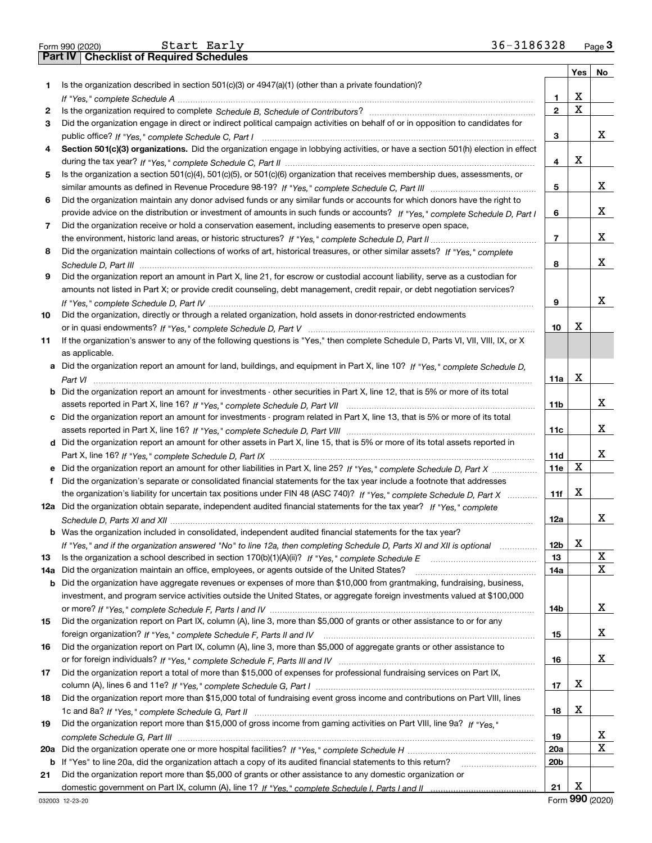|     | Start Early<br>Form 990 (2020)                                                                                                                                          | 36-3186328      |     | Page $3$ |
|-----|-------------------------------------------------------------------------------------------------------------------------------------------------------------------------|-----------------|-----|----------|
|     | <b>Checklist of Required Schedules</b><br>Part IV                                                                                                                       |                 |     |          |
|     |                                                                                                                                                                         |                 | Yes | No       |
| 1.  | Is the organization described in section $501(c)(3)$ or $4947(a)(1)$ (other than a private foundation)?                                                                 |                 |     |          |
|     |                                                                                                                                                                         | 1.              | х   |          |
| 2   | Is the organization required to complete Schedule B, Schedule of Contributors? [11] [11] Is the organization required to complete Schedule B, Schedule of Contributors? | $\mathbf{2}$    | X   |          |
| 3   | Did the organization engage in direct or indirect political campaign activities on behalf of or in opposition to candidates for                                         |                 |     |          |
|     |                                                                                                                                                                         | 3               |     | x        |
|     |                                                                                                                                                                         |                 |     |          |
| 4   | Section 501(c)(3) organizations. Did the organization engage in lobbying activities, or have a section 501(h) election in effect                                        |                 |     |          |
|     |                                                                                                                                                                         | 4               | х   |          |
| 5   | Is the organization a section 501(c)(4), 501(c)(5), or 501(c)(6) organization that receives membership dues, assessments, or                                            |                 |     |          |
|     |                                                                                                                                                                         | 5               |     | x        |
| 6   | Did the organization maintain any donor advised funds or any similar funds or accounts for which donors have the right to                                               |                 |     |          |
|     | provide advice on the distribution or investment of amounts in such funds or accounts? If "Yes," complete Schedule D, Part I                                            | 6               |     | x        |
| 7   | Did the organization receive or hold a conservation easement, including easements to preserve open space,                                                               |                 |     |          |
|     |                                                                                                                                                                         | $\overline{7}$  |     | x        |
| 8   | Did the organization maintain collections of works of art, historical treasures, or other similar assets? If "Yes," complete                                            |                 |     |          |
|     |                                                                                                                                                                         | 8               |     | x        |
| 9   | Did the organization report an amount in Part X, line 21, for escrow or custodial account liability, serve as a custodian for                                           |                 |     |          |
|     | amounts not listed in Part X; or provide credit counseling, debt management, credit repair, or debt negotiation services?                                               |                 |     |          |
|     |                                                                                                                                                                         | 9               |     | x        |
| 10  |                                                                                                                                                                         |                 |     |          |
|     | Did the organization, directly or through a related organization, hold assets in donor-restricted endowments                                                            |                 | х   |          |
|     |                                                                                                                                                                         | 10              |     |          |
| 11  | If the organization's answer to any of the following questions is "Yes," then complete Schedule D, Parts VI, VII, VIII, IX, or X                                        |                 |     |          |
|     | as applicable.                                                                                                                                                          |                 |     |          |
| а   | Did the organization report an amount for land, buildings, and equipment in Part X, line 10? If "Yes," complete Schedule D.                                             |                 |     |          |
|     |                                                                                                                                                                         | 11a             | х   |          |
|     | Did the organization report an amount for investments - other securities in Part X, line 12, that is 5% or more of its total                                            |                 |     |          |
|     |                                                                                                                                                                         | 11 <sub>b</sub> |     | х        |
| c   | Did the organization report an amount for investments - program related in Part X, line 13, that is 5% or more of its total                                             |                 |     |          |
|     |                                                                                                                                                                         | 11c             |     | х        |
|     | d Did the organization report an amount for other assets in Part X, line 15, that is 5% or more of its total assets reported in                                         |                 |     |          |
|     |                                                                                                                                                                         | 11d             |     | x        |
|     |                                                                                                                                                                         | 11e             | X   |          |
| f   |                                                                                                                                                                         |                 |     |          |
|     | Did the organization's separate or consolidated financial statements for the tax year include a footnote that addresses                                                 |                 | X   |          |
|     | the organization's liability for uncertain tax positions under FIN 48 (ASC 740)? If "Yes," complete Schedule D, Part X                                                  | 11f             |     |          |
|     | 12a Did the organization obtain separate, independent audited financial statements for the tax year? If "Yes." complete                                                 |                 |     |          |
|     |                                                                                                                                                                         | 12a             |     | ∡⊾       |
|     | <b>b</b> Was the organization included in consolidated, independent audited financial statements for the tax year?                                                      |                 |     |          |
|     | If "Yes," and if the organization answered "No" to line 12a, then completing Schedule D, Parts XI and XII is optional manum                                             | 12b             | х   |          |
| 13  |                                                                                                                                                                         | 13              |     | X        |
| 14a | Did the organization maintain an office, employees, or agents outside of the United States?                                                                             | 14a             |     | X        |
| b   | Did the organization have aggregate revenues or expenses of more than \$10,000 from grantmaking, fundraising, business,                                                 |                 |     |          |
|     | investment, and program service activities outside the United States, or aggregate foreign investments valued at \$100,000                                              |                 |     |          |
|     |                                                                                                                                                                         | 14b             |     | х        |
| 15  | Did the organization report on Part IX, column (A), line 3, more than \$5,000 of grants or other assistance to or for any                                               |                 |     |          |
|     |                                                                                                                                                                         | 15              |     | х        |
| 16  | Did the organization report on Part IX, column (A), line 3, more than \$5,000 of aggregate grants or other assistance to                                                |                 |     |          |
|     |                                                                                                                                                                         | 16              |     | х        |
|     |                                                                                                                                                                         |                 |     |          |
| 17  | Did the organization report a total of more than \$15,000 of expenses for professional fundraising services on Part IX,                                                 |                 |     |          |
|     |                                                                                                                                                                         | 17              | x   |          |
| 18  | Did the organization report more than \$15,000 total of fundraising event gross income and contributions on Part VIII, lines                                            |                 |     |          |
|     |                                                                                                                                                                         | 18              | x   |          |
| 19  | Did the organization report more than \$15,000 of gross income from gaming activities on Part VIII, line 9a? If "Yes."                                                  |                 |     |          |
|     |                                                                                                                                                                         | 19              |     | x        |
| 20a |                                                                                                                                                                         | 20a             |     | X        |
| b   | If "Yes" to line 20a, did the organization attach a copy of its audited financial statements to this return?                                                            | 20 <sub>b</sub> |     |          |
| 21  | Did the organization report more than \$5,000 of grants or other assistance to any domestic organization or                                                             |                 |     |          |
|     |                                                                                                                                                                         | 21              | X   |          |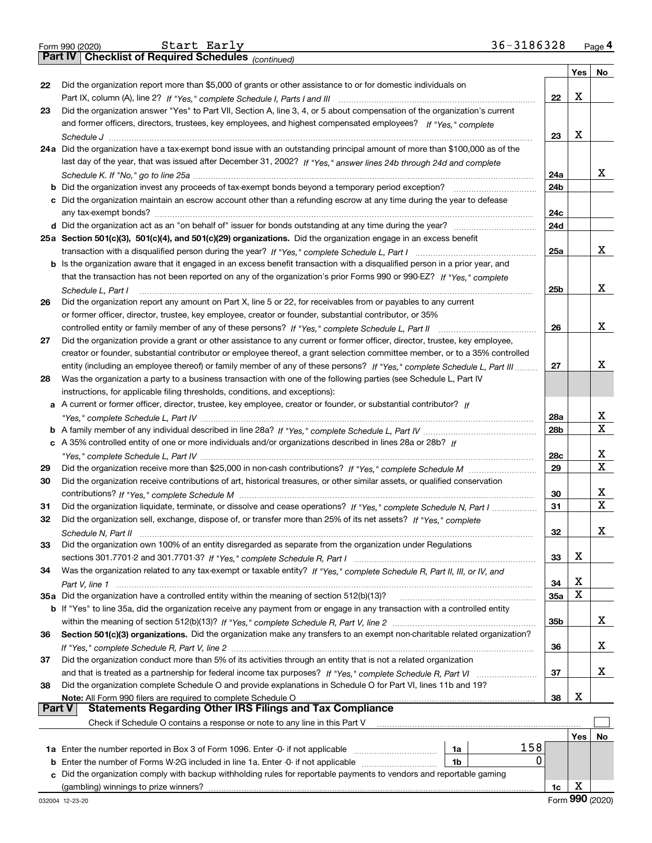|  | Form 990 (2020) |  |
|--|-----------------|--|
|  |                 |  |

Form 990 (2020) Page **4Part IV Checklist of Required Schedules** Start Early 36-3186328

*(continued)*

|               |                                                                                                                              |                 | Yes | No          |
|---------------|------------------------------------------------------------------------------------------------------------------------------|-----------------|-----|-------------|
| 22            | Did the organization report more than \$5,000 of grants or other assistance to or for domestic individuals on                |                 |     |             |
|               |                                                                                                                              | 22              | х   |             |
| 23            | Did the organization answer "Yes" to Part VII, Section A, line 3, 4, or 5 about compensation of the organization's current   |                 |     |             |
|               | and former officers, directors, trustees, key employees, and highest compensated employees? If "Yes," complete               |                 |     |             |
|               |                                                                                                                              | 23              | Χ   |             |
|               | 24a Did the organization have a tax-exempt bond issue with an outstanding principal amount of more than \$100,000 as of the  |                 |     |             |
|               | last day of the year, that was issued after December 31, 2002? If "Yes," answer lines 24b through 24d and complete           |                 |     |             |
|               |                                                                                                                              | 24a             |     | x           |
|               |                                                                                                                              | 24 <sub>b</sub> |     |             |
|               | c Did the organization maintain an escrow account other than a refunding escrow at any time during the year to defease       |                 |     |             |
|               |                                                                                                                              | 24c             |     |             |
|               |                                                                                                                              | 24d             |     |             |
|               | 25a Section 501(c)(3), 501(c)(4), and 501(c)(29) organizations. Did the organization engage in an excess benefit             |                 |     |             |
|               |                                                                                                                              | 25a             |     | x           |
|               | b Is the organization aware that it engaged in an excess benefit transaction with a disqualified person in a prior year, and |                 |     |             |
|               | that the transaction has not been reported on any of the organization's prior Forms 990 or 990-EZ? If "Yes," complete        |                 |     |             |
|               | Schedule L. Part I                                                                                                           | 25b             |     | x           |
| 26            | Did the organization report any amount on Part X, line 5 or 22, for receivables from or payables to any current              |                 |     |             |
|               | or former officer, director, trustee, key employee, creator or founder, substantial contributor, or 35%                      |                 |     |             |
|               | controlled entity or family member of any of these persons? If "Yes," complete Schedule L, Part II                           | 26              |     | x           |
| 27            | Did the organization provide a grant or other assistance to any current or former officer, director, trustee, key employee,  |                 |     |             |
|               | creator or founder, substantial contributor or employee thereof, a grant selection committee member, or to a 35% controlled  |                 |     |             |
|               | entity (including an employee thereof) or family member of any of these persons? If "Yes." complete Schedule L. Part III     | 27              |     | х           |
| 28            | Was the organization a party to a business transaction with one of the following parties (see Schedule L, Part IV            |                 |     |             |
|               | instructions, for applicable filing thresholds, conditions, and exceptions):                                                 |                 |     |             |
| а             | A current or former officer, director, trustee, key employee, creator or founder, or substantial contributor? If             |                 |     |             |
|               |                                                                                                                              | 28a             |     | х           |
|               |                                                                                                                              | 28b             |     | $\mathbf X$ |
|               | c A 35% controlled entity of one or more individuals and/or organizations described in lines 28a or 28b? If                  |                 |     |             |
|               |                                                                                                                              | 28c             |     | х           |
| 29            |                                                                                                                              | 29              |     | х           |
| 30            | Did the organization receive contributions of art, historical treasures, or other similar assets, or qualified conservation  |                 |     |             |
|               |                                                                                                                              | 30              |     | х           |
| 31            | Did the organization liquidate, terminate, or dissolve and cease operations? If "Yes," complete Schedule N, Part I           | 31              |     | X           |
| 32            | Did the organization sell, exchange, dispose of, or transfer more than 25% of its net assets? If "Yes," complete             |                 |     |             |
|               |                                                                                                                              | 32              |     | x           |
| 33            | Did the organization own 100% of an entity disregarded as separate from the organization under Regulations                   |                 |     |             |
|               |                                                                                                                              | 33              | х   |             |
| 34            | Was the organization related to any tax-exempt or taxable entity? If "Yes," complete Schedule R, Part II, III, or IV, and    |                 |     |             |
|               |                                                                                                                              | 34              | X   |             |
|               | 35a Did the organization have a controlled entity within the meaning of section 512(b)(13)?                                  | 35a             | X   |             |
|               | b If "Yes" to line 35a, did the organization receive any payment from or engage in any transaction with a controlled entity  |                 |     |             |
|               |                                                                                                                              | 35b             |     | x           |
| 36            | Section 501(c)(3) organizations. Did the organization make any transfers to an exempt non-charitable related organization?   |                 |     |             |
|               |                                                                                                                              | 36              |     | х           |
| 37            | Did the organization conduct more than 5% of its activities through an entity that is not a related organization             |                 |     |             |
|               |                                                                                                                              | 37              |     | x           |
| 38            | Did the organization complete Schedule O and provide explanations in Schedule O for Part VI, lines 11b and 19?               |                 |     |             |
| <b>Part V</b> | <b>Statements Regarding Other IRS Filings and Tax Compliance</b>                                                             | 38              | X   |             |
|               |                                                                                                                              |                 |     |             |
|               | Check if Schedule O contains a response or note to any line in this Part V                                                   |                 |     |             |
|               |                                                                                                                              |                 | Yes | No          |
|               | 158<br>1a Enter the number reported in Box 3 of Form 1096. Enter -0- if not applicable<br>1a                                 |                 |     |             |
| b             | 0<br>Enter the number of Forms W-2G included in line 1a. Enter -0- if not applicable<br>1b                                   |                 |     |             |
| c             | Did the organization comply with backup withholding rules for reportable payments to vendors and reportable gaming           |                 |     |             |
|               |                                                                                                                              | 1c              | X   |             |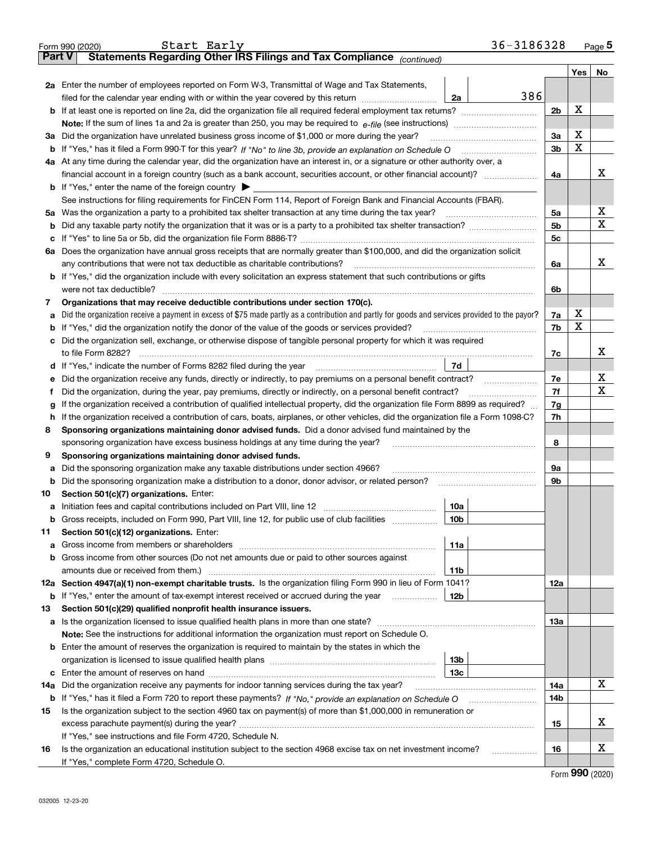|               | Start Early<br>Form 990 (2020)                                                                                                                  | 36-3186328      |                |     | $Page$ <sup>5</sup> |  |  |  |  |  |  |  |  |
|---------------|-------------------------------------------------------------------------------------------------------------------------------------------------|-----------------|----------------|-----|---------------------|--|--|--|--|--|--|--|--|
| <b>Part V</b> | Statements Regarding Other IRS Filings and Tax Compliance (continued)                                                                           |                 |                |     |                     |  |  |  |  |  |  |  |  |
|               |                                                                                                                                                 |                 |                | Yes | No                  |  |  |  |  |  |  |  |  |
|               | 2a Enter the number of employees reported on Form W-3, Transmittal of Wage and Tax Statements,                                                  |                 |                |     |                     |  |  |  |  |  |  |  |  |
|               | filed for the calendar year ending with or within the year covered by this return <i>manumumumum</i>                                            | 386<br>2a       |                |     |                     |  |  |  |  |  |  |  |  |
|               |                                                                                                                                                 |                 |                |     |                     |  |  |  |  |  |  |  |  |
|               |                                                                                                                                                 |                 |                |     |                     |  |  |  |  |  |  |  |  |
| За            | Did the organization have unrelated business gross income of \$1,000 or more during the year?                                                   |                 |                |     |                     |  |  |  |  |  |  |  |  |
|               |                                                                                                                                                 |                 |                |     |                     |  |  |  |  |  |  |  |  |
|               | 4a At any time during the calendar year, did the organization have an interest in, or a signature or other authority over, a                    |                 |                |     |                     |  |  |  |  |  |  |  |  |
|               | financial account in a foreign country (such as a bank account, securities account, or other financial account)?                                |                 | 4a             |     | х                   |  |  |  |  |  |  |  |  |
|               | <b>b</b> If "Yes," enter the name of the foreign country $\blacktriangleright$                                                                  |                 |                |     |                     |  |  |  |  |  |  |  |  |
|               | See instructions for filing requirements for FinCEN Form 114, Report of Foreign Bank and Financial Accounts (FBAR).                             |                 |                |     |                     |  |  |  |  |  |  |  |  |
| 5a            | Was the organization a party to a prohibited tax shelter transaction at any time during the tax year?                                           |                 | 5a             |     | х                   |  |  |  |  |  |  |  |  |
| b             |                                                                                                                                                 |                 | 5 <sub>b</sub> |     | х                   |  |  |  |  |  |  |  |  |
| с             |                                                                                                                                                 |                 | 5c             |     |                     |  |  |  |  |  |  |  |  |
|               | 6a Does the organization have annual gross receipts that are normally greater than \$100,000, and did the organization solicit                  |                 |                |     |                     |  |  |  |  |  |  |  |  |
|               | any contributions that were not tax deductible as charitable contributions?                                                                     |                 | 6a             |     | х                   |  |  |  |  |  |  |  |  |
|               | <b>b</b> If "Yes," did the organization include with every solicitation an express statement that such contributions or gifts                   |                 |                |     |                     |  |  |  |  |  |  |  |  |
|               | were not tax deductible?                                                                                                                        |                 | 6b             |     |                     |  |  |  |  |  |  |  |  |
| 7             | Organizations that may receive deductible contributions under section 170(c).                                                                   |                 |                |     |                     |  |  |  |  |  |  |  |  |
| а             | Did the organization receive a payment in excess of \$75 made partly as a contribution and partly for goods and services provided to the payor? |                 | 7a             | х   |                     |  |  |  |  |  |  |  |  |
| b             | If "Yes," did the organization notify the donor of the value of the goods or services provided?                                                 |                 | 7b             | х   |                     |  |  |  |  |  |  |  |  |
| с             | Did the organization sell, exchange, or otherwise dispose of tangible personal property for which it was required                               |                 |                |     |                     |  |  |  |  |  |  |  |  |
|               |                                                                                                                                                 |                 | 7c             |     | х                   |  |  |  |  |  |  |  |  |
|               | d If "Yes," indicate the number of Forms 8282 filed during the year [11,111] The Section of Holder and The Year                                 | 7d              |                |     |                     |  |  |  |  |  |  |  |  |
| е             |                                                                                                                                                 |                 | 7е             |     | х                   |  |  |  |  |  |  |  |  |
| f             | Did the organization, during the year, pay premiums, directly or indirectly, on a personal benefit contract?                                    |                 | 7f             |     | Χ                   |  |  |  |  |  |  |  |  |
| g             | If the organization received a contribution of qualified intellectual property, did the organization file Form 8899 as required?                |                 | 7g             |     |                     |  |  |  |  |  |  |  |  |
| h.            | If the organization received a contribution of cars, boats, airplanes, or other vehicles, did the organization file a Form 1098-C?              |                 | 7h             |     |                     |  |  |  |  |  |  |  |  |
| 8             | Sponsoring organizations maintaining donor advised funds. Did a donor advised fund maintained by the                                            |                 |                |     |                     |  |  |  |  |  |  |  |  |
|               | sponsoring organization have excess business holdings at any time during the year?                                                              |                 | 8              |     |                     |  |  |  |  |  |  |  |  |
| 9             | Sponsoring organizations maintaining donor advised funds.                                                                                       |                 |                |     |                     |  |  |  |  |  |  |  |  |
| а             | Did the sponsoring organization make any taxable distributions under section 4966?                                                              |                 | 9а             |     |                     |  |  |  |  |  |  |  |  |
| b             | Did the sponsoring organization make a distribution to a donor, donor advisor, or related person?                                               |                 | 9b             |     |                     |  |  |  |  |  |  |  |  |
| 10            | Section 501(c)(7) organizations. Enter:                                                                                                         |                 |                |     |                     |  |  |  |  |  |  |  |  |
|               |                                                                                                                                                 | 10a             |                |     |                     |  |  |  |  |  |  |  |  |
|               | Gross receipts, included on Form 990, Part VIII, line 12, for public use of club facilities                                                     | 10 <sub>b</sub> |                |     |                     |  |  |  |  |  |  |  |  |
| 11            | Section 501(c)(12) organizations. Enter:                                                                                                        |                 |                |     |                     |  |  |  |  |  |  |  |  |
| a             |                                                                                                                                                 | 11a             |                |     |                     |  |  |  |  |  |  |  |  |
|               | b Gross income from other sources (Do not net amounts due or paid to other sources against                                                      |                 |                |     |                     |  |  |  |  |  |  |  |  |
|               |                                                                                                                                                 | 11 <sub>b</sub> |                |     |                     |  |  |  |  |  |  |  |  |
|               | 12a Section 4947(a)(1) non-exempt charitable trusts. Is the organization filing Form 990 in lieu of Form 1041?                                  |                 | 12a            |     |                     |  |  |  |  |  |  |  |  |
|               | <b>b</b> If "Yes," enter the amount of tax-exempt interest received or accrued during the year <i>manument</i> of                               | 12 <sub>b</sub> |                |     |                     |  |  |  |  |  |  |  |  |
| 13            | Section 501(c)(29) qualified nonprofit health insurance issuers.                                                                                |                 |                |     |                     |  |  |  |  |  |  |  |  |
|               | a Is the organization licensed to issue qualified health plans in more than one state?                                                          |                 | 13а            |     |                     |  |  |  |  |  |  |  |  |
|               | Note: See the instructions for additional information the organization must report on Schedule O.                                               |                 |                |     |                     |  |  |  |  |  |  |  |  |
|               | <b>b</b> Enter the amount of reserves the organization is required to maintain by the states in which the                                       |                 |                |     |                     |  |  |  |  |  |  |  |  |
|               |                                                                                                                                                 | 13 <sub>b</sub> |                |     |                     |  |  |  |  |  |  |  |  |
|               |                                                                                                                                                 | 13c             |                |     |                     |  |  |  |  |  |  |  |  |
| 14a           | Did the organization receive any payments for indoor tanning services during the tax year?                                                      |                 | 14a            |     | x                   |  |  |  |  |  |  |  |  |
|               | <b>b</b> If "Yes," has it filed a Form 720 to report these payments? If "No," provide an explanation on Schedule O                              |                 | 14b            |     |                     |  |  |  |  |  |  |  |  |
| 15            | Is the organization subject to the section 4960 tax on payment(s) of more than \$1,000,000 in remuneration or                                   |                 |                |     |                     |  |  |  |  |  |  |  |  |
|               |                                                                                                                                                 |                 | 15             |     | x                   |  |  |  |  |  |  |  |  |
|               | If "Yes," see instructions and file Form 4720, Schedule N.                                                                                      |                 |                |     |                     |  |  |  |  |  |  |  |  |
| 16            | Is the organization an educational institution subject to the section 4968 excise tax on net investment income?                                 |                 | 16             |     | х                   |  |  |  |  |  |  |  |  |
|               | If "Yes," complete Form 4720, Schedule O.                                                                                                       |                 |                |     |                     |  |  |  |  |  |  |  |  |

Form (2020) **990**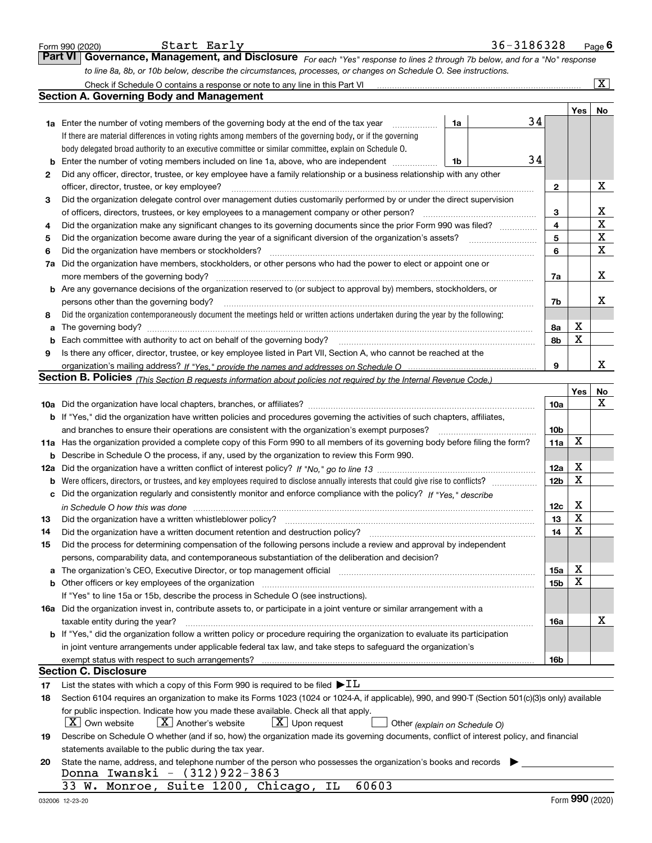|    | 36-3186328<br>Start Early<br>Form 990 (2020)                                                                                                                                                                                   |                 |                          | <u>Page</u> 6         |
|----|--------------------------------------------------------------------------------------------------------------------------------------------------------------------------------------------------------------------------------|-----------------|--------------------------|-----------------------|
|    | <b>Part VI</b><br>Governance, Management, and Disclosure For each "Yes" response to lines 2 through 7b below, and for a "No" response                                                                                          |                 |                          |                       |
|    | to line 8a, 8b, or 10b below, describe the circumstances, processes, or changes on Schedule O. See instructions.                                                                                                               |                 |                          |                       |
|    |                                                                                                                                                                                                                                |                 |                          | $\overline{\text{X}}$ |
|    | <b>Section A. Governing Body and Management</b>                                                                                                                                                                                |                 |                          |                       |
|    |                                                                                                                                                                                                                                |                 | Yes                      | No                    |
|    | 34<br><b>1a</b> Enter the number of voting members of the governing body at the end of the tax year<br>1a<br>.                                                                                                                 |                 |                          |                       |
|    | If there are material differences in voting rights among members of the governing body, or if the governing                                                                                                                    |                 |                          |                       |
|    | body delegated broad authority to an executive committee or similar committee, explain on Schedule O.                                                                                                                          |                 |                          |                       |
| b  | 34<br>Enter the number of voting members included on line 1a, above, who are independent<br>1b                                                                                                                                 |                 |                          |                       |
| 2  | Did any officer, director, trustee, or key employee have a family relationship or a business relationship with any other                                                                                                       |                 |                          |                       |
|    | officer, director, trustee, or key employee?                                                                                                                                                                                   | $\mathbf{2}$    |                          | х                     |
| З  | Did the organization delegate control over management duties customarily performed by or under the direct supervision                                                                                                          |                 |                          |                       |
|    | of officers, directors, trustees, or key employees to a management company or other person?                                                                                                                                    | 3               |                          | х                     |
| 4  | Did the organization make any significant changes to its governing documents since the prior Form 990 was filed?                                                                                                               | 4               |                          | X                     |
| 5  | Did the organization become aware during the year of a significant diversion of the organization's assets?                                                                                                                     | 5               |                          | X                     |
| 6  | Did the organization have members or stockholders?                                                                                                                                                                             | 6               |                          | х                     |
|    | 7a Did the organization have members, stockholders, or other persons who had the power to elect or appoint one or                                                                                                              |                 |                          |                       |
|    | more members of the governing body?                                                                                                                                                                                            | 7a              |                          | х                     |
|    | <b>b</b> Are any governance decisions of the organization reserved to (or subject to approval by) members, stockholders, or                                                                                                    |                 |                          |                       |
|    | persons other than the governing body?                                                                                                                                                                                         | 7b              |                          | х                     |
| 8  | Did the organization contemporaneously document the meetings held or written actions undertaken during the year by the following:                                                                                              |                 |                          |                       |
| a  | The governing body? [111] matter is a construction of the state of the state of the state of the state of the state of the state of the state of the state of the state of the state of the state of the state of the state of | 8a              | X<br>X                   |                       |
| b  | Each committee with authority to act on behalf of the governing body?                                                                                                                                                          | 8b              |                          |                       |
| 9  | Is there any officer, director, trustee, or key employee listed in Part VII, Section A, who cannot be reached at the                                                                                                           | 9               |                          | x                     |
|    |                                                                                                                                                                                                                                |                 |                          |                       |
|    | Section B. Policies (This Section B requests information about policies not required by the Internal Revenue Code.)                                                                                                            |                 | Yes                      | No                    |
|    |                                                                                                                                                                                                                                | 10a             |                          | x                     |
|    | <b>b</b> If "Yes," did the organization have written policies and procedures governing the activities of such chapters, affiliates,                                                                                            |                 |                          |                       |
|    | and branches to ensure their operations are consistent with the organization's exempt purposes?                                                                                                                                | 10 <sub>b</sub> |                          |                       |
|    | 11a Has the organization provided a complete copy of this Form 990 to all members of its governing body before filing the form?                                                                                                | 11a             | X                        |                       |
|    | <b>b</b> Describe in Schedule O the process, if any, used by the organization to review this Form 990.                                                                                                                         |                 |                          |                       |
|    |                                                                                                                                                                                                                                | 12a             | X                        |                       |
|    |                                                                                                                                                                                                                                | 12b             | X                        |                       |
|    | c Did the organization regularly and consistently monitor and enforce compliance with the policy? If "Yes," describe                                                                                                           |                 |                          |                       |
|    | in Schedule O how this was done manufactured and contain an according to the state of the state of the state o                                                                                                                 | 12c             | X                        |                       |
| 13 | Did the organization have a written whistleblower policy?                                                                                                                                                                      | 13              | Y                        |                       |
| 14 | Did the organization have a written document retention and destruction policy?                                                                                                                                                 | 14              | X                        |                       |
| 15 | Did the process for determining compensation of the following persons include a review and approval by independent                                                                                                             |                 |                          |                       |
|    | persons, comparability data, and contemporaneous substantiation of the deliberation and decision?                                                                                                                              |                 |                          |                       |
| а  | The organization's CEO, Executive Director, or top management official manufactured content of the organization's CEO, Executive Director, or top management official                                                          | <b>15a</b>      | X                        |                       |
|    |                                                                                                                                                                                                                                | 15b             | X                        |                       |
|    | If "Yes" to line 15a or 15b, describe the process in Schedule O (see instructions).                                                                                                                                            |                 |                          |                       |
|    | 16a Did the organization invest in, contribute assets to, or participate in a joint venture or similar arrangement with a                                                                                                      |                 |                          |                       |
|    | taxable entity during the year?                                                                                                                                                                                                | 16a             |                          | x                     |
|    | <b>b</b> If "Yes," did the organization follow a written policy or procedure requiring the organization to evaluate its participation                                                                                          |                 |                          |                       |
|    | in joint venture arrangements under applicable federal tax law, and take steps to safeguard the organization's                                                                                                                 |                 |                          |                       |
|    |                                                                                                                                                                                                                                | 16b             |                          |                       |
|    | <b>Section C. Disclosure</b>                                                                                                                                                                                                   |                 |                          |                       |
| 17 | List the states with which a copy of this Form 990 is required to be filed $\blacktriangleright$ IL                                                                                                                            |                 |                          |                       |
| 18 | Section 6104 requires an organization to make its Forms 1023 (1024 or 1024-A, if applicable), 990, and 990-T (Section 501(c)(3)s only) available                                                                               |                 |                          |                       |
|    | for public inspection. Indicate how you made these available. Check all that apply.                                                                                                                                            |                 |                          |                       |
|    | X   Own website<br>$X$ Another's website<br>$X$ Upon request<br>Other (explain on Schedule O)                                                                                                                                  |                 |                          |                       |
| 19 | Describe on Schedule O whether (and if so, how) the organization made its governing documents, conflict of interest policy, and financial                                                                                      |                 |                          |                       |
|    | statements available to the public during the tax year.                                                                                                                                                                        |                 |                          |                       |
| 20 | State the name, address, and telephone number of the person who possesses the organization's books and records                                                                                                                 |                 |                          |                       |
|    | Donna Iwanski - (312)922-3863<br>60603                                                                                                                                                                                         |                 |                          |                       |
|    | 33 W. Monroe, Suite 1200, Chicago,<br>ΙL                                                                                                                                                                                       |                 | $\overline{\phantom{a}}$ |                       |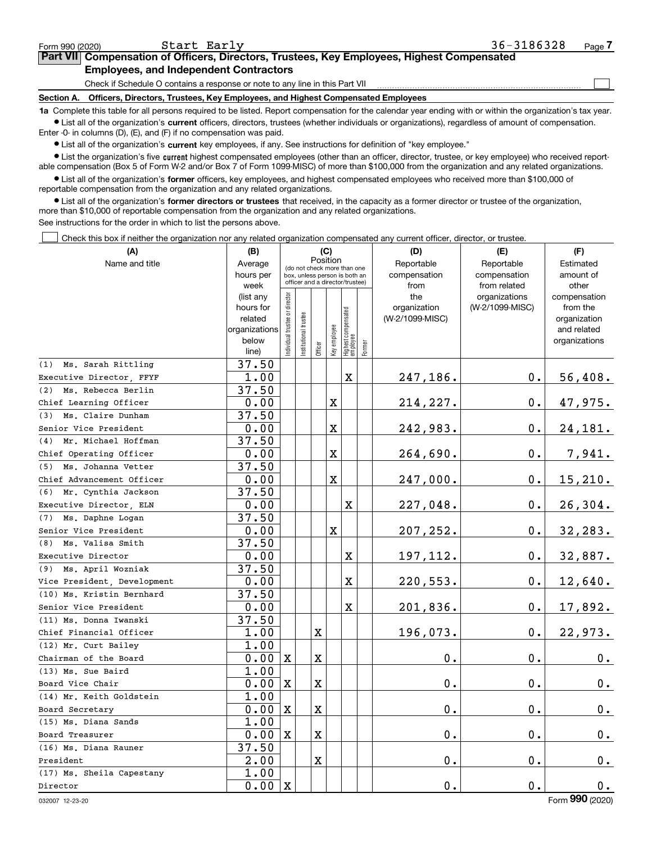Start Early

 $\mathcal{L}^{\text{max}}$ 

| orm 990 (2020) <sup>.</sup> | Start Early                                   |                                                                                            | 36-3186328 | Page <i>I</i> |
|-----------------------------|-----------------------------------------------|--------------------------------------------------------------------------------------------|------------|---------------|
|                             |                                               | Part VII Compensation of Officers, Directors, Trustees, Key Employees, Highest Compensated |            |               |
|                             | <b>Employees, and Independent Contractors</b> |                                                                                            |            |               |

Check if Schedule O contains a response or note to any line in this Part VII

**Section A. Officers, Directors, Trustees, Key Employees, and Highest Compensated Employees**

**1a**  Complete this table for all persons required to be listed. Report compensation for the calendar year ending with or within the organization's tax year. **•** List all of the organization's current officers, directors, trustees (whether individuals or organizations), regardless of amount of compensation.

Enter -0- in columns (D), (E), and (F) if no compensation was paid.

 $\bullet$  List all of the organization's  $\,$ current key employees, if any. See instructions for definition of "key employee."

**•** List the organization's five current highest compensated employees (other than an officer, director, trustee, or key employee) who received reportable compensation (Box 5 of Form W-2 and/or Box 7 of Form 1099-MISC) of more than \$100,000 from the organization and any related organizations.

**•** List all of the organization's former officers, key employees, and highest compensated employees who received more than \$100,000 of reportable compensation from the organization and any related organizations.

**former directors or trustees**  ¥ List all of the organization's that received, in the capacity as a former director or trustee of the organization, more than \$10,000 of reportable compensation from the organization and any related organizations.

See instructions for the order in which to list the persons above.

Check this box if neither the organization nor any related organization compensated any current officer, director, or trustee.  $\mathcal{L}^{\text{max}}$ 

| (A)                         | (B)               |                                         |                                                                  | (C)     |              |                                  |        | (D)             | (E)                           | (F)                   |
|-----------------------------|-------------------|-----------------------------------------|------------------------------------------------------------------|---------|--------------|----------------------------------|--------|-----------------|-------------------------------|-----------------------|
| Name and title              | Average           | Position<br>(do not check more than one |                                                                  |         |              |                                  |        | Reportable      | Reportable                    | Estimated             |
|                             | hours per         |                                         | box, unless person is both an<br>officer and a director/trustee) |         |              |                                  |        | compensation    | compensation                  | amount of             |
|                             | week<br>(list any |                                         |                                                                  |         |              |                                  |        | from<br>the     | from related<br>organizations | other<br>compensation |
|                             | hours for         |                                         |                                                                  |         |              |                                  |        | organization    | (W-2/1099-MISC)               | from the              |
|                             | related           |                                         |                                                                  |         |              |                                  |        | (W-2/1099-MISC) |                               | organization          |
|                             | organizations     |                                         |                                                                  |         |              |                                  |        |                 |                               | and related           |
|                             | below             | Individual trustee or director          | Institutional trustee                                            |         | Key employee |                                  |        |                 |                               | organizations         |
|                             | line)             |                                         |                                                                  | Officer |              | Highest compensated<br> employee | Former |                 |                               |                       |
| (1)<br>Ms. Sarah Rittling   | 37.50             |                                         |                                                                  |         |              |                                  |        |                 |                               |                       |
| Executive Director, FFYF    | 1.00              |                                         |                                                                  |         |              | x                                |        | 247,186.        | 0.                            | 56,408.               |
| Ms. Rebecca Berlin<br>(2)   | 37.50             |                                         |                                                                  |         |              |                                  |        |                 |                               |                       |
| Chief Learning Officer      | 0.00              |                                         |                                                                  |         | X            |                                  |        | 214,227.        | 0.                            | 47,975.               |
| (3)<br>Ms. Claire Dunham    | 37.50             |                                         |                                                                  |         |              |                                  |        |                 |                               |                       |
| Senior Vice President       | 0.00              |                                         |                                                                  |         | X            |                                  |        | 242,983.        | 0.                            | 24,181.               |
| Mr. Michael Hoffman<br>(4)  | 37.50             |                                         |                                                                  |         |              |                                  |        |                 |                               |                       |
| Chief Operating Officer     | 0.00              |                                         |                                                                  |         | $\mathbf x$  |                                  |        | 264,690.        | 0.                            | 7,941.                |
| Ms. Johanna Vetter<br>(5)   | 37.50             |                                         |                                                                  |         |              |                                  |        |                 |                               |                       |
| Chief Advancement Officer   | 0.00              |                                         |                                                                  |         | x            |                                  |        | 247,000.        | 0.                            | 15,210.               |
| Mr. Cynthia Jackson<br>(6)  | 37.50             |                                         |                                                                  |         |              |                                  |        |                 |                               |                       |
| Executive Director, ELN     | 0.00              |                                         |                                                                  |         |              | x                                |        | 227,048.        | 0.                            | 26, 304.              |
| Ms. Daphne Logan<br>(7)     | 37.50             |                                         |                                                                  |         |              |                                  |        |                 |                               |                       |
| Senior Vice President       | 0.00              |                                         |                                                                  |         | $\mathbf x$  |                                  |        | 207,252.        | 0.                            | 32,283.               |
| Ms. Valisa Smith<br>(8)     | 37.50             |                                         |                                                                  |         |              |                                  |        |                 |                               |                       |
| Executive Director          | 0.00              |                                         |                                                                  |         |              | x                                |        | 197,112.        | 0.                            | 32,887.               |
| Ms. April Wozniak<br>(9)    | 37.50             |                                         |                                                                  |         |              |                                  |        |                 |                               |                       |
| Vice President, Development | 0.00              |                                         |                                                                  |         |              | X                                |        | 220, 553.       | 0.                            | 12,640.               |
| (10) Ms. Kristin Bernhard   | 37.50             |                                         |                                                                  |         |              |                                  |        |                 |                               |                       |
| Senior Vice President       | 0.00              |                                         |                                                                  |         |              | x                                |        | 201,836.        | 0.                            | 17,892.               |
| (11) Ms. Donna Iwanski      | 37.50             |                                         |                                                                  |         |              |                                  |        |                 |                               |                       |
| Chief Financial Officer     | 1.00              |                                         |                                                                  | X       |              |                                  |        | 196,073.        | 0.                            | 22,973.               |
| (12) Mr. Curt Bailey        | 1.00              |                                         |                                                                  |         |              |                                  |        |                 |                               |                       |
| Chairman of the Board       | 0.00              | х                                       |                                                                  | X       |              |                                  |        | 0.              | $\mathbf 0$ .                 | 0.                    |
| (13) Ms. Sue Baird          | 1.00              |                                         |                                                                  |         |              |                                  |        |                 |                               |                       |
| Board Vice Chair            | 0.00              | x                                       |                                                                  | X       |              |                                  |        | 0.              | $\mathbf 0$ .                 | 0.                    |
| (14) Mr. Keith Goldstein    | 1.00              |                                         |                                                                  |         |              |                                  |        |                 |                               |                       |
| Board Secretary             | 0.00              | х                                       |                                                                  | X       |              |                                  |        | 0.              | $\mathbf 0$ .                 | 0.                    |
| (15) Ms. Diana Sands        | 1.00              |                                         |                                                                  |         |              |                                  |        |                 |                               |                       |
| Board Treasurer             | 0.00              | $\mathbf X$                             |                                                                  | X       |              |                                  |        | 0.              | $\mathbf 0$ .                 | 0.                    |
| (16) Ms. Diana Rauner       | 37.50             |                                         |                                                                  |         |              |                                  |        |                 |                               |                       |
| President                   | 2.00              |                                         |                                                                  | X       |              |                                  |        | 0.              | $\mathbf 0$ .                 | $\mathbf 0$ .         |
| (17) Ms. Sheila Capestany   | 1.00              |                                         |                                                                  |         |              |                                  |        |                 |                               |                       |
| Director                    | 0.00              | $\mathbf X$                             |                                                                  |         |              |                                  |        | 0.              | 0.                            | 0.                    |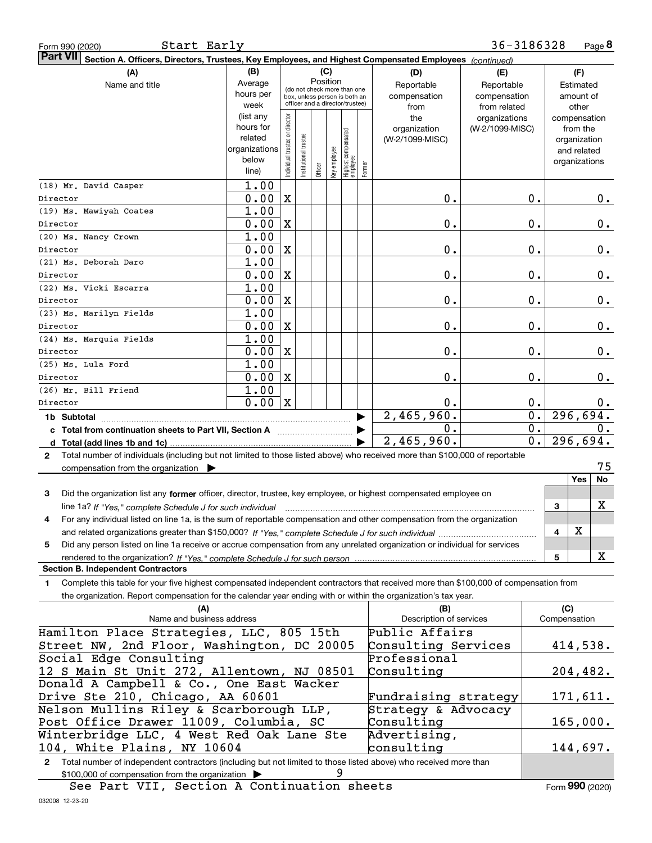| Start Early<br>Form 990 (2020)                                                                                                               |               |                               |                       |         |              |                                                              |        |                                | 36-3186328      |       |                     | Page 8   |
|----------------------------------------------------------------------------------------------------------------------------------------------|---------------|-------------------------------|-----------------------|---------|--------------|--------------------------------------------------------------|--------|--------------------------------|-----------------|-------|---------------------|----------|
| <b>Part VII</b><br>Section A. Officers, Directors, Trustees, Key Employees, and Highest Compensated Employees (continued)                    |               |                               |                       |         |              |                                                              |        |                                |                 |       |                     |          |
| (A)                                                                                                                                          | (B)           |                               |                       |         | (C)          |                                                              |        | (D)                            | (E)             |       | (F)                 |          |
| Name and title                                                                                                                               | Average       |                               |                       |         | Position     |                                                              |        | Reportable                     | Reportable      |       | Estimated           |          |
|                                                                                                                                              | hours per     |                               |                       |         |              | (do not check more than one<br>box, unless person is both an |        | compensation                   | compensation    |       | amount of           |          |
|                                                                                                                                              | week          |                               |                       |         |              | officer and a director/trustee)                              |        | from                           | from related    |       | other               |          |
|                                                                                                                                              | (list any     |                               |                       |         |              |                                                              |        | the                            | organizations   |       | compensation        |          |
|                                                                                                                                              | hours for     |                               |                       |         |              |                                                              |        | organization                   | (W-2/1099-MISC) |       | from the            |          |
|                                                                                                                                              | related       |                               |                       |         |              |                                                              |        | (W-2/1099-MISC)                |                 |       | organization        |          |
|                                                                                                                                              | organizations |                               |                       |         |              |                                                              |        |                                |                 |       | and related         |          |
|                                                                                                                                              | below         | ndividual trustee or director | Institutional trustee |         | Key employee |                                                              | Former |                                |                 |       | organizations       |          |
|                                                                                                                                              | line)         |                               |                       | Officer |              | Highest compensated<br>employee                              |        |                                |                 |       |                     |          |
| (18) Mr. David Casper                                                                                                                        | 1.00          |                               |                       |         |              |                                                              |        |                                |                 |       |                     |          |
| Director                                                                                                                                     | 0.00          | $\mathbf X$                   |                       |         |              |                                                              |        | 0.                             |                 | 0.    |                     | $0$ .    |
| (19) Ms. Mawiyah Coates                                                                                                                      | 1.00          |                               |                       |         |              |                                                              |        |                                |                 |       |                     |          |
| Director                                                                                                                                     | 0.00          | $\mathbf X$                   |                       |         |              |                                                              |        | 0.                             |                 | 0.    |                     | 0.       |
| (20) Ms. Nancy Crown                                                                                                                         | 1.00          |                               |                       |         |              |                                                              |        |                                |                 |       |                     |          |
| Director                                                                                                                                     | 0.00          | $\mathbf X$                   |                       |         |              |                                                              |        | 0.                             |                 | 0.    |                     | 0.       |
| (21) Ms. Deborah Daro                                                                                                                        | 1.00          |                               |                       |         |              |                                                              |        |                                |                 |       |                     |          |
| Director                                                                                                                                     | 0.00          | $\mathbf X$                   |                       |         |              |                                                              |        | 0.                             |                 | 0.    |                     | 0.       |
| (22) Ms. Vicki Escarra                                                                                                                       | 1.00          |                               |                       |         |              |                                                              |        |                                |                 |       |                     |          |
| Director                                                                                                                                     | 0.00          | $\mathbf X$                   |                       |         |              |                                                              |        | 0.                             |                 | 0.    |                     | 0.       |
| (23) Ms. Marilyn Fields                                                                                                                      | 1.00          |                               |                       |         |              |                                                              |        |                                |                 |       |                     |          |
| Director                                                                                                                                     | 0.00          | $\mathbf X$                   |                       |         |              |                                                              |        | 0.                             |                 | 0.    |                     | 0.       |
| (24) Ms. Marquia Fields                                                                                                                      | 1.00          |                               |                       |         |              |                                                              |        |                                |                 |       |                     |          |
| Director                                                                                                                                     | 0.00          | $\mathbf X$                   |                       |         |              |                                                              |        | 0.                             |                 | 0.    |                     | 0.       |
| (25) Ms. Lula Ford                                                                                                                           | 1.00          |                               |                       |         |              |                                                              |        |                                |                 |       |                     |          |
| Director                                                                                                                                     | 0.00          | $\mathbf X$                   |                       |         |              |                                                              |        | 0.                             |                 | 0.    |                     | 0.       |
| (26) Mr. Bill Friend                                                                                                                         | 1.00          |                               |                       |         |              |                                                              |        |                                |                 |       |                     |          |
| Director                                                                                                                                     | 0.00          | $\mathbf X$                   |                       |         |              |                                                              |        | 0.                             |                 | $0$ . |                     | $0$ .    |
|                                                                                                                                              |               |                               |                       |         |              |                                                              | ▶      | 2,465,960.                     |                 | 0.    | 296,694.            |          |
| c Total from continuation sheets to Part VII, Section A                                                                                      |               |                               |                       |         |              |                                                              | ▶      | 0.                             |                 | 0.    |                     | 0.       |
|                                                                                                                                              |               |                               |                       |         |              |                                                              |        | 2,465,960.                     |                 | 0.    | 296,694.            |          |
| Total number of individuals (including but not limited to those listed above) who received more than \$100,000 of reportable<br>$\mathbf{2}$ |               |                               |                       |         |              |                                                              |        |                                |                 |       |                     |          |
| compensation from the organization $\blacktriangleright$                                                                                     |               |                               |                       |         |              |                                                              |        |                                |                 |       |                     | 75       |
|                                                                                                                                              |               |                               |                       |         |              |                                                              |        |                                |                 |       | Yes                 | No       |
| 3<br>Did the organization list any former officer, director, trustee, key employee, or highest compensated employee on                       |               |                               |                       |         |              |                                                              |        |                                |                 |       |                     |          |
| line 1a? If "Yes," complete Schedule J for such individual manufactured contained and the Yes," complete Schedule J for such individual      |               |                               |                       |         |              |                                                              |        |                                |                 |       | 3                   | X        |
| For any individual listed on line 1a, is the sum of reportable compensation and other compensation from the organization                     |               |                               |                       |         |              |                                                              |        |                                |                 |       |                     |          |
|                                                                                                                                              |               |                               |                       |         |              |                                                              |        |                                |                 |       | х<br>4              |          |
| Did any person listed on line 1a receive or accrue compensation from any unrelated organization or individual for services                   |               |                               |                       |         |              |                                                              |        |                                |                 |       |                     |          |
| 5                                                                                                                                            |               |                               |                       |         |              |                                                              |        |                                |                 |       | 5                   | X        |
| rendered to the organization? If "Yes." complete Schedule J for such person<br><b>Section B. Independent Contractors</b>                     |               |                               |                       |         |              |                                                              |        |                                |                 |       |                     |          |
|                                                                                                                                              |               |                               |                       |         |              |                                                              |        |                                |                 |       |                     |          |
| Complete this table for your five highest compensated independent contractors that received more than \$100,000 of compensation from<br>1.   |               |                               |                       |         |              |                                                              |        |                                |                 |       |                     |          |
| the organization. Report compensation for the calendar year ending with or within the organization's tax year.                               |               |                               |                       |         |              |                                                              |        |                                |                 |       |                     |          |
| (A)<br>Name and business address                                                                                                             |               |                               |                       |         |              |                                                              |        | (B)<br>Description of services |                 |       | (C)<br>Compensation |          |
|                                                                                                                                              |               |                               |                       |         |              |                                                              |        |                                |                 |       |                     |          |
| Hamilton Place Strategies, LLC, 805 15th                                                                                                     |               |                               |                       |         |              |                                                              |        | Public Affairs                 |                 |       |                     |          |
| Street NW, 2nd Floor, Washington, DC 20005                                                                                                   |               |                               |                       |         |              |                                                              |        | Consulting Services            |                 |       |                     | 414,538. |
| Social Edge Consulting                                                                                                                       |               |                               |                       |         |              |                                                              |        | Professional                   |                 |       |                     |          |
| 12 S Main St Unit 272, Allentown, NJ 08501                                                                                                   |               |                               |                       |         |              |                                                              |        | Consulting                     |                 |       | 204,482.            |          |
| Donald A Campbell & Co., One East Wacker                                                                                                     |               |                               |                       |         |              |                                                              |        |                                |                 |       |                     |          |
| Drive Ste 210, Chicago, AA 60601                                                                                                             |               |                               |                       |         |              |                                                              |        | Fundraising strategy           |                 |       | 171,611.            |          |
| Nelson Mullins Riley & Scarborough LLP,                                                                                                      |               |                               |                       |         |              |                                                              |        | Strategy & Advocacy            |                 |       |                     |          |
| Post Office Drawer 11009, Columbia, SC                                                                                                       |               |                               |                       |         |              |                                                              |        | Consulting                     |                 |       | 165,000.            |          |
| Winterbridge LLC, 4 West Red Oak Lane Ste                                                                                                    |               |                               |                       |         |              |                                                              |        | Advertising,                   |                 |       |                     |          |
| 104, White Plains, NY 10604                                                                                                                  |               |                               |                       |         |              |                                                              |        | consulting                     |                 |       | 144,697.            |          |
| 2 Total number of independent contractors (including but not limited to those listed above) who received more than                           |               |                               |                       |         |              |                                                              |        |                                |                 |       |                     |          |
| \$100,000 of compensation from the organization >                                                                                            |               |                               |                       |         | 9            |                                                              |        |                                |                 |       |                     |          |

| Total Harnbor of indopondont contractors (including pat not immedite thos |  |
|---------------------------------------------------------------------------|--|
| $$100,000$ of compensation from the organization $\triangleright$         |  |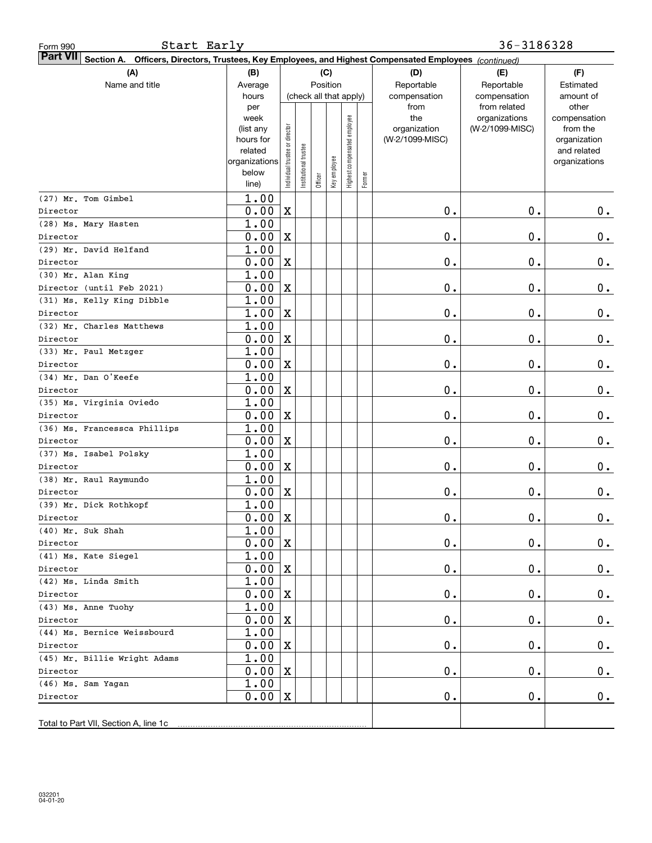| Form 990 | Start Early                                                                                            |                   |                   |                      |         |              |                              |        |                 | 36-3186328                    |                          |
|----------|--------------------------------------------------------------------------------------------------------|-------------------|-------------------|----------------------|---------|--------------|------------------------------|--------|-----------------|-------------------------------|--------------------------|
| Part VII | Section A. Officers, Directors, Trustees, Key Employees, and Highest Compensated Employees (continued) |                   |                   |                      |         |              |                              |        |                 |                               |                          |
|          | (A)                                                                                                    | (B)               |                   |                      |         | (C)          |                              |        | (D)             | (E)                           | (F)                      |
|          | Name and title                                                                                         | Average           |                   |                      |         | Position     |                              |        | Reportable      | Reportable                    | Estimated                |
|          |                                                                                                        | hours             |                   |                      |         |              | (check all that apply)       |        | compensation    | compensation                  | amount of                |
|          |                                                                                                        | per               |                   |                      |         |              |                              |        | from<br>the     | from related<br>organizations | other                    |
|          |                                                                                                        | week<br>(list any |                   |                      |         |              |                              |        | organization    | (W-2/1099-MISC)               | compensation<br>from the |
|          |                                                                                                        | hours for         | or director       |                      |         |              |                              |        | (W-2/1099-MISC) |                               | organization             |
|          |                                                                                                        | related           |                   |                      |         |              |                              |        |                 |                               | and related              |
|          |                                                                                                        | organizations     | ndividual trustee | nstitutional trustee |         | Key employee | Highest compensated employee |        |                 |                               | organizations            |
|          |                                                                                                        | below             |                   |                      | Officer |              |                              | Former |                 |                               |                          |
|          |                                                                                                        | line)             |                   |                      |         |              |                              |        |                 |                               |                          |
|          | (27) Mr. Tom Gimbel                                                                                    | 1.00              |                   |                      |         |              |                              |        |                 |                               |                          |
| Director |                                                                                                        | 0.00              | X                 |                      |         |              |                              |        | $\mathbf 0$ .   | 0.                            | 0.                       |
|          | (28) Ms. Mary Hasten                                                                                   | 1.00              |                   |                      |         |              |                              |        |                 |                               |                          |
| Director |                                                                                                        | 0.00              | X                 |                      |         |              |                              |        | $\mathbf 0$ .   | 0.                            | $0\,.$                   |
|          | (29) Mr. David Helfand                                                                                 | 1.00              |                   |                      |         |              |                              |        |                 |                               |                          |
| Director | (30) Mr. Alan King                                                                                     | 0.00<br>1.00      | X                 |                      |         |              |                              |        | $\mathbf 0$ .   | 0.                            | 0.                       |
|          | Director (until Feb 2021)                                                                              | 0.00              | X                 |                      |         |              |                              |        | $\mathbf 0$ .   | 0.                            | 0.                       |
|          | (31) Ms. Kelly King Dibble                                                                             | 1.00              |                   |                      |         |              |                              |        |                 |                               |                          |
| Director |                                                                                                        | 1.00              | X                 |                      |         |              |                              |        | $\mathbf 0$ .   | 0.                            | $0\,.$                   |
|          | (32) Mr. Charles Matthews                                                                              | 1.00              |                   |                      |         |              |                              |        |                 |                               |                          |
| Director |                                                                                                        | 0.00              | X                 |                      |         |              |                              |        | $\mathbf 0$ .   | 0.                            | $0\,.$                   |
|          | (33) Mr. Paul Metzger                                                                                  | 1.00              |                   |                      |         |              |                              |        |                 |                               |                          |
| Director |                                                                                                        | 0.00              | X                 |                      |         |              |                              |        | $\mathbf 0$ .   | 0.                            | $0\,.$                   |
|          | (34) Mr. Dan O'Keefe                                                                                   | 1.00              |                   |                      |         |              |                              |        |                 |                               |                          |
| Director |                                                                                                        | 0.00              | X                 |                      |         |              |                              |        | $\mathbf 0$ .   | 0.                            | $0\,.$                   |
|          | (35) Ms. Virginia Oviedo                                                                               | 1.00              |                   |                      |         |              |                              |        |                 |                               |                          |
| Director |                                                                                                        | 0.00              | X                 |                      |         |              |                              |        | $\mathbf 0$ .   | 0.                            | $0\,.$                   |
|          | (36) Ms. Francessca Phillips                                                                           | 1.00              |                   |                      |         |              |                              |        |                 |                               |                          |
| Director |                                                                                                        | 0.00              | X                 |                      |         |              |                              |        | $\mathbf 0$ .   | $\mathbf 0$ .                 | 0.                       |
|          | (37) Ms. Isabel Polsky                                                                                 | 1.00              |                   |                      |         |              |                              |        |                 |                               |                          |
| Director |                                                                                                        | 0.00              | X                 |                      |         |              |                              |        | $\mathbf 0$ .   | $\mathbf 0$ .                 | 0.                       |
|          | (38) Mr. Raul Raymundo                                                                                 | 1.00              |                   |                      |         |              |                              |        |                 |                               |                          |
| Director |                                                                                                        | 0.00              | X                 |                      |         |              |                              |        | $\mathbf 0$ .   | $\mathbf 0$ .                 | 0.                       |
|          | (39) Mr. Dick Rothkopf                                                                                 | 1.00              |                   |                      |         |              |                              |        |                 |                               |                          |
| Director |                                                                                                        | 0.00              | $\vert$ X         |                      |         |              |                              |        | $\mathbf 0$ .   | 0.                            | 0.                       |
|          | (40) Mr. Suk Shah                                                                                      | 1.00              |                   |                      |         |              |                              |        |                 |                               |                          |
| Director |                                                                                                        | 0.00              | х                 |                      |         |              |                              |        | 0.              | 0.                            | $0\cdot$                 |
|          | (41) Ms. Kate Siegel                                                                                   | 1.00              |                   |                      |         |              |                              |        |                 |                               |                          |
| Director |                                                                                                        | 0.00              | х                 |                      |         |              |                              |        | 0.              | $\mathbf 0$ .                 | $0\cdot$                 |
|          | (42) Ms. Linda Smith                                                                                   | 1.00              |                   |                      |         |              |                              |        |                 |                               |                          |
| Director |                                                                                                        | 0.00              | х                 |                      |         |              |                              |        | 0.              | $\mathbf 0$ .                 | $\mathbf{0}$ .           |
|          | (43) Ms. Anne Tuohy                                                                                    | 1.00              |                   |                      |         |              |                              |        |                 |                               |                          |
| Director |                                                                                                        | 0.00              | х                 |                      |         |              |                              |        | 0.              | $\mathbf 0$ .                 | $\mathbf{0}$ .           |
|          | (44) Ms. Bernice Weissbourd                                                                            | 1.00              |                   |                      |         |              |                              |        |                 |                               |                          |
| Director |                                                                                                        | 0.00              | х                 |                      |         |              |                              |        | 0.              | $\mathbf 0$ .                 | $\mathbf{0}$ .           |
|          | (45) Mr. Billie Wright Adams                                                                           | 1.00              |                   |                      |         |              |                              |        |                 |                               |                          |
| Director |                                                                                                        | 0.00              | х                 |                      |         |              |                              |        | 0.              | $\mathbf 0$ .                 | $0\cdot$                 |
|          | (46) Ms. Sam Yagan                                                                                     | 1.00              |                   |                      |         |              |                              |        |                 |                               |                          |
| Director |                                                                                                        | 0.00              | х                 |                      |         |              |                              |        | 0.              | $\mathbf 0$ .                 | $0$ .                    |
|          |                                                                                                        |                   |                   |                      |         |              |                              |        |                 |                               |                          |
|          | Total to Part VII, Section A, line 1c                                                                  |                   |                   |                      |         |              |                              |        |                 |                               |                          |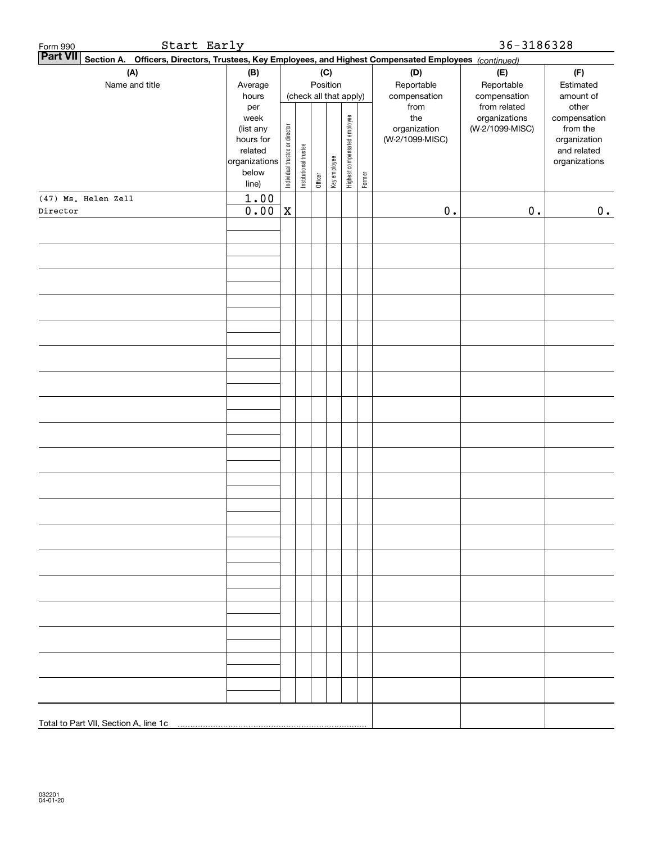| <u>Start Early</u><br>Form 990<br><b>Part VII</b>                                                      |               |                                |                       |         |              |                              |        |                 | <u>36-3186328</u>             |                       |
|--------------------------------------------------------------------------------------------------------|---------------|--------------------------------|-----------------------|---------|--------------|------------------------------|--------|-----------------|-------------------------------|-----------------------|
| Section A. Officers, Directors, Trustees, Key Employees, and Highest Compensated Employees (continued) |               |                                |                       |         |              |                              |        |                 |                               |                       |
| (A)                                                                                                    | (B)           |                                |                       |         | (C)          |                              |        | (D)             | (E)                           | (F)                   |
| Name and title                                                                                         | Average       | Position                       |                       |         |              |                              |        | Reportable      | Reportable                    | Estimated             |
|                                                                                                        | hours         | (check all that apply)         |                       |         |              |                              |        | compensation    | compensation                  | amount of             |
|                                                                                                        | per           |                                |                       |         |              |                              |        | from<br>the     | from related<br>organizations | other<br>compensation |
|                                                                                                        | week          |                                |                       |         |              |                              |        |                 |                               |                       |
|                                                                                                        | (list any     |                                |                       |         |              |                              |        | organization    | (W-2/1099-MISC)               | from the              |
|                                                                                                        | hours for     |                                |                       |         |              |                              |        | (W-2/1099-MISC) |                               | organization          |
|                                                                                                        | related       |                                |                       |         |              |                              |        |                 |                               | and related           |
|                                                                                                        | organizations | Individual trustee or director | Institutional trustee |         | Key employee | Highest compensated employee |        |                 |                               | organizations         |
|                                                                                                        | below         |                                |                       | Officer |              |                              | Former |                 |                               |                       |
|                                                                                                        | line)         |                                |                       |         |              |                              |        |                 |                               |                       |
| (47) Ms. Helen Zell                                                                                    | 1.00          |                                |                       |         |              |                              |        |                 |                               |                       |
| Director                                                                                               | 0.00          | $\mathbf X$                    |                       |         |              |                              |        | $0$ .           | $\mathbf 0$ .                 | 0.                    |
|                                                                                                        |               |                                |                       |         |              |                              |        |                 |                               |                       |
|                                                                                                        |               |                                |                       |         |              |                              |        |                 |                               |                       |
|                                                                                                        |               |                                |                       |         |              |                              |        |                 |                               |                       |
|                                                                                                        |               |                                |                       |         |              |                              |        |                 |                               |                       |
|                                                                                                        |               |                                |                       |         |              |                              |        |                 |                               |                       |
|                                                                                                        |               |                                |                       |         |              |                              |        |                 |                               |                       |
|                                                                                                        |               |                                |                       |         |              |                              |        |                 |                               |                       |
|                                                                                                        |               |                                |                       |         |              |                              |        |                 |                               |                       |
|                                                                                                        |               |                                |                       |         |              |                              |        |                 |                               |                       |
|                                                                                                        |               |                                |                       |         |              |                              |        |                 |                               |                       |
|                                                                                                        |               |                                |                       |         |              |                              |        |                 |                               |                       |
|                                                                                                        |               |                                |                       |         |              |                              |        |                 |                               |                       |
|                                                                                                        |               |                                |                       |         |              |                              |        |                 |                               |                       |
|                                                                                                        |               |                                |                       |         |              |                              |        |                 |                               |                       |
|                                                                                                        |               |                                |                       |         |              |                              |        |                 |                               |                       |
|                                                                                                        |               |                                |                       |         |              |                              |        |                 |                               |                       |
|                                                                                                        |               |                                |                       |         |              |                              |        |                 |                               |                       |
|                                                                                                        |               |                                |                       |         |              |                              |        |                 |                               |                       |
|                                                                                                        |               |                                |                       |         |              |                              |        |                 |                               |                       |
|                                                                                                        |               |                                |                       |         |              |                              |        |                 |                               |                       |
|                                                                                                        |               |                                |                       |         |              |                              |        |                 |                               |                       |
|                                                                                                        |               |                                |                       |         |              |                              |        |                 |                               |                       |
|                                                                                                        |               |                                |                       |         |              |                              |        |                 |                               |                       |
|                                                                                                        |               |                                |                       |         |              |                              |        |                 |                               |                       |
|                                                                                                        |               |                                |                       |         |              |                              |        |                 |                               |                       |
|                                                                                                        |               |                                |                       |         |              |                              |        |                 |                               |                       |
|                                                                                                        |               |                                |                       |         |              |                              |        |                 |                               |                       |
|                                                                                                        |               |                                |                       |         |              |                              |        |                 |                               |                       |
|                                                                                                        |               |                                |                       |         |              |                              |        |                 |                               |                       |
|                                                                                                        |               |                                |                       |         |              |                              |        |                 |                               |                       |
|                                                                                                        |               |                                |                       |         |              |                              |        |                 |                               |                       |
|                                                                                                        |               |                                |                       |         |              |                              |        |                 |                               |                       |
|                                                                                                        |               |                                |                       |         |              |                              |        |                 |                               |                       |
|                                                                                                        |               |                                |                       |         |              |                              |        |                 |                               |                       |
|                                                                                                        |               |                                |                       |         |              |                              |        |                 |                               |                       |
|                                                                                                        |               |                                |                       |         |              |                              |        |                 |                               |                       |
|                                                                                                        |               |                                |                       |         |              |                              |        |                 |                               |                       |
|                                                                                                        |               |                                |                       |         |              |                              |        |                 |                               |                       |
|                                                                                                        |               |                                |                       |         |              |                              |        |                 |                               |                       |
|                                                                                                        |               |                                |                       |         |              |                              |        |                 |                               |                       |
| Total to Part VII, Section A, line 1c                                                                  |               |                                |                       |         |              |                              |        |                 |                               |                       |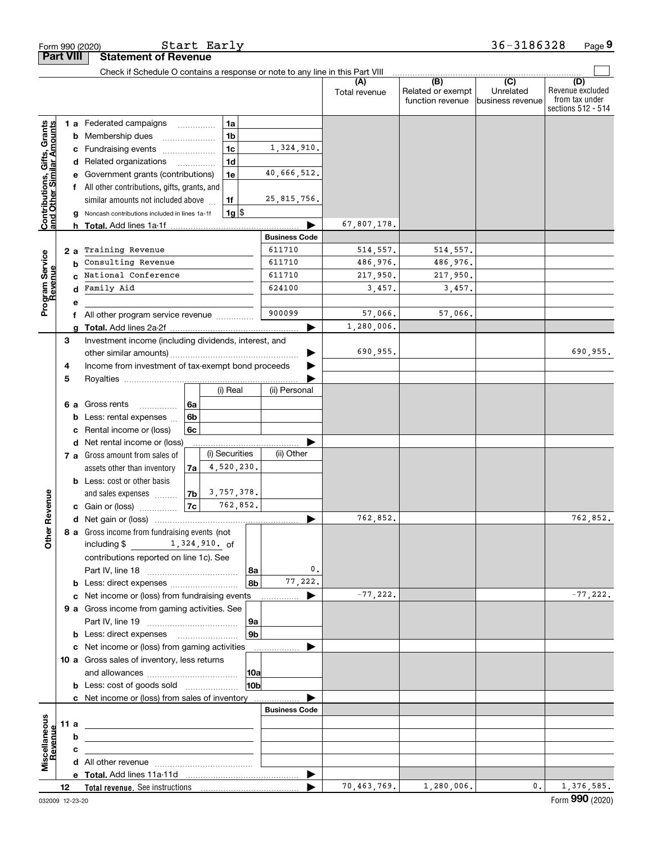|                                                           |                  | Form 990 (2020)                                                                                                      |                | Start Early    |                 |                       |                      |                                              | 36-3186328                                      | Page 9                                                          |
|-----------------------------------------------------------|------------------|----------------------------------------------------------------------------------------------------------------------|----------------|----------------|-----------------|-----------------------|----------------------|----------------------------------------------|-------------------------------------------------|-----------------------------------------------------------------|
|                                                           | <b>Part VIII</b> | <b>Statement of Revenue</b>                                                                                          |                |                |                 |                       |                      |                                              |                                                 |                                                                 |
|                                                           |                  | Check if Schedule O contains a response or note to any line in this Part VIII                                        |                |                |                 |                       |                      |                                              |                                                 |                                                                 |
|                                                           |                  |                                                                                                                      |                |                |                 |                       | (A)<br>Total revenue | (B)<br>Related or exempt<br>function revenue | $\overline{C}$<br>Unrelated<br>business revenue | (D)<br>Revenue excluded<br>from tax under<br>sections 512 - 514 |
|                                                           |                  | 1 a Federated campaigns                                                                                              |                |                | 1a              |                       |                      |                                              |                                                 |                                                                 |
| Contributions, Gifts, Grants<br>and Other Similar Amounts | b                | Membership dues                                                                                                      |                |                | 1 <sub>b</sub>  |                       |                      |                                              |                                                 |                                                                 |
|                                                           | с                | Fundraising events                                                                                                   |                | 1 <sub>c</sub> |                 | 1,324,910.            |                      |                                              |                                                 |                                                                 |
|                                                           | d                | Related organizations                                                                                                | $\cdots$       |                | 1 <sub>d</sub>  |                       |                      |                                              |                                                 |                                                                 |
|                                                           |                  | Government grants (contributions)                                                                                    |                |                | 1e              | 40,666,512.           |                      |                                              |                                                 |                                                                 |
|                                                           |                  | All other contributions, gifts, grants, and                                                                          |                |                |                 |                       |                      |                                              |                                                 |                                                                 |
|                                                           |                  | similar amounts not included above                                                                                   |                | 1f             |                 | 25, 815, 756.         |                      |                                              |                                                 |                                                                 |
|                                                           | g                | Noncash contributions included in lines 1a-1f                                                                        |                |                | $1g$ \$         |                       |                      |                                              |                                                 |                                                                 |
|                                                           |                  | <b>h</b> Total. Add lines 1a-1f                                                                                      |                |                |                 |                       | 67,807,178.          |                                              |                                                 |                                                                 |
|                                                           |                  |                                                                                                                      |                |                |                 | <b>Business Code</b>  |                      |                                              |                                                 |                                                                 |
|                                                           | 2 a              | Training Revenue                                                                                                     |                |                |                 | 611710                | 514, 557.            | 514, 557.                                    |                                                 |                                                                 |
|                                                           | b                | Consulting Revenue                                                                                                   |                |                |                 | 611710                | 486,976.             | 486,976.                                     |                                                 |                                                                 |
|                                                           |                  | National Conference                                                                                                  |                |                |                 | 611710                | 217,950.             | 217,950.                                     |                                                 |                                                                 |
|                                                           |                  | Family Aid                                                                                                           |                |                |                 | 624100                | 3,457.               | 3,457.                                       |                                                 |                                                                 |
| Program Service                                           | е                |                                                                                                                      |                |                |                 |                       |                      |                                              |                                                 |                                                                 |
|                                                           | f                | All other program service revenue                                                                                    |                |                |                 | 900099                | 57,066.              | 57,066.                                      |                                                 |                                                                 |
|                                                           |                  |                                                                                                                      |                |                |                 |                       | 1,280,006.           |                                              |                                                 |                                                                 |
|                                                           | 3                | Investment income (including dividends, interest, and                                                                |                |                |                 |                       |                      |                                              |                                                 |                                                                 |
|                                                           |                  |                                                                                                                      |                |                |                 |                       | 690,955.             |                                              |                                                 | 690,955.                                                        |
|                                                           | 4                | Income from investment of tax-exempt bond proceeds                                                                   |                |                |                 |                       |                      |                                              |                                                 |                                                                 |
|                                                           | 5                |                                                                                                                      |                |                |                 |                       |                      |                                              |                                                 |                                                                 |
|                                                           |                  |                                                                                                                      |                |                | (i) Real        | (ii) Personal         |                      |                                              |                                                 |                                                                 |
|                                                           | 6а               | Gross rents<br>.                                                                                                     | 6a             |                |                 |                       |                      |                                              |                                                 |                                                                 |
|                                                           |                  | Less: rental expenses                                                                                                | 6 <sub>b</sub> |                |                 |                       |                      |                                              |                                                 |                                                                 |
|                                                           | c                | Rental income or (loss)                                                                                              | 6c             |                |                 |                       |                      |                                              |                                                 |                                                                 |
|                                                           | d                | Net rental income or (loss)                                                                                          |                |                |                 |                       |                      |                                              |                                                 |                                                                 |
|                                                           |                  | 7 a Gross amount from sales of                                                                                       |                | (i) Securities |                 | (ii) Other            |                      |                                              |                                                 |                                                                 |
|                                                           |                  | assets other than inventory                                                                                          | 7a             |                | 4,520,230.      |                       |                      |                                              |                                                 |                                                                 |
|                                                           |                  | <b>b</b> Less: cost or other basis                                                                                   |                |                |                 |                       |                      |                                              |                                                 |                                                                 |
|                                                           |                  | and sales expenses                                                                                                   | 7b             |                | 3,757,378.      |                       |                      |                                              |                                                 |                                                                 |
| evenue                                                    |                  | c Gain or (loss)                                                                                                     | 7c             |                | 762,852.        |                       |                      |                                              |                                                 |                                                                 |
|                                                           |                  |                                                                                                                      |                |                |                 |                       | 762,852.             |                                              |                                                 | 762,852.                                                        |
| Other R                                                   |                  | 8 a Gross income from fundraising events (not                                                                        |                |                |                 |                       |                      |                                              |                                                 |                                                                 |
|                                                           |                  | $1,324,910$ . of<br>including \$                                                                                     |                |                |                 |                       |                      |                                              |                                                 |                                                                 |
|                                                           |                  | contributions reported on line 1c). See                                                                              |                |                |                 |                       |                      |                                              |                                                 |                                                                 |
|                                                           |                  |                                                                                                                      |                |                | 8a              | $\mathbf{0}$ .        |                      |                                              |                                                 |                                                                 |
|                                                           | b                |                                                                                                                      |                |                | 8b              | 77,222.               |                      |                                              |                                                 |                                                                 |
|                                                           |                  | c Net income or (loss) from fundraising events                                                                       |                |                |                 | ▶                     | $-77, 222.$          |                                              |                                                 | $-77,222.$                                                      |
|                                                           |                  | 9 a Gross income from gaming activities. See                                                                         |                |                |                 |                       |                      |                                              |                                                 |                                                                 |
|                                                           |                  |                                                                                                                      |                |                | 9а              |                       |                      |                                              |                                                 |                                                                 |
|                                                           | b                |                                                                                                                      |                |                | 9 <sub>b</sub>  |                       |                      |                                              |                                                 |                                                                 |
|                                                           |                  | c Net income or (loss) from gaming activities ______________                                                         |                |                |                 |                       |                      |                                              |                                                 |                                                                 |
|                                                           |                  | 10 a Gross sales of inventory, less returns                                                                          |                |                |                 |                       |                      |                                              |                                                 |                                                                 |
|                                                           |                  |                                                                                                                      |                |                | 10a             |                       |                      |                                              |                                                 |                                                                 |
|                                                           |                  | <b>b</b> Less: cost of goods sold                                                                                    |                |                | 10 <sub>b</sub> |                       |                      |                                              |                                                 |                                                                 |
|                                                           |                  | c Net income or (loss) from sales of inventory                                                                       |                |                |                 |                       |                      |                                              |                                                 |                                                                 |
|                                                           |                  |                                                                                                                      |                |                |                 | <b>Business Code</b>  |                      |                                              |                                                 |                                                                 |
|                                                           | 11 a             | <u> 1990 - Johann John Stein, markin fan it ferskearre fan it ferskearre fan it ferskearre fan it ferskearre fan</u> |                |                |                 |                       |                      |                                              |                                                 |                                                                 |
|                                                           | b                |                                                                                                                      |                |                |                 |                       |                      |                                              |                                                 |                                                                 |
| Revenue                                                   | с                |                                                                                                                      |                |                |                 |                       |                      |                                              |                                                 |                                                                 |
| Miscellaneous                                             |                  |                                                                                                                      |                |                |                 |                       |                      |                                              |                                                 |                                                                 |
|                                                           |                  |                                                                                                                      |                |                |                 | $\blacktriangleright$ |                      |                                              |                                                 |                                                                 |
|                                                           | 12               |                                                                                                                      |                |                |                 | ▶                     | 70,463,769.          | 1,280,006.                                   | 0.                                              | 1,376,585.                                                      |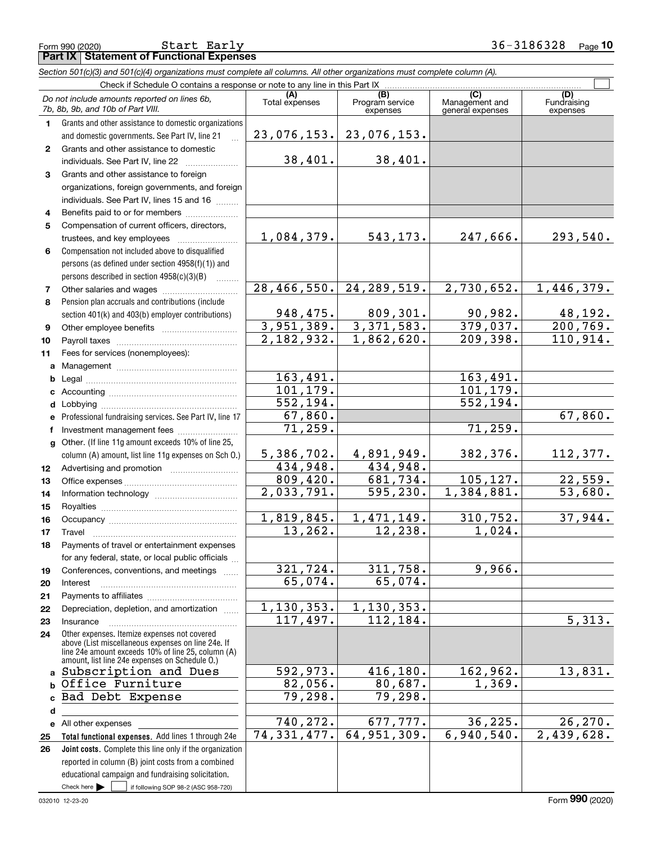|    | Start Early<br>Form 990 (2020)<br><b>Part IX   Statement of Functional Expenses</b>                                                                                                                        |                       |                                    |                                           | 36-3186328<br>Page $10$ |
|----|------------------------------------------------------------------------------------------------------------------------------------------------------------------------------------------------------------|-----------------------|------------------------------------|-------------------------------------------|-------------------------|
|    |                                                                                                                                                                                                            |                       |                                    |                                           |                         |
|    | Section 501(c)(3) and 501(c)(4) organizations must complete all columns. All other organizations must complete column (A).<br>Check if Schedule O contains a response or note to any line in this Part IX  |                       |                                    |                                           |                         |
|    | Do not include amounts reported on lines 6b,<br>7b, 8b, 9b, and 10b of Part VIII.                                                                                                                          | (A)<br>Total expenses | (B)<br>Program service<br>expenses | (C)<br>Management and<br>general expenses | Fundraising<br>expenses |
| 1  | Grants and other assistance to domestic organizations                                                                                                                                                      |                       |                                    |                                           |                         |
|    | and domestic governments. See Part IV, line 21                                                                                                                                                             |                       | $23,076,153.$ 23,076,153.          |                                           |                         |
| 2  | Grants and other assistance to domestic                                                                                                                                                                    |                       |                                    |                                           |                         |
|    | individuals. See Part IV, line 22                                                                                                                                                                          | 38,401.               | 38,401.                            |                                           |                         |
| 3  | Grants and other assistance to foreign                                                                                                                                                                     |                       |                                    |                                           |                         |
|    | organizations, foreign governments, and foreign                                                                                                                                                            |                       |                                    |                                           |                         |
|    | individuals. See Part IV, lines 15 and 16                                                                                                                                                                  |                       |                                    |                                           |                         |
| 4  | Benefits paid to or for members                                                                                                                                                                            |                       |                                    |                                           |                         |
| 5  | Compensation of current officers, directors,                                                                                                                                                               |                       |                                    |                                           |                         |
|    |                                                                                                                                                                                                            | 1,084,379.            | 543,173.                           | 247,666.                                  | 293,540.                |
| 6  | Compensation not included above to disqualified                                                                                                                                                            |                       |                                    |                                           |                         |
|    | persons (as defined under section 4958(f)(1)) and                                                                                                                                                          |                       |                                    |                                           |                         |
|    | persons described in section 4958(c)(3)(B)                                                                                                                                                                 |                       |                                    |                                           |                         |
| 7  |                                                                                                                                                                                                            | 28,466,550.           | 24, 289, 519.                      | 2,730,652.                                | 1,446,379.              |
| 8  | Pension plan accruals and contributions (include                                                                                                                                                           |                       |                                    |                                           |                         |
|    | section 401(k) and 403(b) employer contributions)                                                                                                                                                          | 948, 475.             | 809,301.                           | 90,982.                                   | 48,192.                 |
| 9  |                                                                                                                                                                                                            | 3,951,389.            | 3,371,583.                         | 379,037.                                  | 200, 769.               |
| 10 |                                                                                                                                                                                                            | 2,182,932.            | 1,862,620.                         | 209,398.                                  | 110,914.                |
| 11 | Fees for services (nonemployees):                                                                                                                                                                          |                       |                                    |                                           |                         |
|    |                                                                                                                                                                                                            |                       |                                    |                                           |                         |
| b  |                                                                                                                                                                                                            | 163,491.              |                                    | 163,491.                                  |                         |
|    |                                                                                                                                                                                                            | 101,179.              |                                    | 101,179.                                  |                         |
| d  |                                                                                                                                                                                                            | 552, 194.             |                                    | 552,194.                                  |                         |
|    | e Professional fundraising services. See Part IV, line 17                                                                                                                                                  | 67,860.               |                                    |                                           | 67,860.                 |
| f  |                                                                                                                                                                                                            | 71, 259.              |                                    | 71, 259.                                  |                         |
| g  | Other. (If line 11g amount exceeds 10% of line 25,                                                                                                                                                         |                       |                                    |                                           |                         |
|    | column (A) amount, list line 11g expenses on Sch O.)                                                                                                                                                       | 5,386,702.            | 4,891,949.                         | 382,376.                                  | 112,377.                |
| 12 |                                                                                                                                                                                                            | 434,948.              | 434,948.                           |                                           |                         |
| 13 |                                                                                                                                                                                                            | 809,420.              | 681,734.                           | 105, 127.                                 | 22,559.                 |
| 14 |                                                                                                                                                                                                            | 2,033,791.            | 595, 230.                          | 1,384,881.                                | 53,680.                 |
| 15 |                                                                                                                                                                                                            |                       |                                    |                                           |                         |
| 16 |                                                                                                                                                                                                            | 1,819,845.            | 1,471,149.                         | 310,752.                                  | 37,944.                 |
| 17 | Travel                                                                                                                                                                                                     | 13,262.               | 12,238.                            | 1,024.                                    |                         |
| 18 | Payments of travel or entertainment expenses                                                                                                                                                               |                       |                                    |                                           |                         |
|    | for any federal, state, or local public officials                                                                                                                                                          |                       |                                    |                                           |                         |
| 19 | Conferences, conventions, and meetings                                                                                                                                                                     | 321,724.              | 311,758.                           | 9,966.                                    |                         |
| 20 | Interest                                                                                                                                                                                                   | 65,074.               | 65,074.                            |                                           |                         |
| 21 |                                                                                                                                                                                                            |                       |                                    |                                           |                         |
| 22 | Depreciation, depletion, and amortization                                                                                                                                                                  | 1,130,353.            | 1, 130, 353.                       |                                           |                         |
| 23 | Insurance                                                                                                                                                                                                  | 117,497.              | 112,184.                           |                                           | 5,313.                  |
| 24 | Other expenses. Itemize expenses not covered<br>above (List miscellaneous expenses on line 24e. If<br>line 24e amount exceeds 10% of line 25, column (A)<br>amount, list line 24e expenses on Schedule O.) |                       |                                    |                                           |                         |

592,973. 82,056. 79,298.

740,272. 74,331,477.

**b**

**d**

**25 26**

Check here  $\bullet$  if following SOP 98-2 (ASC 958-720)

reported in column (B) joint costs from a combined educational campaign and fundraising solicitation.

**Total functional expenses.**  Add lines 1 through 24e **Joint costs.** Complete this line only if the organization

 $\,$  Subscription and Dues

**c**Bad Debt Expense

Office Furniture

**e** All other expenses

Check here  $\blacktriangleright$ 

416,180. 162,962. 13,831.

677,777. 36,225. 26,270.

80,687. 1,369.

 $64,951,309.$  6,940,540.

79,298.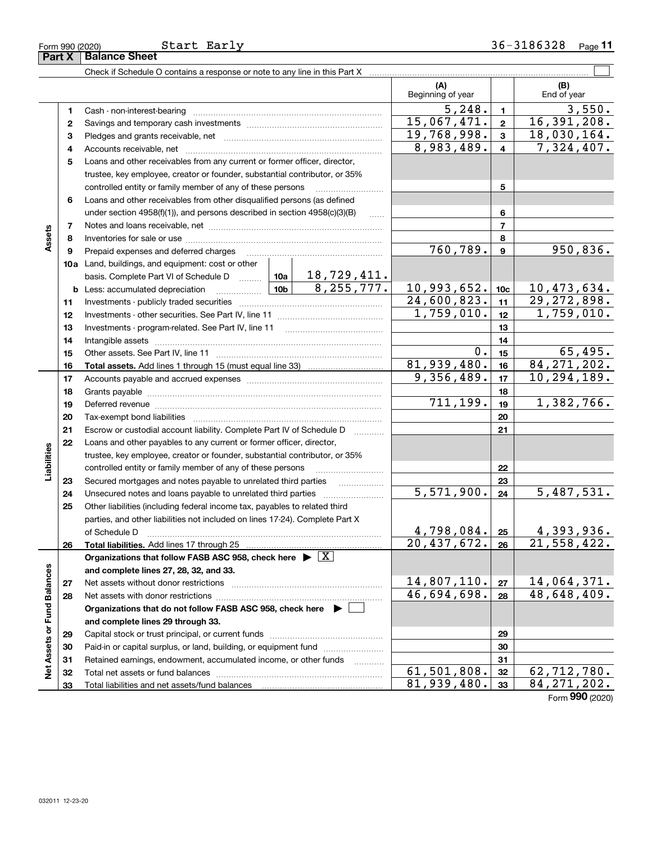| Form 990 (2020) | Start<br>Earlv                                                             | Page |
|-----------------|----------------------------------------------------------------------------|------|
| <b>Part X</b>   | <b>Balance Sheet</b>                                                       |      |
|                 | Check if Schedule O contains a response or note to any line in this Part X |      |

|                             |    |                                                                                            |            |                    | (A)<br>Beginning of year   |                             | (B)<br>End of year |
|-----------------------------|----|--------------------------------------------------------------------------------------------|------------|--------------------|----------------------------|-----------------------------|--------------------|
|                             | 1  |                                                                                            |            |                    | 5, 248.                    | $\blacksquare$              | 3,550.             |
|                             | 2  |                                                                                            |            |                    | 15,067,471.                | $\overline{2}$              | 16, 391, 208.      |
|                             | з  |                                                                                            |            |                    | 19,768,998.                | $\mathbf{3}$                | 18,030,164.        |
|                             | 4  |                                                                                            |            |                    | 8,983,489.                 | $\overline{4}$              | 7,324,407.         |
|                             | 5  | Loans and other receivables from any current or former officer, director,                  |            |                    |                            |                             |                    |
|                             |    | trustee, key employee, creator or founder, substantial contributor, or 35%                 |            |                    |                            |                             |                    |
|                             |    | controlled entity or family member of any of these persons                                 |            |                    |                            | 5                           |                    |
|                             | 6  | Loans and other receivables from other disqualified persons (as defined                    |            |                    |                            |                             |                    |
|                             |    | under section $4958(f)(1)$ , and persons described in section $4958(c)(3)(B)$              |            | <b>September</b>   |                            | 6                           |                    |
|                             | 7  |                                                                                            |            | $\overline{7}$     |                            |                             |                    |
| Assets                      | 8  |                                                                                            |            | 8                  |                            |                             |                    |
|                             | 9  | Prepaid expenses and deferred charges                                                      |            |                    | 760,789.                   | $\boldsymbol{9}$            | 950,836.           |
|                             |    | <b>10a</b> Land, buildings, and equipment: cost or other                                   |            |                    |                            |                             |                    |
|                             |    | basis. Complete Part VI of Schedule D $\frac{10a}{10a}$ 18, 729, 411.                      |            |                    |                            |                             |                    |
|                             |    | <b>b</b> Less: accumulated depreciation <i>mimimimini</i>                                  |            | $10b$ 8, 255, 777. | 10,993,652.                | 10 <sub>c</sub>             | 10,473,634.        |
|                             | 11 |                                                                                            |            | 24,600,823.        | 11                         | $\overline{29}$ , 272, 898. |                    |
|                             | 12 |                                                                                            | 1,759,010. | 12                 | $\overline{1,759}$ , 010.  |                             |                    |
|                             | 13 |                                                                                            |            | 13                 |                            |                             |                    |
|                             | 14 |                                                                                            |            | 14                 |                            |                             |                    |
|                             | 15 |                                                                                            | 0.         | 15                 | 65,495.                    |                             |                    |
|                             | 16 |                                                                                            |            |                    | 81,939,480.                | 16                          | 84, 271, 202.      |
|                             | 17 |                                                                                            | 9,356,489. | 17                 | 10,294,189.                |                             |                    |
|                             | 18 |                                                                                            |            | 18                 |                            |                             |                    |
|                             | 19 |                                                                                            | 711,199.   | 19                 | 1,382,766.                 |                             |                    |
|                             | 20 |                                                                                            |            | 20                 |                            |                             |                    |
|                             | 21 | Escrow or custodial account liability. Complete Part IV of Schedule D                      |            | 21                 |                            |                             |                    |
|                             | 22 | Loans and other payables to any current or former officer, director,                       |            |                    |                            |                             |                    |
| Liabilities                 |    | trustee, key employee, creator or founder, substantial contributor, or 35%                 |            |                    |                            |                             |                    |
|                             |    | controlled entity or family member of any of these persons                                 |            |                    |                            | 22                          |                    |
|                             | 23 | Secured mortgages and notes payable to unrelated third parties                             |            |                    |                            | 23                          |                    |
|                             | 24 |                                                                                            |            |                    | 5,571,900.                 | 24                          | 5,487,531.         |
|                             | 25 | Other liabilities (including federal income tax, payables to related third                 |            |                    |                            |                             |                    |
|                             |    | parties, and other liabilities not included on lines 17-24). Complete Part X               |            |                    |                            |                             |                    |
|                             |    | of Schedule D                                                                              |            |                    | 4,798,084.                 | 25                          | 4,393,936.         |
|                             | 26 |                                                                                            |            |                    | $\overline{20, 437, 672.}$ | 26                          | 21,558,422.        |
|                             |    | Organizations that follow FASB ASC 958, check here $\blacktriangleright \lfloor X \rfloor$ |            |                    |                            |                             |                    |
|                             |    | and complete lines 27, 28, 32, and 33.                                                     |            |                    |                            |                             |                    |
|                             | 27 |                                                                                            |            |                    | 14,807,110.                | 27                          | 14,064,371.        |
|                             | 28 |                                                                                            |            |                    | 46,694,698.                | 28                          | 48,648,409.        |
|                             |    | Organizations that do not follow FASB ASC 958, check here ▶ □                              |            |                    |                            |                             |                    |
| Net Assets or Fund Balances |    | and complete lines 29 through 33.                                                          |            |                    |                            |                             |                    |
|                             | 29 |                                                                                            |            |                    |                            | 29                          |                    |
|                             | 30 | Paid-in or capital surplus, or land, building, or equipment fund                           |            |                    |                            | 30                          |                    |
|                             | 31 | Retained earnings, endowment, accumulated income, or other funds                           |            |                    |                            | 31                          |                    |
|                             | 32 |                                                                                            |            |                    | 61,501,808.                | 32                          | 62,712,780.        |
|                             | 33 |                                                                                            |            |                    | 81,939,480.                | 33                          | 84, 271, 202.      |

Form (2020) **990**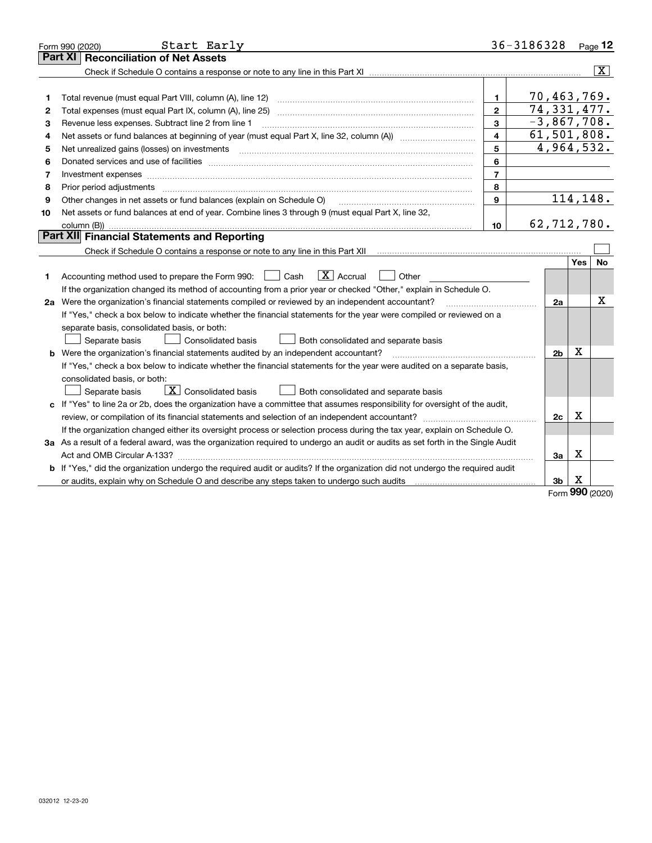|    | Start Early<br>Form 990 (2020)                                                                                                                                                                                                                                                                                                                                                                                                                                             |                         | 36-3186328     |            | Page 12         |
|----|----------------------------------------------------------------------------------------------------------------------------------------------------------------------------------------------------------------------------------------------------------------------------------------------------------------------------------------------------------------------------------------------------------------------------------------------------------------------------|-------------------------|----------------|------------|-----------------|
|    | Part XI<br><b>Reconciliation of Net Assets</b>                                                                                                                                                                                                                                                                                                                                                                                                                             |                         |                |            |                 |
|    |                                                                                                                                                                                                                                                                                                                                                                                                                                                                            |                         |                |            | $\vert X \vert$ |
|    |                                                                                                                                                                                                                                                                                                                                                                                                                                                                            |                         |                |            |                 |
| 1  | Total revenue (must equal Part VIII, column (A), line 12)                                                                                                                                                                                                                                                                                                                                                                                                                  | $\blacksquare$          | 70,463,769.    |            |                 |
| 2  |                                                                                                                                                                                                                                                                                                                                                                                                                                                                            | $\overline{2}$          | 74,331,477.    |            |                 |
| з  | Revenue less expenses. Subtract line 2 from line 1                                                                                                                                                                                                                                                                                                                                                                                                                         | $\overline{3}$          | $-3,867,708.$  |            |                 |
| 4  |                                                                                                                                                                                                                                                                                                                                                                                                                                                                            | $\overline{\mathbf{4}}$ | 61,501,808.    |            |                 |
| 5  | Net unrealized gains (losses) on investments<br>$\overline{a_1, \ldots, a_n, \ldots, a_n, \ldots, a_n, \ldots, a_n, \ldots, a_n, \ldots, a_n, \ldots, a_n, \ldots, a_n, \ldots, a_n, \ldots, a_n, \ldots, a_n, \ldots, a_n, \ldots, a_n, \ldots, a_n, \ldots, a_n, \ldots, a_n, \ldots, a_n, \ldots, a_n, \ldots, a_n, \ldots, a_n, \ldots, a_n, \ldots, a_n, \ldots, a_n, \ldots, a_n, \ldots, a_n, \ldots, a_n, \ldots, a_n, \ldots, a_n, \ldots, a_n, \ldots, a_n, \ld$ | 5                       | 4,964,532.     |            |                 |
| 6  |                                                                                                                                                                                                                                                                                                                                                                                                                                                                            | 6                       |                |            |                 |
| 7  | Investment expenses                                                                                                                                                                                                                                                                                                                                                                                                                                                        | $\overline{7}$          |                |            |                 |
| 8  | Prior period adjustments [11,11] www.communications.communications.communications.communications.com                                                                                                                                                                                                                                                                                                                                                                       | 8                       |                |            |                 |
| 9  | Other changes in net assets or fund balances (explain on Schedule O)                                                                                                                                                                                                                                                                                                                                                                                                       | 9                       | 114, 148.      |            |                 |
| 10 | Net assets or fund balances at end of year. Combine lines 3 through 9 (must equal Part X, line 32,                                                                                                                                                                                                                                                                                                                                                                         |                         |                |            |                 |
|    |                                                                                                                                                                                                                                                                                                                                                                                                                                                                            | 10                      | 62,712,780.    |            |                 |
|    | <b>Part XII Financial Statements and Reporting</b>                                                                                                                                                                                                                                                                                                                                                                                                                         |                         |                |            |                 |
|    |                                                                                                                                                                                                                                                                                                                                                                                                                                                                            |                         |                |            |                 |
|    |                                                                                                                                                                                                                                                                                                                                                                                                                                                                            |                         |                | <b>Yes</b> | No              |
| 1. | $\boxed{\text{X}}$ Accrual<br>Accounting method used to prepare the Form 990: <u>June</u> Cash<br>Other                                                                                                                                                                                                                                                                                                                                                                    |                         |                |            |                 |
|    | If the organization changed its method of accounting from a prior year or checked "Other," explain in Schedule O.                                                                                                                                                                                                                                                                                                                                                          |                         |                |            |                 |
|    | 2a Were the organization's financial statements compiled or reviewed by an independent accountant?                                                                                                                                                                                                                                                                                                                                                                         |                         | 2a             |            | X               |
|    | If "Yes," check a box below to indicate whether the financial statements for the year were compiled or reviewed on a                                                                                                                                                                                                                                                                                                                                                       |                         |                |            |                 |
|    | separate basis, consolidated basis, or both:                                                                                                                                                                                                                                                                                                                                                                                                                               |                         |                |            |                 |
|    | Separate basis<br><b>Consolidated basis</b><br>Both consolidated and separate basis                                                                                                                                                                                                                                                                                                                                                                                        |                         |                |            |                 |
| b  | Were the organization's financial statements audited by an independent accountant?                                                                                                                                                                                                                                                                                                                                                                                         |                         | 2 <sub>b</sub> | х          |                 |
|    | If "Yes," check a box below to indicate whether the financial statements for the year were audited on a separate basis,                                                                                                                                                                                                                                                                                                                                                    |                         |                |            |                 |
|    | consolidated basis, or both:                                                                                                                                                                                                                                                                                                                                                                                                                                               |                         |                |            |                 |
|    | $\boxed{\mathbf{X}}$ Consolidated basis<br>Separate basis<br>Both consolidated and separate basis                                                                                                                                                                                                                                                                                                                                                                          |                         |                |            |                 |
| c. | If "Yes" to line 2a or 2b, does the organization have a committee that assumes responsibility for oversight of the audit,                                                                                                                                                                                                                                                                                                                                                  |                         |                |            |                 |
|    | review, or compilation of its financial statements and selection of an independent accountant?                                                                                                                                                                                                                                                                                                                                                                             |                         | 2c             | х          |                 |
|    | If the organization changed either its oversight process or selection process during the tax year, explain on Schedule O.                                                                                                                                                                                                                                                                                                                                                  |                         |                |            |                 |
|    | 3a As a result of a federal award, was the organization required to undergo an audit or audits as set forth in the Single Audit                                                                                                                                                                                                                                                                                                                                            |                         |                |            |                 |
|    |                                                                                                                                                                                                                                                                                                                                                                                                                                                                            |                         | За             | X          |                 |
|    | b If "Yes," did the organization undergo the required audit or audits? If the organization did not undergo the required audit                                                                                                                                                                                                                                                                                                                                              |                         |                |            |                 |
|    |                                                                                                                                                                                                                                                                                                                                                                                                                                                                            |                         | 3b             | х          |                 |

Form (2020) **990**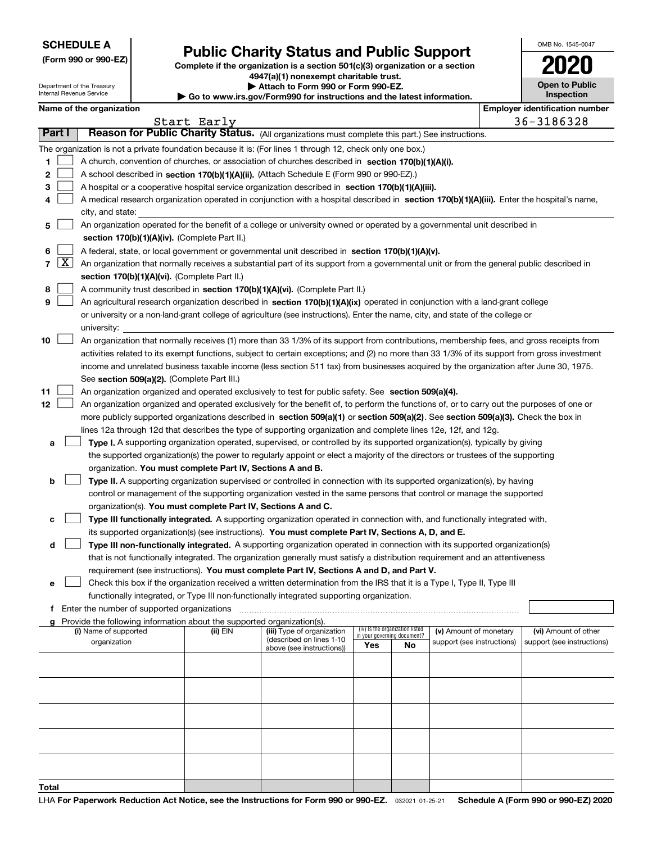| <b>SCHEDULE A</b> |
|-------------------|
|-------------------|

Department of the Treasury Internal Revenue Service

**(Form 990 or 990-EZ)**

## **Public Charity Status and Public Support**

**Complete if the organization is a section 501(c)(3) organization or a section 4947(a)(1) nonexempt charitable trust. | Attach to Form 990 or Form 990-EZ.**   $\blacktriangleright$  Go to

| www.irs.gov/Form990 for instructions and the latest information. |
|------------------------------------------------------------------|
|------------------------------------------------------------------|

| OMB No 1545-0047      |
|-----------------------|
| 2020                  |
| <b>Open to Public</b> |

**Inspection**

|                         |                                                                                                                                                                                                                                                                                                                                                                                                                                                                                                                                                                                                                                                                                                                                                                                                                                                                                                                                                                                                                                                                                                                                                                                                                                                                                                                                             | Name of the organization                                                                                                                                                                                                                                                                                                                                                                                                                                                                                                                                        |             |                                                                                     |     |                                                                      |                                                      |  | <b>Employer identification number</b>              |
|-------------------------|---------------------------------------------------------------------------------------------------------------------------------------------------------------------------------------------------------------------------------------------------------------------------------------------------------------------------------------------------------------------------------------------------------------------------------------------------------------------------------------------------------------------------------------------------------------------------------------------------------------------------------------------------------------------------------------------------------------------------------------------------------------------------------------------------------------------------------------------------------------------------------------------------------------------------------------------------------------------------------------------------------------------------------------------------------------------------------------------------------------------------------------------------------------------------------------------------------------------------------------------------------------------------------------------------------------------------------------------|-----------------------------------------------------------------------------------------------------------------------------------------------------------------------------------------------------------------------------------------------------------------------------------------------------------------------------------------------------------------------------------------------------------------------------------------------------------------------------------------------------------------------------------------------------------------|-------------|-------------------------------------------------------------------------------------|-----|----------------------------------------------------------------------|------------------------------------------------------|--|----------------------------------------------------|
|                         |                                                                                                                                                                                                                                                                                                                                                                                                                                                                                                                                                                                                                                                                                                                                                                                                                                                                                                                                                                                                                                                                                                                                                                                                                                                                                                                                             |                                                                                                                                                                                                                                                                                                                                                                                                                                                                                                                                                                 | Start Early |                                                                                     |     |                                                                      |                                                      |  | 36-3186328                                         |
| Part I                  |                                                                                                                                                                                                                                                                                                                                                                                                                                                                                                                                                                                                                                                                                                                                                                                                                                                                                                                                                                                                                                                                                                                                                                                                                                                                                                                                             | Reason for Public Charity Status. (All organizations must complete this part.) See instructions.                                                                                                                                                                                                                                                                                                                                                                                                                                                                |             |                                                                                     |     |                                                                      |                                                      |  |                                                    |
| 1<br>2<br>з             |                                                                                                                                                                                                                                                                                                                                                                                                                                                                                                                                                                                                                                                                                                                                                                                                                                                                                                                                                                                                                                                                                                                                                                                                                                                                                                                                             | The organization is not a private foundation because it is: (For lines 1 through 12, check only one box.)<br>A church, convention of churches, or association of churches described in section 170(b)(1)(A)(i).<br>A school described in section 170(b)(1)(A)(ii). (Attach Schedule E (Form 990 or 990-EZ).)<br>A hospital or a cooperative hospital service organization described in section 170(b)(1)(A)(iii).<br>A medical research organization operated in conjunction with a hospital described in section 170(b)(1)(A)(iii). Enter the hospital's name, |             |                                                                                     |     |                                                                      |                                                      |  |                                                    |
| 5                       |                                                                                                                                                                                                                                                                                                                                                                                                                                                                                                                                                                                                                                                                                                                                                                                                                                                                                                                                                                                                                                                                                                                                                                                                                                                                                                                                             | city, and state:<br>An organization operated for the benefit of a college or university owned or operated by a governmental unit described in<br>section 170(b)(1)(A)(iv). (Complete Part II.)                                                                                                                                                                                                                                                                                                                                                                  |             |                                                                                     |     |                                                                      |                                                      |  |                                                    |
| 6<br>7<br>8             | $\lfloor x \rfloor$                                                                                                                                                                                                                                                                                                                                                                                                                                                                                                                                                                                                                                                                                                                                                                                                                                                                                                                                                                                                                                                                                                                                                                                                                                                                                                                         | A federal, state, or local government or governmental unit described in section 170(b)(1)(A)(v).<br>An organization that normally receives a substantial part of its support from a governmental unit or from the general public described in<br>section 170(b)(1)(A)(vi). (Complete Part II.)<br>A community trust described in section 170(b)(1)(A)(vi). (Complete Part II.)                                                                                                                                                                                  |             |                                                                                     |     |                                                                      |                                                      |  |                                                    |
| 9                       |                                                                                                                                                                                                                                                                                                                                                                                                                                                                                                                                                                                                                                                                                                                                                                                                                                                                                                                                                                                                                                                                                                                                                                                                                                                                                                                                             | An agricultural research organization described in section 170(b)(1)(A)(ix) operated in conjunction with a land-grant college<br>or university or a non-land-grant college of agriculture (see instructions). Enter the name, city, and state of the college or<br>university:                                                                                                                                                                                                                                                                                  |             |                                                                                     |     |                                                                      |                                                      |  |                                                    |
| 10                      |                                                                                                                                                                                                                                                                                                                                                                                                                                                                                                                                                                                                                                                                                                                                                                                                                                                                                                                                                                                                                                                                                                                                                                                                                                                                                                                                             | An organization that normally receives (1) more than 33 1/3% of its support from contributions, membership fees, and gross receipts from<br>activities related to its exempt functions, subject to certain exceptions; and (2) no more than 33 1/3% of its support from gross investment<br>income and unrelated business taxable income (less section 511 tax) from businesses acquired by the organization after June 30, 1975.                                                                                                                               |             |                                                                                     |     |                                                                      |                                                      |  |                                                    |
| 11<br>12<br>а<br>b<br>с | See section 509(a)(2). (Complete Part III.)<br>An organization organized and operated exclusively to test for public safety. See section 509(a)(4).<br>An organization organized and operated exclusively for the benefit of, to perform the functions of, or to carry out the purposes of one or<br>more publicly supported organizations described in section 509(a)(1) or section 509(a)(2). See section 509(a)(3). Check the box in<br>lines 12a through 12d that describes the type of supporting organization and complete lines 12e, 12f, and 12g.<br>Type I. A supporting organization operated, supervised, or controlled by its supported organization(s), typically by giving<br>the supported organization(s) the power to regularly appoint or elect a majority of the directors or trustees of the supporting<br>organization. You must complete Part IV, Sections A and B.<br>Type II. A supporting organization supervised or controlled in connection with its supported organization(s), by having<br>control or management of the supporting organization vested in the same persons that control or manage the supported<br>organization(s). You must complete Part IV, Sections A and C.<br>Type III functionally integrated. A supporting organization operated in connection with, and functionally integrated with, |                                                                                                                                                                                                                                                                                                                                                                                                                                                                                                                                                                 |             |                                                                                     |     |                                                                      |                                                      |  |                                                    |
| d<br>е                  | its supported organization(s) (see instructions). You must complete Part IV, Sections A, D, and E.<br>Type III non-functionally integrated. A supporting organization operated in connection with its supported organization(s)<br>that is not functionally integrated. The organization generally must satisfy a distribution requirement and an attentiveness<br>requirement (see instructions). You must complete Part IV, Sections A and D, and Part V.<br>Check this box if the organization received a written determination from the IRS that it is a Type I, Type II, Type III                                                                                                                                                                                                                                                                                                                                                                                                                                                                                                                                                                                                                                                                                                                                                      |                                                                                                                                                                                                                                                                                                                                                                                                                                                                                                                                                                 |             |                                                                                     |     |                                                                      |                                                      |  |                                                    |
|                         |                                                                                                                                                                                                                                                                                                                                                                                                                                                                                                                                                                                                                                                                                                                                                                                                                                                                                                                                                                                                                                                                                                                                                                                                                                                                                                                                             | functionally integrated, or Type III non-functionally integrated supporting organization.                                                                                                                                                                                                                                                                                                                                                                                                                                                                       |             |                                                                                     |     |                                                                      |                                                      |  |                                                    |
|                         |                                                                                                                                                                                                                                                                                                                                                                                                                                                                                                                                                                                                                                                                                                                                                                                                                                                                                                                                                                                                                                                                                                                                                                                                                                                                                                                                             | f Enter the number of supported organizations                                                                                                                                                                                                                                                                                                                                                                                                                                                                                                                   |             |                                                                                     |     |                                                                      |                                                      |  |                                                    |
|                         |                                                                                                                                                                                                                                                                                                                                                                                                                                                                                                                                                                                                                                                                                                                                                                                                                                                                                                                                                                                                                                                                                                                                                                                                                                                                                                                                             | g Provide the following information about the supported organization(s).<br>(i) Name of supported<br>organization                                                                                                                                                                                                                                                                                                                                                                                                                                               | (ii) EIN    | (iii) Type of organization<br>(described on lines 1-10<br>above (see instructions)) | Yes | (iv) Is the organization listed<br>in your governing document?<br>No | (v) Amount of monetary<br>support (see instructions) |  | (vi) Amount of other<br>support (see instructions) |
|                         |                                                                                                                                                                                                                                                                                                                                                                                                                                                                                                                                                                                                                                                                                                                                                                                                                                                                                                                                                                                                                                                                                                                                                                                                                                                                                                                                             |                                                                                                                                                                                                                                                                                                                                                                                                                                                                                                                                                                 |             |                                                                                     |     |                                                                      |                                                      |  |                                                    |
|                         |                                                                                                                                                                                                                                                                                                                                                                                                                                                                                                                                                                                                                                                                                                                                                                                                                                                                                                                                                                                                                                                                                                                                                                                                                                                                                                                                             |                                                                                                                                                                                                                                                                                                                                                                                                                                                                                                                                                                 |             |                                                                                     |     |                                                                      |                                                      |  |                                                    |
|                         |                                                                                                                                                                                                                                                                                                                                                                                                                                                                                                                                                                                                                                                                                                                                                                                                                                                                                                                                                                                                                                                                                                                                                                                                                                                                                                                                             |                                                                                                                                                                                                                                                                                                                                                                                                                                                                                                                                                                 |             |                                                                                     |     |                                                                      |                                                      |  |                                                    |
|                         |                                                                                                                                                                                                                                                                                                                                                                                                                                                                                                                                                                                                                                                                                                                                                                                                                                                                                                                                                                                                                                                                                                                                                                                                                                                                                                                                             |                                                                                                                                                                                                                                                                                                                                                                                                                                                                                                                                                                 |             |                                                                                     |     |                                                                      |                                                      |  |                                                    |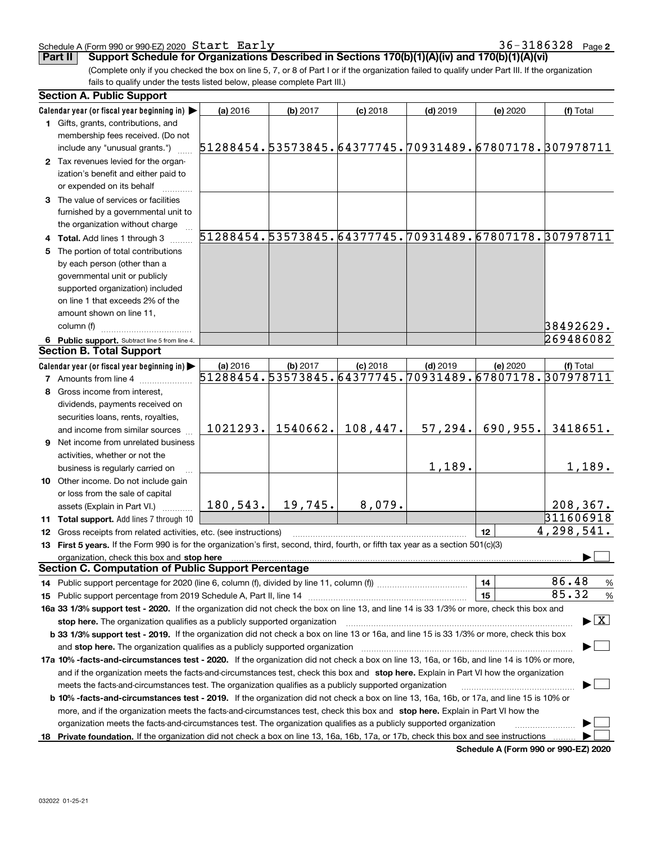## fails to qualify under the tests listed below, please complete Part III.) **Part II** Support Schedule for Organizations Described in Sections 170(b)(1)(A)(iv) and 170(b)(1)(A)(vi)

|     | <b>Section A. Public Support</b>                                                                                                                                          |           |          |                                                        |            |                                      |                                          |
|-----|---------------------------------------------------------------------------------------------------------------------------------------------------------------------------|-----------|----------|--------------------------------------------------------|------------|--------------------------------------|------------------------------------------|
|     | Calendar year (or fiscal year beginning in) $\blacktriangleright$                                                                                                         | (a) 2016  | (b) 2017 | $(c)$ 2018                                             | $(d)$ 2019 | (e) 2020                             | (f) Total                                |
|     | 1 Gifts, grants, contributions, and                                                                                                                                       |           |          |                                                        |            |                                      |                                          |
|     | membership fees received. (Do not                                                                                                                                         |           |          |                                                        |            |                                      |                                          |
|     | include any "unusual grants.")                                                                                                                                            |           |          | 51288454.53573845.64377745.70931489.67807178.307978711 |            |                                      |                                          |
|     | 2 Tax revenues levied for the organ-                                                                                                                                      |           |          |                                                        |            |                                      |                                          |
|     | ization's benefit and either paid to                                                                                                                                      |           |          |                                                        |            |                                      |                                          |
|     | or expended on its behalf                                                                                                                                                 |           |          |                                                        |            |                                      |                                          |
|     | 3 The value of services or facilities                                                                                                                                     |           |          |                                                        |            |                                      |                                          |
|     | furnished by a governmental unit to                                                                                                                                       |           |          |                                                        |            |                                      |                                          |
|     | the organization without charge                                                                                                                                           |           |          |                                                        |            |                                      |                                          |
|     | 4 Total. Add lines 1 through 3                                                                                                                                            |           |          | 51288454.53573845.64377745.70931489.67807178.307978711 |            |                                      |                                          |
|     | 5 The portion of total contributions                                                                                                                                      |           |          |                                                        |            |                                      |                                          |
|     | by each person (other than a                                                                                                                                              |           |          |                                                        |            |                                      |                                          |
|     | governmental unit or publicly                                                                                                                                             |           |          |                                                        |            |                                      |                                          |
|     | supported organization) included                                                                                                                                          |           |          |                                                        |            |                                      |                                          |
|     | on line 1 that exceeds 2% of the                                                                                                                                          |           |          |                                                        |            |                                      |                                          |
|     | amount shown on line 11,                                                                                                                                                  |           |          |                                                        |            |                                      |                                          |
|     | column (f)                                                                                                                                                                |           |          |                                                        |            |                                      | 38492629.                                |
|     | 6 Public support. Subtract line 5 from line 4.                                                                                                                            |           |          |                                                        |            |                                      | 269486082                                |
|     | <b>Section B. Total Support</b>                                                                                                                                           |           |          |                                                        |            |                                      |                                          |
|     | Calendar year (or fiscal year beginning in)                                                                                                                               | (a) 2016  | (b) 2017 | $(c)$ 2018                                             | $(d)$ 2019 | (e) 2020                             | (f) Total                                |
|     | 7 Amounts from line 4                                                                                                                                                     |           |          | 51288454.53573845.64377745.70931489.67807178.307978711 |            |                                      |                                          |
|     | 8 Gross income from interest,                                                                                                                                             |           |          |                                                        |            |                                      |                                          |
|     | dividends, payments received on                                                                                                                                           |           |          |                                                        |            |                                      |                                          |
|     | securities loans, rents, royalties,                                                                                                                                       |           |          |                                                        |            |                                      |                                          |
|     | and income from similar sources                                                                                                                                           | 1021293.  | 1540662. | 108,447.                                               | 57,294.    | 690, 955.                            | 3418651.                                 |
| 9   | Net income from unrelated business                                                                                                                                        |           |          |                                                        |            |                                      |                                          |
|     | activities, whether or not the                                                                                                                                            |           |          |                                                        |            |                                      |                                          |
|     | business is regularly carried on                                                                                                                                          |           |          |                                                        | 1,189.     |                                      | 1,189.                                   |
|     | 10 Other income. Do not include gain                                                                                                                                      |           |          |                                                        |            |                                      |                                          |
|     | or loss from the sale of capital                                                                                                                                          |           |          |                                                        |            |                                      |                                          |
|     | assets (Explain in Part VI.)                                                                                                                                              | 180, 543. | 19,745.  | 8,079.                                                 |            |                                      | 208, 367.                                |
|     | 11 Total support. Add lines 7 through 10                                                                                                                                  |           |          |                                                        |            |                                      | 311606918                                |
|     | 12 Gross receipts from related activities, etc. (see instructions)                                                                                                        |           |          |                                                        |            | 12 <sup>2</sup>                      | 4,298,541.                               |
|     | 13 First 5 years. If the Form 990 is for the organization's first, second, third, fourth, or fifth tax year as a section 501(c)(3)                                        |           |          |                                                        |            |                                      |                                          |
|     |                                                                                                                                                                           |           |          |                                                        |            |                                      |                                          |
|     | <b>Section C. Computation of Public Support Percentage</b>                                                                                                                |           |          |                                                        |            |                                      |                                          |
| 14  |                                                                                                                                                                           |           |          |                                                        |            | 14                                   | 86.48<br>%                               |
| 15  | Public support percentage from 2019 Schedule A, Part II, line 14 [2010] contains a material contract the Public support percentage from 2019 Schedule A, Part II, line 14 |           |          |                                                        |            | 15                                   | 85.32<br>%                               |
|     | 16a 33 1/3% support test - 2020. If the organization did not check the box on line 13, and line 14 is 33 1/3% or more, check this box and                                 |           |          |                                                        |            |                                      |                                          |
|     | stop here. The organization qualifies as a publicly supported organization                                                                                                |           |          |                                                        |            |                                      | $\blacktriangleright$ $\boxed{\text{X}}$ |
|     | b 33 1/3% support test - 2019. If the organization did not check a box on line 13 or 16a, and line 15 is 33 1/3% or more, check this box                                  |           |          |                                                        |            |                                      |                                          |
|     | and stop here. The organization qualifies as a publicly supported organization                                                                                            |           |          |                                                        |            |                                      |                                          |
|     | 17a 10% -facts-and-circumstances test - 2020. If the organization did not check a box on line 13, 16a, or 16b, and line 14 is 10% or more,                                |           |          |                                                        |            |                                      |                                          |
|     | and if the organization meets the facts-and-circumstances test, check this box and stop here. Explain in Part VI how the organization                                     |           |          |                                                        |            |                                      |                                          |
|     | meets the facts-and-circumstances test. The organization qualifies as a publicly supported organization                                                                   |           |          |                                                        |            |                                      |                                          |
|     |                                                                                                                                                                           |           |          |                                                        |            |                                      |                                          |
|     | <b>b 10% -facts-and-circumstances test - 2019.</b> If the organization did not check a box on line 13, 16a, 16b, or 17a, and line 15 is 10% or                            |           |          |                                                        |            |                                      |                                          |
|     | more, and if the organization meets the facts-and-circumstances test, check this box and stop here. Explain in Part VI how the                                            |           |          |                                                        |            |                                      |                                          |
|     | organization meets the facts-and-circumstances test. The organization qualifies as a publicly supported organization                                                      |           |          |                                                        |            |                                      |                                          |
| 18. | Private foundation. If the organization did not check a box on line 13, 16a, 16b, 17a, or 17b, check this box and see instructions                                        |           |          |                                                        |            | Schedule A (Form 990 or 990-EZ) 2020 |                                          |
|     |                                                                                                                                                                           |           |          |                                                        |            |                                      |                                          |

**2** Schedule A (Form 990 or 990-EZ) 2020  $\texttt{Start}\, \texttt{Early}$  , we can consider the set of  $36\,\text{--}\,3186328$  . Page

(Complete only if you checked the box on line 5, 7, or 8 of Part I or if the organization failed to qualify under Part III. If the organization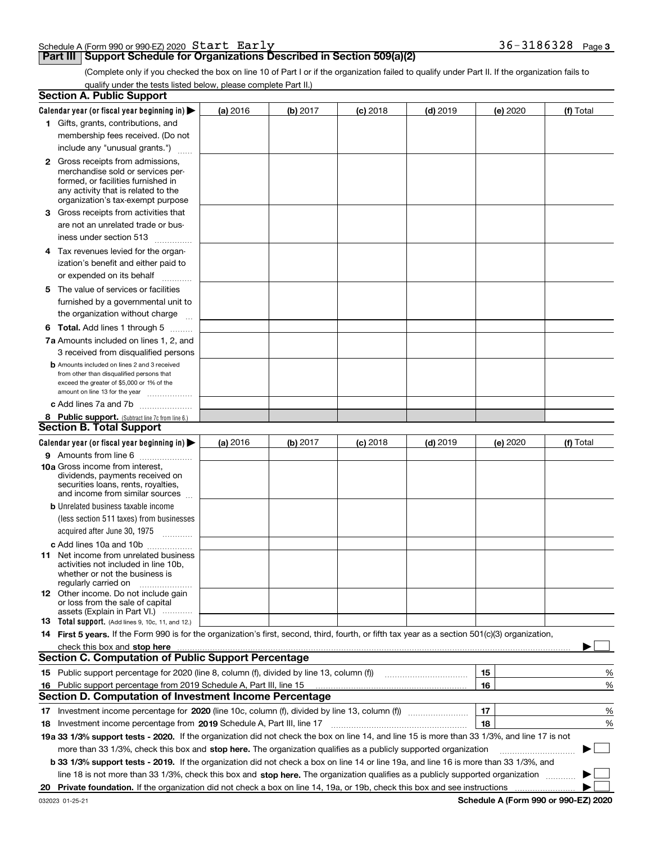|  | Schedule A (Form 990 or 990-EZ) 2020 $\,$ $\mathtt{Start}$ | Earlv |  |  | 3186328 | Page 3 |
|--|------------------------------------------------------------|-------|--|--|---------|--------|
|  |                                                            |       |  |  |         |        |

### **Part III Support Schedule for Organizations Described in Section 509(a)(2)**

(Complete only if you checked the box on line 10 of Part I or if the organization failed to qualify under Part II. If the organization fails to qualify under the tests listed below, please complete Part II.)

| Calendar year (or fiscal year beginning in) $\blacktriangleright$<br>(b) 2017<br>$(d)$ 2019<br>(a) 2016<br>$(c)$ 2018<br>(e) 2020<br>1 Gifts, grants, contributions, and<br>membership fees received. (Do not<br>include any "unusual grants.")<br><b>2</b> Gross receipts from admissions,<br>merchandise sold or services per-<br>formed, or facilities furnished in<br>any activity that is related to the<br>organization's tax-exempt purpose<br>3 Gross receipts from activities that<br>are not an unrelated trade or bus-<br>iness under section 513<br>4 Tax revenues levied for the organ-<br>ization's benefit and either paid to<br>or expended on its behalf<br>.<br>5 The value of services or facilities<br>furnished by a governmental unit to<br>the organization without charge<br><b>6 Total.</b> Add lines 1 through 5<br>7a Amounts included on lines 1, 2, and<br>3 received from disqualified persons<br><b>b</b> Amounts included on lines 2 and 3 received | (f) Total |
|-------------------------------------------------------------------------------------------------------------------------------------------------------------------------------------------------------------------------------------------------------------------------------------------------------------------------------------------------------------------------------------------------------------------------------------------------------------------------------------------------------------------------------------------------------------------------------------------------------------------------------------------------------------------------------------------------------------------------------------------------------------------------------------------------------------------------------------------------------------------------------------------------------------------------------------------------------------------------------------|-----------|
|                                                                                                                                                                                                                                                                                                                                                                                                                                                                                                                                                                                                                                                                                                                                                                                                                                                                                                                                                                                     |           |
|                                                                                                                                                                                                                                                                                                                                                                                                                                                                                                                                                                                                                                                                                                                                                                                                                                                                                                                                                                                     |           |
|                                                                                                                                                                                                                                                                                                                                                                                                                                                                                                                                                                                                                                                                                                                                                                                                                                                                                                                                                                                     |           |
|                                                                                                                                                                                                                                                                                                                                                                                                                                                                                                                                                                                                                                                                                                                                                                                                                                                                                                                                                                                     |           |
|                                                                                                                                                                                                                                                                                                                                                                                                                                                                                                                                                                                                                                                                                                                                                                                                                                                                                                                                                                                     |           |
|                                                                                                                                                                                                                                                                                                                                                                                                                                                                                                                                                                                                                                                                                                                                                                                                                                                                                                                                                                                     |           |
|                                                                                                                                                                                                                                                                                                                                                                                                                                                                                                                                                                                                                                                                                                                                                                                                                                                                                                                                                                                     |           |
|                                                                                                                                                                                                                                                                                                                                                                                                                                                                                                                                                                                                                                                                                                                                                                                                                                                                                                                                                                                     |           |
|                                                                                                                                                                                                                                                                                                                                                                                                                                                                                                                                                                                                                                                                                                                                                                                                                                                                                                                                                                                     |           |
|                                                                                                                                                                                                                                                                                                                                                                                                                                                                                                                                                                                                                                                                                                                                                                                                                                                                                                                                                                                     |           |
|                                                                                                                                                                                                                                                                                                                                                                                                                                                                                                                                                                                                                                                                                                                                                                                                                                                                                                                                                                                     |           |
|                                                                                                                                                                                                                                                                                                                                                                                                                                                                                                                                                                                                                                                                                                                                                                                                                                                                                                                                                                                     |           |
|                                                                                                                                                                                                                                                                                                                                                                                                                                                                                                                                                                                                                                                                                                                                                                                                                                                                                                                                                                                     |           |
|                                                                                                                                                                                                                                                                                                                                                                                                                                                                                                                                                                                                                                                                                                                                                                                                                                                                                                                                                                                     |           |
|                                                                                                                                                                                                                                                                                                                                                                                                                                                                                                                                                                                                                                                                                                                                                                                                                                                                                                                                                                                     |           |
|                                                                                                                                                                                                                                                                                                                                                                                                                                                                                                                                                                                                                                                                                                                                                                                                                                                                                                                                                                                     |           |
|                                                                                                                                                                                                                                                                                                                                                                                                                                                                                                                                                                                                                                                                                                                                                                                                                                                                                                                                                                                     |           |
|                                                                                                                                                                                                                                                                                                                                                                                                                                                                                                                                                                                                                                                                                                                                                                                                                                                                                                                                                                                     |           |
|                                                                                                                                                                                                                                                                                                                                                                                                                                                                                                                                                                                                                                                                                                                                                                                                                                                                                                                                                                                     |           |
|                                                                                                                                                                                                                                                                                                                                                                                                                                                                                                                                                                                                                                                                                                                                                                                                                                                                                                                                                                                     |           |
|                                                                                                                                                                                                                                                                                                                                                                                                                                                                                                                                                                                                                                                                                                                                                                                                                                                                                                                                                                                     |           |
|                                                                                                                                                                                                                                                                                                                                                                                                                                                                                                                                                                                                                                                                                                                                                                                                                                                                                                                                                                                     |           |
| from other than disqualified persons that<br>exceed the greater of \$5,000 or 1% of the                                                                                                                                                                                                                                                                                                                                                                                                                                                                                                                                                                                                                                                                                                                                                                                                                                                                                             |           |
| amount on line 13 for the year                                                                                                                                                                                                                                                                                                                                                                                                                                                                                                                                                                                                                                                                                                                                                                                                                                                                                                                                                      |           |
| c Add lines 7a and 7b                                                                                                                                                                                                                                                                                                                                                                                                                                                                                                                                                                                                                                                                                                                                                                                                                                                                                                                                                               |           |
| 8 Public support. (Subtract line 7c from line 6.)                                                                                                                                                                                                                                                                                                                                                                                                                                                                                                                                                                                                                                                                                                                                                                                                                                                                                                                                   |           |
| <b>Section B. Total Support</b>                                                                                                                                                                                                                                                                                                                                                                                                                                                                                                                                                                                                                                                                                                                                                                                                                                                                                                                                                     |           |
| Calendar year (or fiscal year beginning in) $\blacktriangleright$<br>$(d)$ 2019<br>(a) 2016<br>$(b)$ 2017<br>$(c)$ 2018<br>(e) 2020                                                                                                                                                                                                                                                                                                                                                                                                                                                                                                                                                                                                                                                                                                                                                                                                                                                 | (f) Total |
| 9 Amounts from line 6                                                                                                                                                                                                                                                                                                                                                                                                                                                                                                                                                                                                                                                                                                                                                                                                                                                                                                                                                               |           |
| <b>10a</b> Gross income from interest,                                                                                                                                                                                                                                                                                                                                                                                                                                                                                                                                                                                                                                                                                                                                                                                                                                                                                                                                              |           |
| dividends, payments received on                                                                                                                                                                                                                                                                                                                                                                                                                                                                                                                                                                                                                                                                                                                                                                                                                                                                                                                                                     |           |
| securities loans, rents, royalties,<br>and income from similar sources                                                                                                                                                                                                                                                                                                                                                                                                                                                                                                                                                                                                                                                                                                                                                                                                                                                                                                              |           |
| <b>b</b> Unrelated business taxable income                                                                                                                                                                                                                                                                                                                                                                                                                                                                                                                                                                                                                                                                                                                                                                                                                                                                                                                                          |           |
| (less section 511 taxes) from businesses                                                                                                                                                                                                                                                                                                                                                                                                                                                                                                                                                                                                                                                                                                                                                                                                                                                                                                                                            |           |
| acquired after June 30, 1975 [10001]                                                                                                                                                                                                                                                                                                                                                                                                                                                                                                                                                                                                                                                                                                                                                                                                                                                                                                                                                |           |
|                                                                                                                                                                                                                                                                                                                                                                                                                                                                                                                                                                                                                                                                                                                                                                                                                                                                                                                                                                                     |           |
| c Add lines 10a and 10b<br>11 Net income from unrelated business                                                                                                                                                                                                                                                                                                                                                                                                                                                                                                                                                                                                                                                                                                                                                                                                                                                                                                                    |           |
| activities not included in line 10b,                                                                                                                                                                                                                                                                                                                                                                                                                                                                                                                                                                                                                                                                                                                                                                                                                                                                                                                                                |           |
| whether or not the business is                                                                                                                                                                                                                                                                                                                                                                                                                                                                                                                                                                                                                                                                                                                                                                                                                                                                                                                                                      |           |
| regularly carried on                                                                                                                                                                                                                                                                                                                                                                                                                                                                                                                                                                                                                                                                                                                                                                                                                                                                                                                                                                |           |
| <b>12</b> Other income. Do not include gain<br>or loss from the sale of capital                                                                                                                                                                                                                                                                                                                                                                                                                                                                                                                                                                                                                                                                                                                                                                                                                                                                                                     |           |
| assets (Explain in Part VI.)                                                                                                                                                                                                                                                                                                                                                                                                                                                                                                                                                                                                                                                                                                                                                                                                                                                                                                                                                        |           |
| <b>13</b> Total support. (Add lines 9, 10c, 11, and 12.)                                                                                                                                                                                                                                                                                                                                                                                                                                                                                                                                                                                                                                                                                                                                                                                                                                                                                                                            |           |
| 14 First 5 years. If the Form 990 is for the organization's first, second, third, fourth, or fifth tax year as a section 501(c)(3) organization,                                                                                                                                                                                                                                                                                                                                                                                                                                                                                                                                                                                                                                                                                                                                                                                                                                    |           |
| check this box and stop here measurements are constructed to the state of the state of the state of the state o                                                                                                                                                                                                                                                                                                                                                                                                                                                                                                                                                                                                                                                                                                                                                                                                                                                                     |           |
| <b>Section C. Computation of Public Support Percentage</b>                                                                                                                                                                                                                                                                                                                                                                                                                                                                                                                                                                                                                                                                                                                                                                                                                                                                                                                          |           |
| 15 Public support percentage for 2020 (line 8, column (f), divided by line 13, column (f))<br>15<br><u> 1986 - Jan Barbarat, martin a</u>                                                                                                                                                                                                                                                                                                                                                                                                                                                                                                                                                                                                                                                                                                                                                                                                                                           | %         |
| 16 Public support percentage from 2019 Schedule A, Part III, line 15<br>16                                                                                                                                                                                                                                                                                                                                                                                                                                                                                                                                                                                                                                                                                                                                                                                                                                                                                                          | %         |
| Section D. Computation of Investment Income Percentage                                                                                                                                                                                                                                                                                                                                                                                                                                                                                                                                                                                                                                                                                                                                                                                                                                                                                                                              |           |
| 17<br>Investment income percentage for 2020 (line 10c, column (f), divided by line 13, column (f) <i></i><br>17                                                                                                                                                                                                                                                                                                                                                                                                                                                                                                                                                                                                                                                                                                                                                                                                                                                                     | %         |
| 18<br><b>18</b> Investment income percentage from <b>2019</b> Schedule A, Part III, line 17                                                                                                                                                                                                                                                                                                                                                                                                                                                                                                                                                                                                                                                                                                                                                                                                                                                                                         | %         |
| 19a 33 1/3% support tests - 2020. If the organization did not check the box on line 14, and line 15 is more than 33 1/3%, and line 17 is not                                                                                                                                                                                                                                                                                                                                                                                                                                                                                                                                                                                                                                                                                                                                                                                                                                        |           |
| more than 33 1/3%, check this box and stop here. The organization qualifies as a publicly supported organization                                                                                                                                                                                                                                                                                                                                                                                                                                                                                                                                                                                                                                                                                                                                                                                                                                                                    |           |
| b 33 1/3% support tests - 2019. If the organization did not check a box on line 14 or line 19a, and line 16 is more than 33 1/3%, and                                                                                                                                                                                                                                                                                                                                                                                                                                                                                                                                                                                                                                                                                                                                                                                                                                               | ▶         |
| line 18 is not more than 33 1/3%, check this box and stop here. The organization qualifies as a publicly supported organization                                                                                                                                                                                                                                                                                                                                                                                                                                                                                                                                                                                                                                                                                                                                                                                                                                                     |           |
| 20                                                                                                                                                                                                                                                                                                                                                                                                                                                                                                                                                                                                                                                                                                                                                                                                                                                                                                                                                                                  |           |

**Schedule A (Form 990 or 990-EZ) 2020**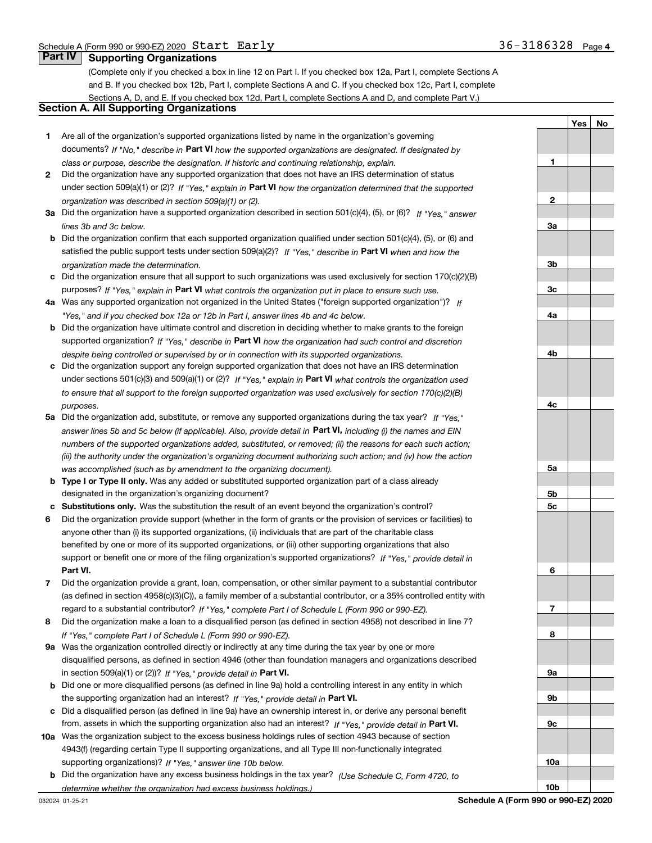**1**

**2**

**YesNo**

### **Part IV Supporting Organizations**

(Complete only if you checked a box in line 12 on Part I. If you checked box 12a, Part I, complete Sections A and B. If you checked box 12b, Part I, complete Sections A and C. If you checked box 12c, Part I, complete Sections A, D, and E. If you checked box 12d, Part I, complete Sections A and D, and complete Part V.)

### **Section A. All Supporting Organizations**

- **1** Are all of the organization's supported organizations listed by name in the organization's governing documents? If "No," describe in **Part VI** how the supported organizations are designated. If designated by *class or purpose, describe the designation. If historic and continuing relationship, explain.*
- **2** Did the organization have any supported organization that does not have an IRS determination of status under section 509(a)(1) or (2)? If "Yes," explain in Part VI how the organization determined that the supported *organization was described in section 509(a)(1) or (2).*
- **3a** Did the organization have a supported organization described in section 501(c)(4), (5), or (6)? If "Yes," answer *lines 3b and 3c below.*
- **b** Did the organization confirm that each supported organization qualified under section 501(c)(4), (5), or (6) and satisfied the public support tests under section 509(a)(2)? If "Yes," describe in **Part VI** when and how the *organization made the determination.*
- **c**Did the organization ensure that all support to such organizations was used exclusively for section 170(c)(2)(B) purposes? If "Yes," explain in **Part VI** what controls the organization put in place to ensure such use.
- **4a***If* Was any supported organization not organized in the United States ("foreign supported organization")? *"Yes," and if you checked box 12a or 12b in Part I, answer lines 4b and 4c below.*
- **b** Did the organization have ultimate control and discretion in deciding whether to make grants to the foreign supported organization? If "Yes," describe in **Part VI** how the organization had such control and discretion *despite being controlled or supervised by or in connection with its supported organizations.*
- **c** Did the organization support any foreign supported organization that does not have an IRS determination under sections 501(c)(3) and 509(a)(1) or (2)? If "Yes," explain in **Part VI** what controls the organization used *to ensure that all support to the foreign supported organization was used exclusively for section 170(c)(2)(B) purposes.*
- **5a***If "Yes,"* Did the organization add, substitute, or remove any supported organizations during the tax year? answer lines 5b and 5c below (if applicable). Also, provide detail in **Part VI,** including (i) the names and EIN *numbers of the supported organizations added, substituted, or removed; (ii) the reasons for each such action; (iii) the authority under the organization's organizing document authorizing such action; and (iv) how the action was accomplished (such as by amendment to the organizing document).*
- **b** Type I or Type II only. Was any added or substituted supported organization part of a class already designated in the organization's organizing document?
- **cSubstitutions only.**  Was the substitution the result of an event beyond the organization's control?
- **6** Did the organization provide support (whether in the form of grants or the provision of services or facilities) to **Part VI.** *If "Yes," provide detail in* support or benefit one or more of the filing organization's supported organizations? anyone other than (i) its supported organizations, (ii) individuals that are part of the charitable class benefited by one or more of its supported organizations, or (iii) other supporting organizations that also
- **7**Did the organization provide a grant, loan, compensation, or other similar payment to a substantial contributor *If "Yes," complete Part I of Schedule L (Form 990 or 990-EZ).* regard to a substantial contributor? (as defined in section 4958(c)(3)(C)), a family member of a substantial contributor, or a 35% controlled entity with
- **8** Did the organization make a loan to a disqualified person (as defined in section 4958) not described in line 7? *If "Yes," complete Part I of Schedule L (Form 990 or 990-EZ).*
- **9a** Was the organization controlled directly or indirectly at any time during the tax year by one or more in section 509(a)(1) or (2))? If "Yes," *provide detail in* <code>Part VI.</code> disqualified persons, as defined in section 4946 (other than foundation managers and organizations described
- **b** Did one or more disqualified persons (as defined in line 9a) hold a controlling interest in any entity in which the supporting organization had an interest? If "Yes," provide detail in P**art VI**.
- **c**Did a disqualified person (as defined in line 9a) have an ownership interest in, or derive any personal benefit from, assets in which the supporting organization also had an interest? If "Yes," provide detail in P**art VI.**
- **10a** Was the organization subject to the excess business holdings rules of section 4943 because of section supporting organizations)? If "Yes," answer line 10b below. 4943(f) (regarding certain Type II supporting organizations, and all Type III non-functionally integrated
- **b** Did the organization have any excess business holdings in the tax year? (Use Schedule C, Form 4720, to *determine whether the organization had excess business holdings.)*

**10b**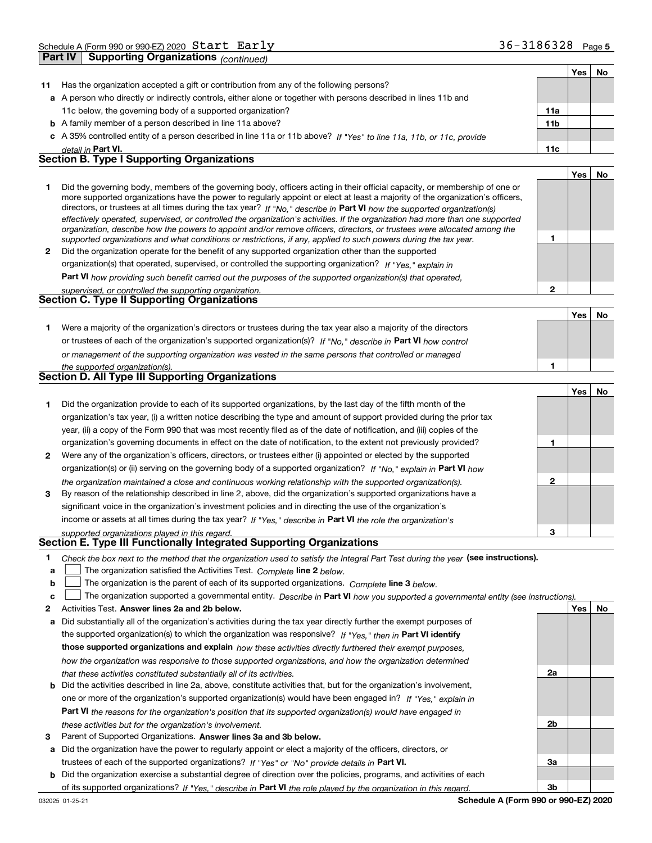|              |                                                                                                                                                                                                                                                             |                 | Yes        | No |
|--------------|-------------------------------------------------------------------------------------------------------------------------------------------------------------------------------------------------------------------------------------------------------------|-----------------|------------|----|
| 11           | Has the organization accepted a gift or contribution from any of the following persons?                                                                                                                                                                     |                 |            |    |
|              | a A person who directly or indirectly controls, either alone or together with persons described in lines 11b and                                                                                                                                            |                 |            |    |
|              | 11c below, the governing body of a supported organization?                                                                                                                                                                                                  | 11a             |            |    |
| b            | A family member of a person described in line 11a above?                                                                                                                                                                                                    | 11 <sub>b</sub> |            |    |
|              | c A 35% controlled entity of a person described in line 11a or 11b above? If "Yes" to line 11a, 11b, or 11c, provide                                                                                                                                        |                 |            |    |
|              | detail in Part VI.<br><b>Section B. Type I Supporting Organizations</b>                                                                                                                                                                                     | 11c             |            |    |
|              |                                                                                                                                                                                                                                                             |                 |            |    |
|              |                                                                                                                                                                                                                                                             |                 | <b>Yes</b> | No |
| 1.           | Did the governing body, members of the governing body, officers acting in their official capacity, or membership of one or<br>more supported organizations have the power to regularly appoint or elect at least a majority of the organization's officers, |                 |            |    |
|              | directors, or trustees at all times during the tax year? If "No," describe in Part VI how the supported organization(s)                                                                                                                                     |                 |            |    |
|              | effectively operated, supervised, or controlled the organization's activities. If the organization had more than one supported                                                                                                                              |                 |            |    |
|              | organization, describe how the powers to appoint and/or remove officers, directors, or trustees were allocated among the                                                                                                                                    | 1               |            |    |
| $\mathbf{2}$ | supported organizations and what conditions or restrictions, if any, applied to such powers during the tax year.<br>Did the organization operate for the benefit of any supported organization other than the supported                                     |                 |            |    |
|              | organization(s) that operated, supervised, or controlled the supporting organization? If "Yes," explain in                                                                                                                                                  |                 |            |    |
|              |                                                                                                                                                                                                                                                             |                 |            |    |
|              | Part VI how providing such benefit carried out the purposes of the supported organization(s) that operated,                                                                                                                                                 | 2               |            |    |
|              | supervised, or controlled the supporting organization.<br>Section C. Type II Supporting Organizations                                                                                                                                                       |                 |            |    |
|              |                                                                                                                                                                                                                                                             |                 | Yes        | No |
| 1.           | Were a majority of the organization's directors or trustees during the tax year also a majority of the directors                                                                                                                                            |                 |            |    |
|              | or trustees of each of the organization's supported organization(s)? If "No," describe in Part VI how control                                                                                                                                               |                 |            |    |
|              |                                                                                                                                                                                                                                                             |                 |            |    |
|              | or management of the supporting organization was vested in the same persons that controlled or managed<br>the supported organization(s).                                                                                                                    | 1               |            |    |
|              | Section D. All Type III Supporting Organizations                                                                                                                                                                                                            |                 |            |    |
|              |                                                                                                                                                                                                                                                             |                 | Yes        | No |
| 1.           | Did the organization provide to each of its supported organizations, by the last day of the fifth month of the                                                                                                                                              |                 |            |    |
|              | organization's tax year, (i) a written notice describing the type and amount of support provided during the prior tax                                                                                                                                       |                 |            |    |
|              | year, (ii) a copy of the Form 990 that was most recently filed as of the date of notification, and (iii) copies of the                                                                                                                                      |                 |            |    |
|              | organization's governing documents in effect on the date of notification, to the extent not previously provided?                                                                                                                                            | 1               |            |    |
| 2            | Were any of the organization's officers, directors, or trustees either (i) appointed or elected by the supported                                                                                                                                            |                 |            |    |
|              | organization(s) or (ii) serving on the governing body of a supported organization? If "No," explain in Part VI how                                                                                                                                          |                 |            |    |
|              | the organization maintained a close and continuous working relationship with the supported organization(s).                                                                                                                                                 | 2               |            |    |
| 3            | By reason of the relationship described in line 2, above, did the organization's supported organizations have a                                                                                                                                             |                 |            |    |
|              | significant voice in the organization's investment policies and in directing the use of the organization's                                                                                                                                                  |                 |            |    |
|              | income or assets at all times during the tax year? If "Yes," describe in Part VI the role the organization's                                                                                                                                                |                 |            |    |
|              | supported organizations played in this regard.                                                                                                                                                                                                              | 3               |            |    |
|              | <b>Section E. Type III Functionally Integrated Supporting Organizations</b>                                                                                                                                                                                 |                 |            |    |
| 1            | Check the box next to the method that the organization used to satisfy the Integral Part Test during the year (see instructions).                                                                                                                           |                 |            |    |
| a            | The organization satisfied the Activities Test. Complete line 2 below.                                                                                                                                                                                      |                 |            |    |
| b            | The organization is the parent of each of its supported organizations. Complete line 3 below.                                                                                                                                                               |                 |            |    |
| c            | The organization supported a governmental entity. Describe in Part VI how you supported a governmental entity (see instructions)                                                                                                                            |                 |            |    |
| 2            | Activities Test. Answer lines 2a and 2b below.                                                                                                                                                                                                              |                 | Yes        | No |
| а            | Did substantially all of the organization's activities during the tax year directly further the exempt purposes of                                                                                                                                          |                 |            |    |
|              | the supported organization(s) to which the organization was responsive? If "Yes," then in Part VI identify                                                                                                                                                  |                 |            |    |
|              | those supported organizations and explain how these activities directly furthered their exempt purposes,                                                                                                                                                    |                 |            |    |
|              | how the organization was responsive to those supported organizations, and how the organization determined                                                                                                                                                   |                 |            |    |
|              | that these activities constituted substantially all of its activities.                                                                                                                                                                                      | 2a              |            |    |
| b            | Did the activities described in line 2a, above, constitute activities that, but for the organization's involvement,                                                                                                                                         |                 |            |    |
|              | one or more of the organization's supported organization(s) would have been engaged in? If "Yes," explain in                                                                                                                                                |                 |            |    |

**Part VI**  *the reasons for the organization's position that its supported organization(s) would have engaged in these activities but for the organization's involvement.*

**3** Parent of Supported Organizations. Answer lines 3a and 3b below.

**a** Did the organization have the power to regularly appoint or elect a majority of the officers, directors, or trustees of each of the supported organizations? If "Yes" or "No" provide details in P**art VI.** 

**b** Did the organization exercise a substantial degree of direction over the policies, programs, and activities of each of its supported organizations? If "Yes," describe in Part VI the role played by the organization in this regard.

**2b**

**3a**

**3b**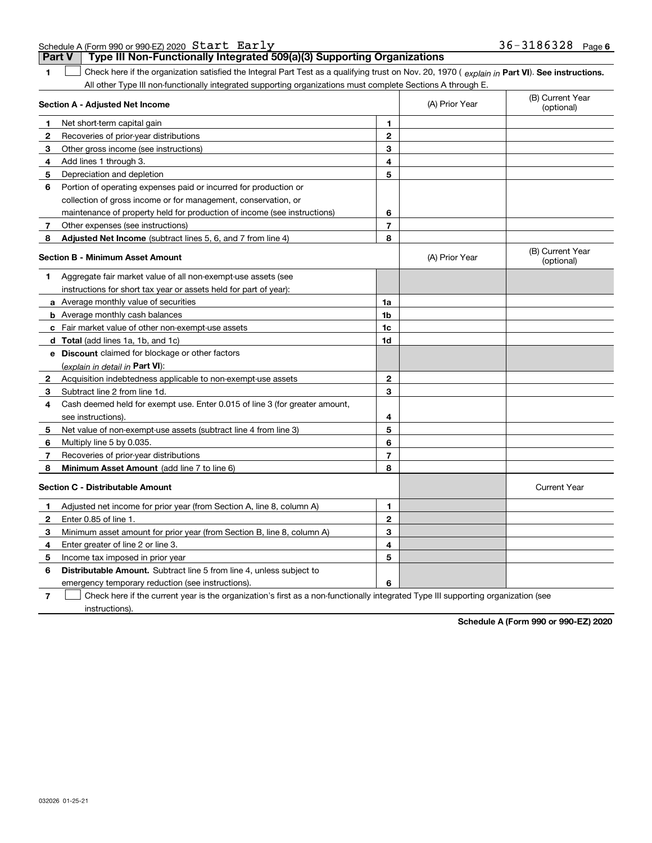| Schedule A (Form 990 or 990-EZ) 2020 $\texttt{Start}$<br>$36 - 1$<br>-3186328<br>Earlv<br>Page |
|------------------------------------------------------------------------------------------------|
|------------------------------------------------------------------------------------------------|

**Part V Type III Non-Functionally Integrated 509(a)(3) Supporting Organizations** 

| 1                                       | Check here if the organization satisfied the Integral Part Test as a qualifying trust on Nov. 20, 1970 (explain in Part VI). See instructions. |                |                |                                |
|-----------------------------------------|------------------------------------------------------------------------------------------------------------------------------------------------|----------------|----------------|--------------------------------|
|                                         | All other Type III non-functionally integrated supporting organizations must complete Sections A through E.                                    |                |                |                                |
|                                         | Section A - Adjusted Net Income                                                                                                                |                | (A) Prior Year | (B) Current Year<br>(optional) |
| 1                                       | Net short-term capital gain                                                                                                                    | 1              |                |                                |
| $\mathbf{2}$                            | Recoveries of prior-year distributions                                                                                                         | $\overline{2}$ |                |                                |
| З                                       | Other gross income (see instructions)                                                                                                          | 3              |                |                                |
| 4                                       | Add lines 1 through 3.                                                                                                                         | 4              |                |                                |
| 5                                       | Depreciation and depletion                                                                                                                     | 5              |                |                                |
| 6                                       | Portion of operating expenses paid or incurred for production or                                                                               |                |                |                                |
|                                         | collection of gross income or for management, conservation, or                                                                                 |                |                |                                |
|                                         | maintenance of property held for production of income (see instructions)                                                                       | 6              |                |                                |
| 7                                       | Other expenses (see instructions)                                                                                                              | 7              |                |                                |
| 8                                       | <b>Adjusted Net Income</b> (subtract lines 5, 6, and 7 from line 4)                                                                            | 8              |                |                                |
|                                         | <b>Section B - Minimum Asset Amount</b>                                                                                                        |                | (A) Prior Year | (B) Current Year<br>(optional) |
| 1                                       | Aggregate fair market value of all non-exempt-use assets (see                                                                                  |                |                |                                |
|                                         | instructions for short tax year or assets held for part of year):                                                                              |                |                |                                |
|                                         | a Average monthly value of securities                                                                                                          | 1a             |                |                                |
|                                         | <b>b</b> Average monthly cash balances                                                                                                         | 1b             |                |                                |
|                                         | c Fair market value of other non-exempt-use assets                                                                                             | 1c             |                |                                |
|                                         | d Total (add lines 1a, 1b, and 1c)                                                                                                             | 1d             |                |                                |
|                                         | e Discount claimed for blockage or other factors                                                                                               |                |                |                                |
|                                         | (explain in detail in Part VI):                                                                                                                |                |                |                                |
| 2                                       | Acquisition indebtedness applicable to non-exempt-use assets                                                                                   | $\mathbf{2}$   |                |                                |
| 3                                       | Subtract line 2 from line 1d.                                                                                                                  | 3              |                |                                |
| 4                                       | Cash deemed held for exempt use. Enter 0.015 of line 3 (for greater amount,                                                                    |                |                |                                |
|                                         | see instructions).                                                                                                                             | 4              |                |                                |
| 5                                       | Net value of non-exempt-use assets (subtract line 4 from line 3)                                                                               | 5              |                |                                |
| 6                                       | Multiply line 5 by 0.035.                                                                                                                      | 6              |                |                                |
| 7                                       | Recoveries of prior-year distributions                                                                                                         | $\overline{7}$ |                |                                |
| 8                                       | Minimum Asset Amount (add line 7 to line 6)                                                                                                    | 8              |                |                                |
| <b>Section C - Distributable Amount</b> |                                                                                                                                                |                |                | <b>Current Year</b>            |
| 1.                                      | Adjusted net income for prior year (from Section A, line 8, column A)                                                                          | 1              |                |                                |
| 2                                       | Enter 0.85 of line 1.                                                                                                                          | $\overline{2}$ |                |                                |
| з                                       | Minimum asset amount for prior year (from Section B, line 8, column A)                                                                         | 3              |                |                                |
| 4                                       | Enter greater of line 2 or line 3.                                                                                                             | 4              |                |                                |
| 5                                       | Income tax imposed in prior year                                                                                                               | 5              |                |                                |
| 6                                       | <b>Distributable Amount.</b> Subtract line 5 from line 4, unless subject to                                                                    |                |                |                                |
|                                         | emergency temporary reduction (see instructions).                                                                                              | 6              |                |                                |

**7**Check here if the current year is the organization's first as a non-functionally integrated Type III supporting organization (see instructions).

**Schedule A (Form 990 or 990-EZ) 2020**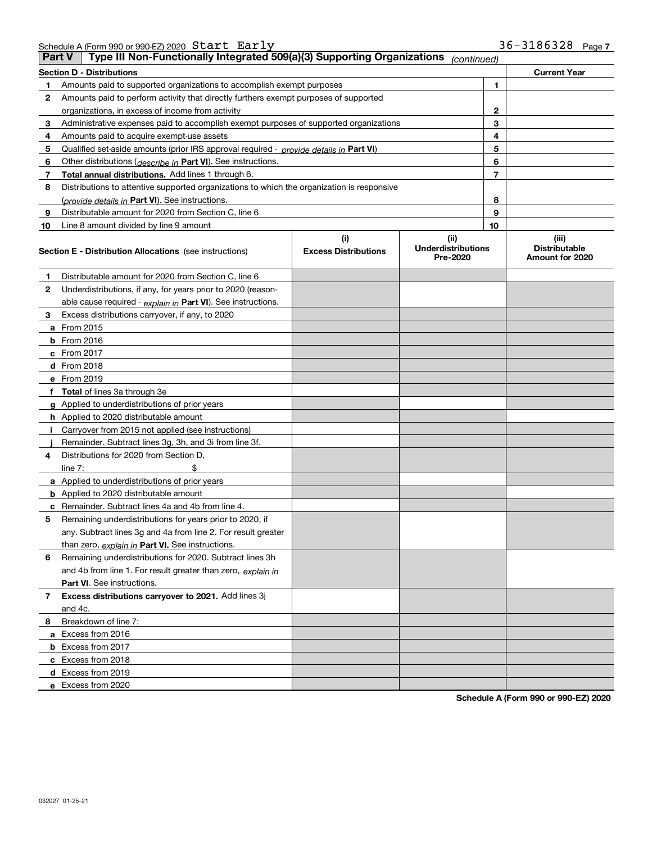| <b>Part V</b> | Type III Non-Functionally Integrated 509(a)(3) Supporting Organizations                    |                             | (continued)                           |                |                                         |
|---------------|--------------------------------------------------------------------------------------------|-----------------------------|---------------------------------------|----------------|-----------------------------------------|
|               | <b>Section D - Distributions</b>                                                           |                             |                                       |                | <b>Current Year</b>                     |
| 1             | Amounts paid to supported organizations to accomplish exempt purposes                      |                             |                                       | 1              |                                         |
| 2             | Amounts paid to perform activity that directly furthers exempt purposes of supported       |                             |                                       |                |                                         |
|               | organizations, in excess of income from activity                                           |                             |                                       | $\mathbf{2}$   |                                         |
| 3             | Administrative expenses paid to accomplish exempt purposes of supported organizations      |                             |                                       | 3              |                                         |
| 4             | Amounts paid to acquire exempt-use assets                                                  |                             |                                       | 4              |                                         |
| 5             | Qualified set-aside amounts (prior IRS approval required - provide details in Part VI)     |                             |                                       | 5              |                                         |
| 6             | Other distributions ( <i>describe in</i> Part VI). See instructions.                       |                             |                                       | 6              |                                         |
| 7             | Total annual distributions. Add lines 1 through 6.                                         |                             |                                       | $\overline{7}$ |                                         |
| 8             | Distributions to attentive supported organizations to which the organization is responsive |                             |                                       |                |                                         |
|               | (provide details in Part VI). See instructions.                                            |                             |                                       | 8              |                                         |
| 9             | Distributable amount for 2020 from Section C, line 6                                       |                             |                                       | 9              |                                         |
| 10            | Line 8 amount divided by line 9 amount                                                     |                             |                                       | 10             |                                         |
|               |                                                                                            | (i)                         | (ii)                                  |                | (iii)                                   |
|               | <b>Section E - Distribution Allocations</b> (see instructions)                             | <b>Excess Distributions</b> | <b>Underdistributions</b><br>Pre-2020 |                | <b>Distributable</b><br>Amount for 2020 |
| 1             | Distributable amount for 2020 from Section C, line 6                                       |                             |                                       |                |                                         |
| 2             | Underdistributions, if any, for years prior to 2020 (reason-                               |                             |                                       |                |                                         |
|               | able cause required $\cdot$ explain in Part VI). See instructions.                         |                             |                                       |                |                                         |
| 3             | Excess distributions carryover, if any, to 2020                                            |                             |                                       |                |                                         |
|               | <b>a</b> From 2015                                                                         |                             |                                       |                |                                         |
|               | <b>b</b> From 2016                                                                         |                             |                                       |                |                                         |
|               | $c$ From 2017                                                                              |                             |                                       |                |                                         |
|               | d From 2018                                                                                |                             |                                       |                |                                         |
|               | e From 2019                                                                                |                             |                                       |                |                                         |
|               | f Total of lines 3a through 3e                                                             |                             |                                       |                |                                         |
|               | g Applied to underdistributions of prior years                                             |                             |                                       |                |                                         |
|               | <b>h</b> Applied to 2020 distributable amount                                              |                             |                                       |                |                                         |
| Ť.            | Carryover from 2015 not applied (see instructions)                                         |                             |                                       |                |                                         |
|               | Remainder. Subtract lines 3g, 3h, and 3i from line 3f.                                     |                             |                                       |                |                                         |
| 4             | Distributions for 2020 from Section D,                                                     |                             |                                       |                |                                         |
|               | line $7:$                                                                                  |                             |                                       |                |                                         |
|               | a Applied to underdistributions of prior years                                             |                             |                                       |                |                                         |
|               | <b>b</b> Applied to 2020 distributable amount                                              |                             |                                       |                |                                         |
|               | <b>c</b> Remainder. Subtract lines 4a and 4b from line 4.                                  |                             |                                       |                |                                         |
| 5.            | Remaining underdistributions for years prior to 2020, if                                   |                             |                                       |                |                                         |
|               | any. Subtract lines 3g and 4a from line 2. For result greater                              |                             |                                       |                |                                         |
|               | than zero, explain in Part VI. See instructions.                                           |                             |                                       |                |                                         |
| 6             | Remaining underdistributions for 2020. Subtract lines 3h                                   |                             |                                       |                |                                         |
|               | and 4b from line 1. For result greater than zero, explain in                               |                             |                                       |                |                                         |
|               | Part VI. See instructions.                                                                 |                             |                                       |                |                                         |
| 7             | Excess distributions carryover to 2021. Add lines 3j                                       |                             |                                       |                |                                         |
|               | and 4c.                                                                                    |                             |                                       |                |                                         |
| 8             | Breakdown of line 7:                                                                       |                             |                                       |                |                                         |
|               | a Excess from 2016                                                                         |                             |                                       |                |                                         |
|               | <b>b</b> Excess from 2017                                                                  |                             |                                       |                |                                         |
|               | c Excess from 2018                                                                         |                             |                                       |                |                                         |
|               | d Excess from 2019                                                                         |                             |                                       |                |                                         |
|               | e Excess from 2020                                                                         |                             |                                       |                |                                         |

**Schedule A (Form 990 or 990-EZ) 2020**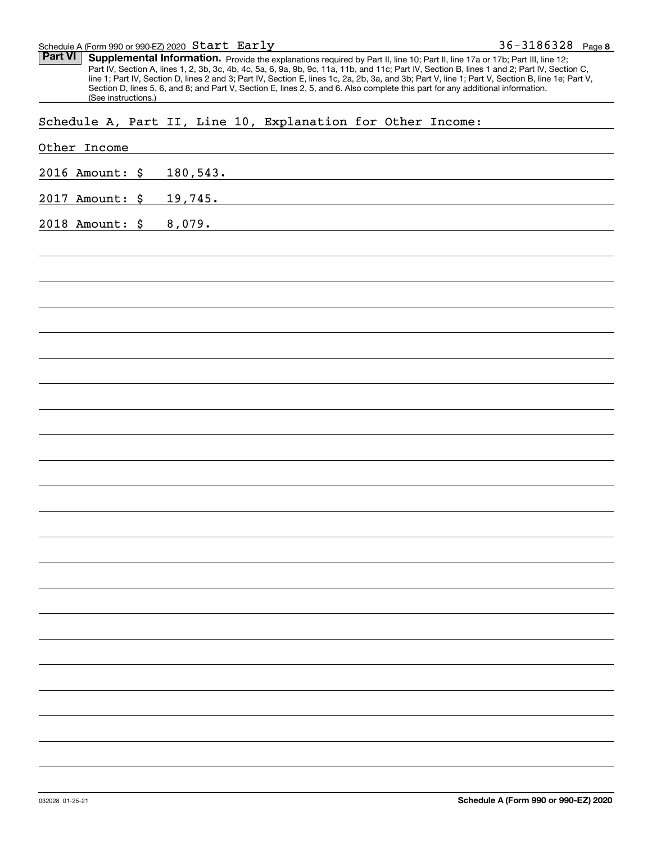Part VI | Supplemental Information. Provide the explanations required by Part II, line 10; Part II, line 17a or 17b; Part III, line 12; Part IV, Section A, lines 1, 2, 3b, 3c, 4b, 4c, 5a, 6, 9a, 9b, 9c, 11a, 11b, and 11c; Part IV, Section B, lines 1 and 2; Part IV, Section C, line 1; Part IV, Section D, lines 2 and 3; Part IV, Section E, lines 1c, 2a, 2b, 3a, and 3b; Part V, line 1; Part V, Section B, line 1e; Part V, Section D, lines 5, 6, and 8; and Part V, Section E, lines 2, 5, and 6. Also complete this part for any additional information. (See instructions.)

Schedule A, Part II, Line 10, Explanation for Other Income:

| Other Income           |                                                                                                                                  |
|------------------------|----------------------------------------------------------------------------------------------------------------------------------|
| $2016$ Amount: $\zeta$ | 180,543.                                                                                                                         |
| 2017 Amount: \$        | 19,745.<br><u> 1989 - Johann Stoff, deutscher Stoff, der Stoff, der Stoff, der Stoff, der Stoff, der Stoff, der Stoff, der S</u> |
| 2018 Amount: \$        | 8,079.<br><u> 1989 - Johann Stoff, deutscher Stoff, der Stoff, der Stoff, der Stoff, der Stoff, der Stoff, der Stoff, der S</u>  |
|                        |                                                                                                                                  |
|                        |                                                                                                                                  |
|                        |                                                                                                                                  |
|                        |                                                                                                                                  |
|                        |                                                                                                                                  |
|                        |                                                                                                                                  |
|                        |                                                                                                                                  |
|                        |                                                                                                                                  |
|                        |                                                                                                                                  |
|                        |                                                                                                                                  |
|                        |                                                                                                                                  |
|                        |                                                                                                                                  |
|                        |                                                                                                                                  |
|                        |                                                                                                                                  |
|                        |                                                                                                                                  |
|                        |                                                                                                                                  |
|                        |                                                                                                                                  |
|                        |                                                                                                                                  |
|                        |                                                                                                                                  |
|                        |                                                                                                                                  |
|                        |                                                                                                                                  |
|                        |                                                                                                                                  |
|                        |                                                                                                                                  |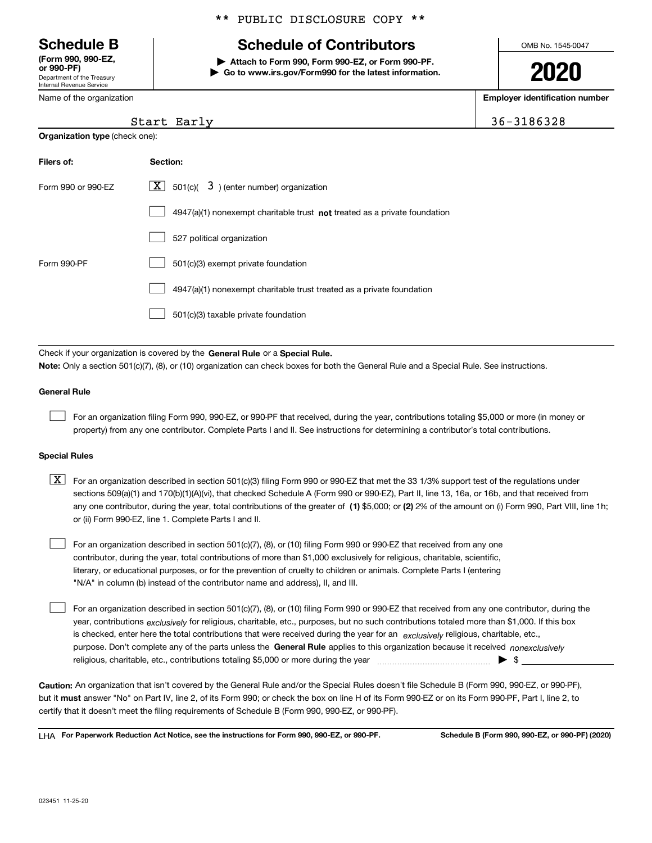Department of the Treasury Internal Revenue Service **(Form 990, 990-EZ, or 990-PF)**

Name of the organization

**Organization type** (check one):

### \*\* PUBLIC DISCLOSURE COPY \*\*

## **Schedule B Schedule of Contributors**

**| Attach to Form 990, Form 990-EZ, or Form 990-PF. | Go to www.irs.gov/Form990 for the latest information.** OMB No. 1545-0047

**2020**

**Employer identification number**

|  | 36-3186328 |  |  |  |  |  |  |  |  |
|--|------------|--|--|--|--|--|--|--|--|
|--|------------|--|--|--|--|--|--|--|--|

| Start Early | 36-3186328 |
|-------------|------------|
|             |            |

| Filers of:         | Section:                                                                    |
|--------------------|-----------------------------------------------------------------------------|
| Form 990 or 990-EZ | $X$ 501(c)(<br>3) (enter number) organization                               |
|                    | $4947(a)(1)$ nonexempt charitable trust not treated as a private foundation |
|                    | 527 political organization                                                  |
| Form 990-PF        | 501(c)(3) exempt private foundation                                         |
|                    | 4947(a)(1) nonexempt charitable trust treated as a private foundation       |
|                    | 501(c)(3) taxable private foundation                                        |

Check if your organization is covered by the **General Rule** or a **Special Rule. Note:**  Only a section 501(c)(7), (8), or (10) organization can check boxes for both the General Rule and a Special Rule. See instructions.

#### **General Rule**

 $\mathcal{L}^{\text{max}}$ 

For an organization filing Form 990, 990-EZ, or 990-PF that received, during the year, contributions totaling \$5,000 or more (in money or property) from any one contributor. Complete Parts I and II. See instructions for determining a contributor's total contributions.

#### **Special Rules**

any one contributor, during the year, total contributions of the greater of  $\,$  (1) \$5,000; or **(2)** 2% of the amount on (i) Form 990, Part VIII, line 1h;  $\boxed{\textbf{X}}$  For an organization described in section 501(c)(3) filing Form 990 or 990-EZ that met the 33 1/3% support test of the regulations under sections 509(a)(1) and 170(b)(1)(A)(vi), that checked Schedule A (Form 990 or 990-EZ), Part II, line 13, 16a, or 16b, and that received from or (ii) Form 990-EZ, line 1. Complete Parts I and II.

For an organization described in section 501(c)(7), (8), or (10) filing Form 990 or 990-EZ that received from any one contributor, during the year, total contributions of more than \$1,000 exclusively for religious, charitable, scientific, literary, or educational purposes, or for the prevention of cruelty to children or animals. Complete Parts I (entering "N/A" in column (b) instead of the contributor name and address), II, and III.  $\mathcal{L}^{\text{max}}$ 

purpose. Don't complete any of the parts unless the **General Rule** applies to this organization because it received *nonexclusively* year, contributions <sub>exclusively</sub> for religious, charitable, etc., purposes, but no such contributions totaled more than \$1,000. If this box is checked, enter here the total contributions that were received during the year for an  $\;$ exclusively religious, charitable, etc., For an organization described in section 501(c)(7), (8), or (10) filing Form 990 or 990-EZ that received from any one contributor, during the religious, charitable, etc., contributions totaling \$5,000 or more during the year  $\Box$ — $\Box$   $\Box$  $\mathcal{L}^{\text{max}}$ 

**Caution:**  An organization that isn't covered by the General Rule and/or the Special Rules doesn't file Schedule B (Form 990, 990-EZ, or 990-PF),  **must** but it answer "No" on Part IV, line 2, of its Form 990; or check the box on line H of its Form 990-EZ or on its Form 990-PF, Part I, line 2, to certify that it doesn't meet the filing requirements of Schedule B (Form 990, 990-EZ, or 990-PF).

**For Paperwork Reduction Act Notice, see the instructions for Form 990, 990-EZ, or 990-PF. Schedule B (Form 990, 990-EZ, or 990-PF) (2020)** LHA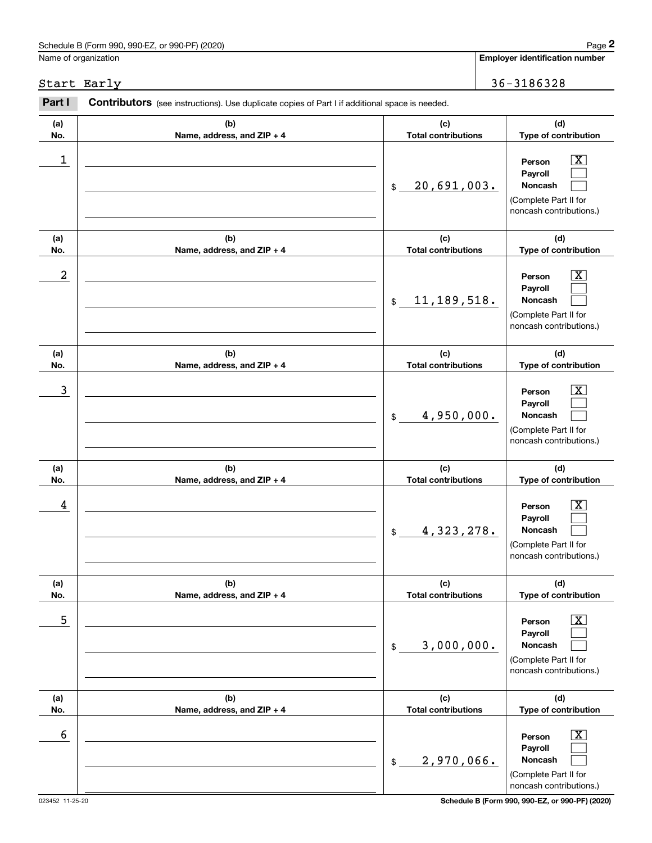| Schedule B (Form 990, 990-EZ, or 990-PF) (2020)                                                                 | Page $2$                              |
|-----------------------------------------------------------------------------------------------------------------|---------------------------------------|
| Name of organization                                                                                            | <b>Employer identification number</b> |
|                                                                                                                 |                                       |
| Start Early                                                                                                     | 36-3186328                            |
| Part I<br><b>Contributors</b> (see instructions). Use duplicate copies of Part I if additional space is needed. |                                       |

### Start Early 36-3186328

**(a)No.(b)Name, address, and ZIP + 4 (c)Total contributions (d)Type of contribution PersonPayrollNoncash (a)No.(b)Name, address, and ZIP + 4 (c)Total contributions (d)Type of contribution PersonPayrollNoncash (a)No.(b)Name, address, and ZIP + 4 (c)Total contributions (d)Type of contribution PersonPayrollNoncash (a) No.(b) Name, address, and ZIP + 4 (c) Total contributions (d) Type of contribution Person Payroll Noncash (a) No.(b) Name, address, and ZIP + 4 (c) Total contributions (d) Type of contribution PersonPayrollNoncash (a) No.(b)Name, address, and ZIP + 4 (c) Total contributions (d) Type of contribution PersonPayrollNoncash** \$(Complete Part II for noncash contributions.) \$(Complete Part II for noncash contributions.) \$(Complete Part II for noncash contributions.) \$(Complete Part II for noncash contributions.) \$(Complete Part II for noncash contributions.) \$(Complete Part II for noncash contributions.)  $|X|$  $\mathcal{L}^{\text{max}}$  $\mathcal{L}^{\text{max}}$  $\boxed{\text{X}}$  $\mathcal{L}^{\text{max}}$  $\mathcal{L}^{\text{max}}$  $|X|$  $\mathcal{L}^{\text{max}}$  $\mathcal{L}^{\text{max}}$  $\boxed{\text{X}}$  $\mathcal{L}^{\text{max}}$  $\mathcal{L}^{\text{max}}$  $|X|$  $\mathcal{L}^{\text{max}}$  $\mathcal{L}^{\text{max}}$  $\boxed{\text{X}}$  $\mathcal{L}^{\text{max}}$  $\mathcal{L}^{\text{max}}$  $1$  Person  $\overline{X}$ 20,691,003.  $2$  | Person  $\overline{\text{X}}$ 11,189,518.  $\overline{3}$   $\overline{)}$  Person  $\overline{)}$ 4,950,000.  $4$  Person  $\overline{\text{X}}$ 4,323,278.  $\sim$  5  $\,$   $\,$   $\rm Person$   $\,$   $\rm X$ 3,000,000.  $\sim$  6 | Person X 2,970,066.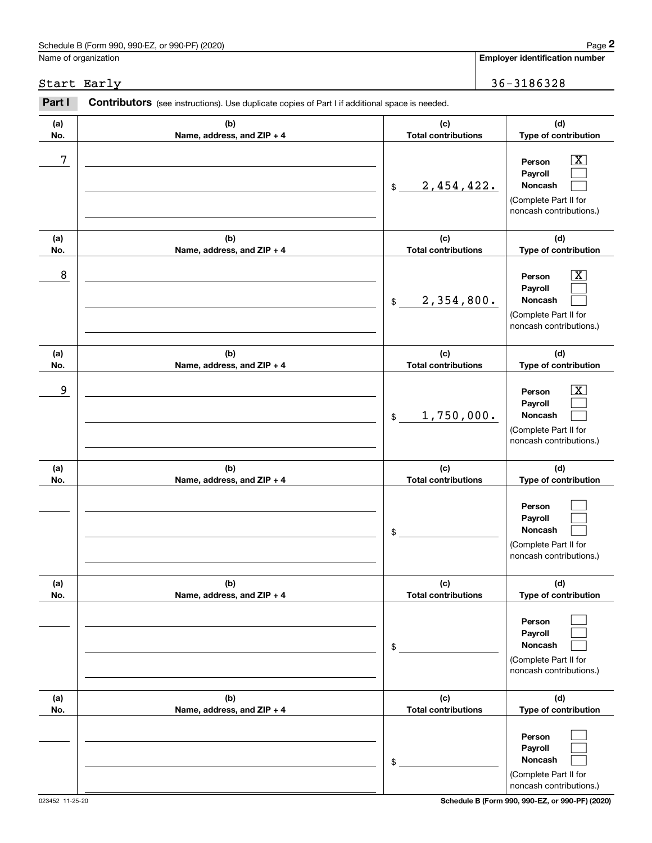| Schedule B (Form 990.<br>. 990-EZ, or 990-PF) (2020) | Page                                  |
|------------------------------------------------------|---------------------------------------|
| Name of organization                                 | <b>Employer identification number</b> |

**Employer identification number**

#### **(a)No.(b)Name, address, and ZIP + 4 (c)Total contributions (d)Type of contribution PersonPayrollNoncash (a)No.(b)Name, address, and ZIP + 4 (c)Total contributions (d)Type of contribution PersonPayrollNoncash (a)No.(b)Name, address, and ZIP + 4 (c)Total contributions (d)Type of contribution PersonPayrollNoncash (a) No.(b) Name, address, and ZIP + 4 (c) Total contributions (d) Type of contribution PersonPayrollNoncash(a) No.(b) Name, address, and ZIP + 4 (c) Total contributions (d) Type of contribution PersonPayrollNoncash (a) No.(b)Name, address, and ZIP + 4 (c) Total contributions (d) Type of contribution PersonPayrollNoncash Contributors** (see instructions). Use duplicate copies of Part I if additional space is needed. \$(Complete Part II for noncash contributions.) \$(Complete Part II for noncash contributions.) \$(Complete Part II for noncash contributions.) \$(Complete Part II for noncash contributions.) \$(Complete Part II for noncash contributions.) \$(Complete Part II for noncash contributions.) Employer identification Page 2<br>
Jame of organization<br>
36-3186328<br> **2Part I** Contributors (see instructions). Use duplicate copies of Part I if additional space is needed.  $\lceil \text{X} \rceil$  $\mathcal{L}^{\text{max}}$  $\mathcal{L}^{\text{max}}$  $\boxed{\text{X}}$  $\mathcal{L}^{\text{max}}$  $\mathcal{L}^{\text{max}}$  $|X|$  $\mathcal{L}^{\text{max}}$  $\mathcal{L}^{\text{max}}$  $\mathcal{L}^{\text{max}}$  $\mathcal{L}^{\text{max}}$  $\mathcal{L}^{\text{max}}$  $\mathcal{L}^{\text{max}}$  $\mathcal{L}^{\text{max}}$  $\mathcal{L}^{\text{max}}$  $\mathcal{L}^{\text{max}}$  $\mathcal{L}^{\text{max}}$  $\mathcal{L}^{\text{max}}$  $7$  | Person  $\overline{\text{X}}$ 2,454,422.  $8$  Person  $\overline{\text{X}}$ 2,354,800. example to the contract of the contract of the contract of the contract of the contract of the contract of the contract of the contract of the contract of the contract of the contract of the contract of the contract of the 1,750,000. Start Early 36-3186328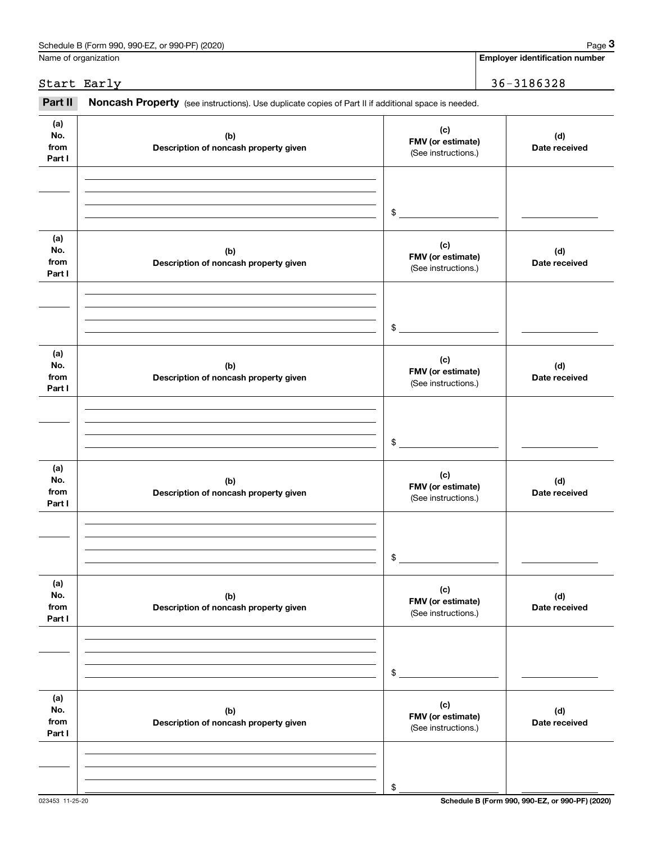|                              | Schedule B (Form 990, 990-EZ, or 990-PF) (2020)                                                     |                                                 | Page 3                                |
|------------------------------|-----------------------------------------------------------------------------------------------------|-------------------------------------------------|---------------------------------------|
|                              | Name of organization                                                                                |                                                 | <b>Employer identification number</b> |
|                              | Start Early                                                                                         |                                                 | 36-3186328                            |
| Part II                      | Noncash Property (see instructions). Use duplicate copies of Part II if additional space is needed. |                                                 |                                       |
| (a)<br>No.<br>from<br>Part I | (b)<br>Description of noncash property given                                                        | (c)<br>FMV (or estimate)<br>(See instructions.) | (d)<br>Date received                  |
|                              |                                                                                                     | \$                                              |                                       |
| (a)<br>No.<br>from<br>Part I | (b)<br>Description of noncash property given                                                        | (c)<br>FMV (or estimate)<br>(See instructions.) | (d)<br>Date received                  |
|                              |                                                                                                     | $\$$                                            |                                       |
| (a)<br>No.<br>from<br>Part I | (b)<br>Description of noncash property given                                                        | (c)<br>FMV (or estimate)<br>(See instructions.) | (d)<br>Date received                  |
|                              |                                                                                                     | \$                                              |                                       |
| (a)<br>No.<br>from<br>Part I | (b)<br>Description of noncash property given                                                        | (c)<br>FMV (or estimate)<br>(See instructions.) | (d)<br>Date received                  |
|                              |                                                                                                     | $\$$                                            |                                       |
| (a)<br>No.<br>from<br>Part I | (b)<br>Description of noncash property given                                                        | (c)<br>FMV (or estimate)<br>(See instructions.) | (d)<br>Date received                  |
|                              |                                                                                                     | \$                                              |                                       |
| (a)<br>No.<br>from<br>Part I | (b)<br>Description of noncash property given                                                        | (c)<br>FMV (or estimate)<br>(See instructions.) | (d)<br>Date received                  |
|                              |                                                                                                     | \$                                              |                                       |

023453 11-25-20 **Schedule B (Form 990, 990-EZ, or 990-PF) (2020)**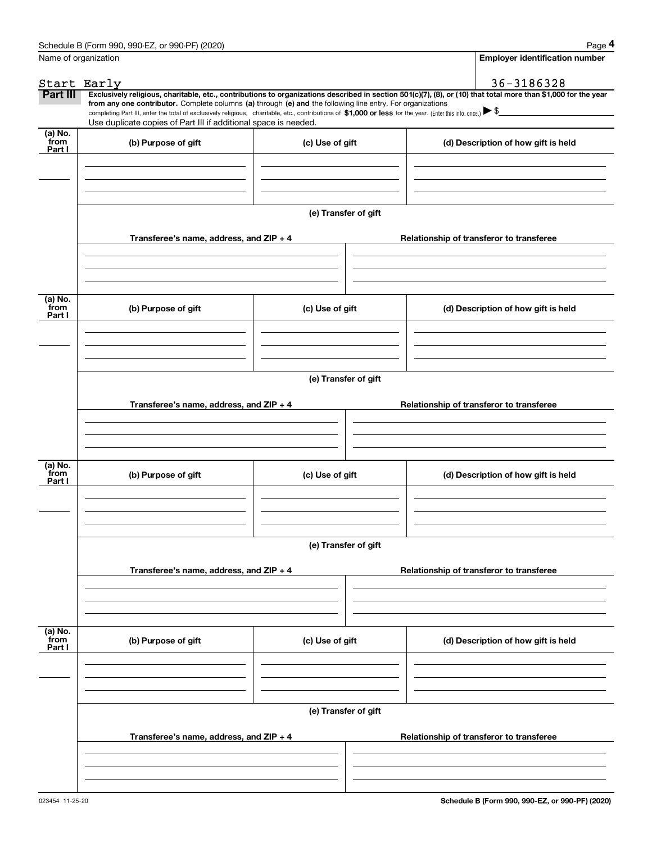|                 | Schedule B (Form 990, 990-EZ, or 990-PF) (2020)                                                                                                                                                                                                                                                 |                      | Page 4                                                                                                                                                         |
|-----------------|-------------------------------------------------------------------------------------------------------------------------------------------------------------------------------------------------------------------------------------------------------------------------------------------------|----------------------|----------------------------------------------------------------------------------------------------------------------------------------------------------------|
|                 | Name of organization                                                                                                                                                                                                                                                                            |                      | <b>Employer identification number</b>                                                                                                                          |
|                 | Start Early                                                                                                                                                                                                                                                                                     |                      | 36-3186328                                                                                                                                                     |
| Part III        |                                                                                                                                                                                                                                                                                                 |                      | Exclusively religious, charitable, etc., contributions to organizations described in section 501(c)(7), (8), or (10) that total more than \$1,000 for the year |
|                 | from any one contributor. Complete columns (a) through (e) and the following line entry. For organizations<br>completing Part III, enter the total of exclusively religious, charitable, etc., contributions of \$1,000 or less for the year. (Enter this info. once.) $\blacktriangleright$ \$ |                      |                                                                                                                                                                |
| (a) No.         | Use duplicate copies of Part III if additional space is needed.                                                                                                                                                                                                                                 |                      |                                                                                                                                                                |
| from<br>Part I  | (b) Purpose of gift                                                                                                                                                                                                                                                                             | (c) Use of gift      | (d) Description of how gift is held                                                                                                                            |
|                 |                                                                                                                                                                                                                                                                                                 |                      |                                                                                                                                                                |
|                 |                                                                                                                                                                                                                                                                                                 |                      |                                                                                                                                                                |
|                 |                                                                                                                                                                                                                                                                                                 |                      |                                                                                                                                                                |
|                 |                                                                                                                                                                                                                                                                                                 | (e) Transfer of gift |                                                                                                                                                                |
|                 | Transferee's name, address, and ZIP + 4                                                                                                                                                                                                                                                         |                      | Relationship of transferor to transferee                                                                                                                       |
|                 |                                                                                                                                                                                                                                                                                                 |                      |                                                                                                                                                                |
|                 |                                                                                                                                                                                                                                                                                                 |                      |                                                                                                                                                                |
| (a) No.         |                                                                                                                                                                                                                                                                                                 |                      |                                                                                                                                                                |
| from<br>Part I  | (b) Purpose of gift                                                                                                                                                                                                                                                                             | (c) Use of gift      | (d) Description of how gift is held                                                                                                                            |
|                 |                                                                                                                                                                                                                                                                                                 |                      |                                                                                                                                                                |
|                 |                                                                                                                                                                                                                                                                                                 |                      |                                                                                                                                                                |
|                 |                                                                                                                                                                                                                                                                                                 |                      |                                                                                                                                                                |
|                 |                                                                                                                                                                                                                                                                                                 | (e) Transfer of gift |                                                                                                                                                                |
|                 | Transferee's name, address, and ZIP + 4                                                                                                                                                                                                                                                         |                      | Relationship of transferor to transferee                                                                                                                       |
|                 |                                                                                                                                                                                                                                                                                                 |                      |                                                                                                                                                                |
|                 |                                                                                                                                                                                                                                                                                                 |                      |                                                                                                                                                                |
|                 |                                                                                                                                                                                                                                                                                                 |                      |                                                                                                                                                                |
| (a) No.<br>from | (b) Purpose of gift                                                                                                                                                                                                                                                                             | (c) Use of gift      | (d) Description of how gift is held                                                                                                                            |
| Part I          |                                                                                                                                                                                                                                                                                                 |                      |                                                                                                                                                                |
|                 |                                                                                                                                                                                                                                                                                                 |                      |                                                                                                                                                                |
|                 |                                                                                                                                                                                                                                                                                                 |                      |                                                                                                                                                                |
|                 |                                                                                                                                                                                                                                                                                                 | (e) Transfer of gift |                                                                                                                                                                |
|                 |                                                                                                                                                                                                                                                                                                 |                      |                                                                                                                                                                |
|                 | Transferee's name, address, and ZIP + 4                                                                                                                                                                                                                                                         |                      | Relationship of transferor to transferee                                                                                                                       |
|                 |                                                                                                                                                                                                                                                                                                 |                      |                                                                                                                                                                |
|                 |                                                                                                                                                                                                                                                                                                 |                      |                                                                                                                                                                |
| (a) No.<br>from |                                                                                                                                                                                                                                                                                                 |                      |                                                                                                                                                                |
| Part I          | (b) Purpose of gift                                                                                                                                                                                                                                                                             | (c) Use of gift      | (d) Description of how gift is held                                                                                                                            |
|                 |                                                                                                                                                                                                                                                                                                 |                      |                                                                                                                                                                |
|                 |                                                                                                                                                                                                                                                                                                 |                      |                                                                                                                                                                |
|                 |                                                                                                                                                                                                                                                                                                 |                      |                                                                                                                                                                |
|                 |                                                                                                                                                                                                                                                                                                 | (e) Transfer of gift |                                                                                                                                                                |
|                 | Transferee's name, address, and ZIP + 4                                                                                                                                                                                                                                                         |                      | Relationship of transferor to transferee                                                                                                                       |
|                 |                                                                                                                                                                                                                                                                                                 |                      |                                                                                                                                                                |
|                 |                                                                                                                                                                                                                                                                                                 |                      |                                                                                                                                                                |
|                 |                                                                                                                                                                                                                                                                                                 |                      |                                                                                                                                                                |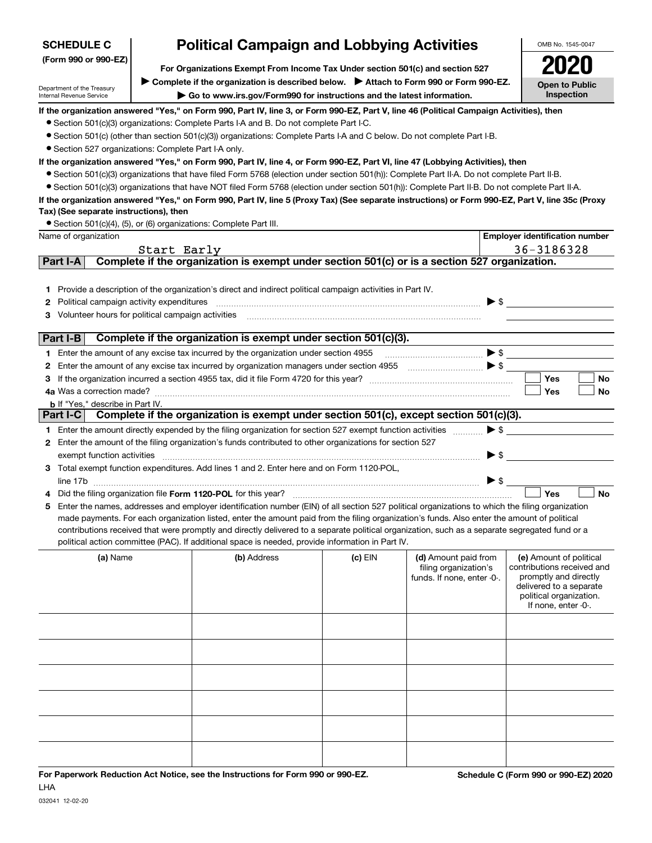| <b>SCHEDULE C</b>          | <b>Political Campaign and Lobbying Activities</b>                                                                                       | OMB No. 1545-0047     |
|----------------------------|-----------------------------------------------------------------------------------------------------------------------------------------|-----------------------|
| (Form 990 or 990-EZ)       | For Organizations Exempt From Income Tax Under section 501(c) and section 527                                                           | 2020                  |
| Department of the Treasury | Complete if the organization is described below. $\blacktriangleright$ Attach to Form 990 or Form 990-EZ.                               | <b>Open to Public</b> |
| Internal Revenue Service   | ▶ Go to www.irs.gov/Form990 for instructions and the latest information.                                                                | <b>Inspection</b>     |
|                            | lf the organization answered "Yes," on Form 990, Part IV, line 3, or Form 990-EZ, Part V, line 46 (Political Campaign Activities), then |                       |

- Section 501(c)(3) organizations: Complete Parts I-A and B. Do not complete Part I-C.
- ¥ Section 501(c) (other than section 501(c)(3)) organizations: Complete Parts I-A and C below. Do not complete Part I-B.
- Section 527 organizations: Complete Part I-A only.

Depart Internal

#### **If the organization answered "Yes," on Form 990, Part IV, line 4, or Form 990-EZ, Part VI, line 47 (Lobbying Activities), then**

- Section 501(c)(3) organizations that have filed Form 5768 (election under section 501(h)): Complete Part II-A. Do not complete Part II-B.
- ¥ Section 501(c)(3) organizations that have NOT filed Form 5768 (election under section 501(h)): Complete Part II-B. Do not complete Part II-A.

#### **If the organization answered "Yes," on Form 990, Part IV, line 5 (Proxy Tax) (See separate instructions) or Form 990-EZ, Part V, line 35c (Proxy Tax) (See separate instructions), then**

● Section 501(c)(4), (5), or (6) organizations: Complete Part III. Name of organization

|    | Name of organization |                                         |                                                                                                                                                                                                                                                                                                                                                                                                                                                                                                                                                      |         |                                                                             | <b>Employer identification number</b>                                                                                                                       |
|----|----------------------|-----------------------------------------|------------------------------------------------------------------------------------------------------------------------------------------------------------------------------------------------------------------------------------------------------------------------------------------------------------------------------------------------------------------------------------------------------------------------------------------------------------------------------------------------------------------------------------------------------|---------|-----------------------------------------------------------------------------|-------------------------------------------------------------------------------------------------------------------------------------------------------------|
|    |                      | Start Early                             |                                                                                                                                                                                                                                                                                                                                                                                                                                                                                                                                                      |         |                                                                             | 36-3186328                                                                                                                                                  |
|    | Part I-A             |                                         | Complete if the organization is exempt under section 501(c) or is a section 527 organization.                                                                                                                                                                                                                                                                                                                                                                                                                                                        |         |                                                                             |                                                                                                                                                             |
|    |                      |                                         | 1 Provide a description of the organization's direct and indirect political campaign activities in Part IV.<br>2 Political campaign activity expenditures <b>constructed</b> and construction of the set of the set of the set of the set of the set of the set of the set of the set of the set of the set of the set of the set of the set of th                                                                                                                                                                                                   |         |                                                                             |                                                                                                                                                             |
|    | Part I-B             |                                         | Complete if the organization is exempt under section 501(c)(3).                                                                                                                                                                                                                                                                                                                                                                                                                                                                                      |         |                                                                             |                                                                                                                                                             |
|    |                      |                                         |                                                                                                                                                                                                                                                                                                                                                                                                                                                                                                                                                      |         |                                                                             |                                                                                                                                                             |
| 2  |                      |                                         | Enter the amount of any excise tax incurred by organization managers under section 4955 [1001] [1001] [1001] [1001] [1001] [1001] [1001] [1001] [1001] [1001] [1001] [1001] [1001] [1001] [1001] [1001] [1001] [1001] [1001] [                                                                                                                                                                                                                                                                                                                       |         |                                                                             |                                                                                                                                                             |
|    |                      |                                         |                                                                                                                                                                                                                                                                                                                                                                                                                                                                                                                                                      |         |                                                                             | Yes<br><b>No</b>                                                                                                                                            |
|    |                      |                                         |                                                                                                                                                                                                                                                                                                                                                                                                                                                                                                                                                      |         |                                                                             | Yes<br><b>No</b>                                                                                                                                            |
|    |                      | <b>b</b> If "Yes." describe in Part IV. |                                                                                                                                                                                                                                                                                                                                                                                                                                                                                                                                                      |         |                                                                             |                                                                                                                                                             |
|    |                      |                                         | Part I-C Complete if the organization is exempt under section 501(c), except section 501(c)(3).                                                                                                                                                                                                                                                                                                                                                                                                                                                      |         |                                                                             |                                                                                                                                                             |
|    |                      |                                         | 1 Enter the amount directly expended by the filing organization for section 527 exempt function activities $\ldots$                                                                                                                                                                                                                                                                                                                                                                                                                                  |         |                                                                             |                                                                                                                                                             |
|    |                      |                                         | 2 Enter the amount of the filing organization's funds contributed to other organizations for section 527                                                                                                                                                                                                                                                                                                                                                                                                                                             |         |                                                                             |                                                                                                                                                             |
|    |                      |                                         |                                                                                                                                                                                                                                                                                                                                                                                                                                                                                                                                                      |         | $\blacktriangleright$ \$                                                    |                                                                                                                                                             |
|    |                      |                                         | 3 Total exempt function expenditures. Add lines 1 and 2. Enter here and on Form 1120-POL,                                                                                                                                                                                                                                                                                                                                                                                                                                                            |         |                                                                             |                                                                                                                                                             |
|    |                      |                                         |                                                                                                                                                                                                                                                                                                                                                                                                                                                                                                                                                      |         |                                                                             |                                                                                                                                                             |
|    |                      |                                         |                                                                                                                                                                                                                                                                                                                                                                                                                                                                                                                                                      |         |                                                                             | <b>No</b><br>Yes                                                                                                                                            |
| 5. |                      |                                         | Enter the names, addresses and employer identification number (EIN) of all section 527 political organizations to which the filing organization<br>made payments. For each organization listed, enter the amount paid from the filing organization's funds. Also enter the amount of political<br>contributions received that were promptly and directly delivered to a separate political organization, such as a separate segregated fund or a<br>political action committee (PAC). If additional space is needed, provide information in Part IV. |         |                                                                             |                                                                                                                                                             |
|    |                      | (a) Name                                | (b) Address                                                                                                                                                                                                                                                                                                                                                                                                                                                                                                                                          | (c) EIN | (d) Amount paid from<br>filing organization's<br>funds. If none, enter -0-. | (e) Amount of political<br>contributions received and<br>promptly and directly<br>delivered to a separate<br>political organization.<br>If none, enter -0-. |
|    |                      |                                         |                                                                                                                                                                                                                                                                                                                                                                                                                                                                                                                                                      |         |                                                                             |                                                                                                                                                             |
|    |                      |                                         |                                                                                                                                                                                                                                                                                                                                                                                                                                                                                                                                                      |         |                                                                             |                                                                                                                                                             |
|    |                      |                                         |                                                                                                                                                                                                                                                                                                                                                                                                                                                                                                                                                      |         |                                                                             |                                                                                                                                                             |
|    |                      |                                         |                                                                                                                                                                                                                                                                                                                                                                                                                                                                                                                                                      |         |                                                                             |                                                                                                                                                             |
|    |                      |                                         |                                                                                                                                                                                                                                                                                                                                                                                                                                                                                                                                                      |         |                                                                             |                                                                                                                                                             |
|    |                      |                                         |                                                                                                                                                                                                                                                                                                                                                                                                                                                                                                                                                      |         |                                                                             |                                                                                                                                                             |

to Public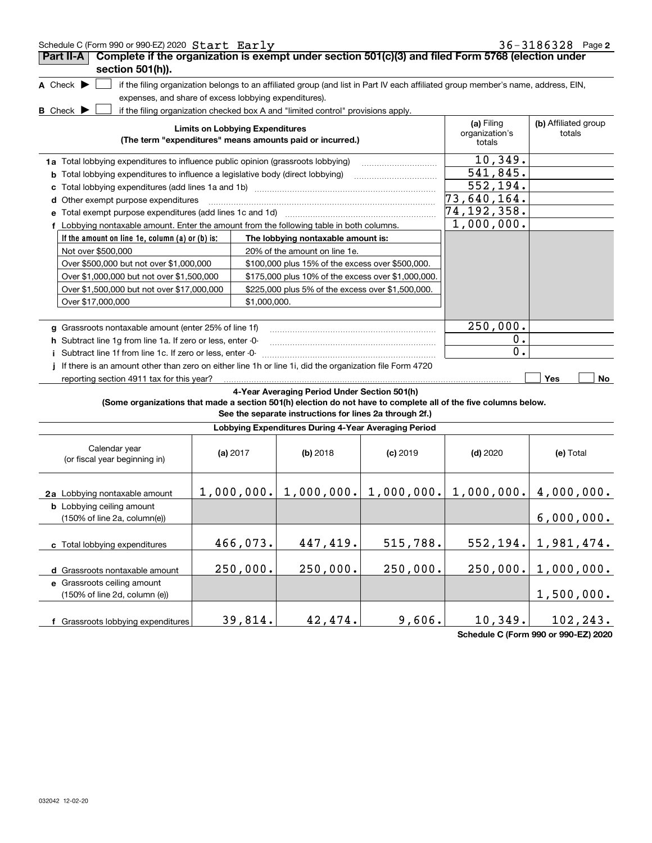| Schedule C (Form 990 or 990-EZ) 2020 $Start$ $Early$                                                                                                       |                                                       |                                                                                  |            |                                                                                                                                   | 36-3186328 Page 2              |
|------------------------------------------------------------------------------------------------------------------------------------------------------------|-------------------------------------------------------|----------------------------------------------------------------------------------|------------|-----------------------------------------------------------------------------------------------------------------------------------|--------------------------------|
| Complete if the organization is exempt under section 501(c)(3) and filed Form 5768 (election under<br>Part II-A<br>section 501(h)).                        |                                                       |                                                                                  |            |                                                                                                                                   |                                |
| A Check $\blacktriangleright$                                                                                                                              |                                                       |                                                                                  |            | if the filing organization belongs to an affiliated group (and list in Part IV each affiliated group member's name, address, EIN, |                                |
|                                                                                                                                                            | expenses, and share of excess lobbying expenditures). |                                                                                  |            |                                                                                                                                   |                                |
| <b>B</b> Check $\blacktriangleright$                                                                                                                       |                                                       | if the filing organization checked box A and "limited control" provisions apply. |            |                                                                                                                                   |                                |
|                                                                                                                                                            | <b>Limits on Lobbying Expenditures</b>                | (The term "expenditures" means amounts paid or incurred.)                        |            | (a) Filing<br>organization's<br>totals                                                                                            | (b) Affiliated group<br>totals |
| 1a Total lobbying expenditures to influence public opinion (grassroots lobbying)                                                                           |                                                       |                                                                                  |            | 10,349.                                                                                                                           |                                |
| <b>b</b> Total lobbying expenditures to influence a legislative body (direct lobbying)                                                                     |                                                       |                                                                                  |            | 541,845.                                                                                                                          |                                |
|                                                                                                                                                            |                                                       |                                                                                  |            | 552,194.                                                                                                                          |                                |
| d Other exempt purpose expenditures                                                                                                                        |                                                       |                                                                                  |            | 73,640,164.                                                                                                                       |                                |
| e Total exempt purpose expenditures (add lines 1c and 1d)                                                                                                  |                                                       |                                                                                  |            | 74, 192, 358.                                                                                                                     |                                |
| f Lobbying nontaxable amount. Enter the amount from the following table in both columns.                                                                   |                                                       |                                                                                  |            | 1,000,000.                                                                                                                        |                                |
| If the amount on line 1e, column (a) or (b) is:                                                                                                            |                                                       | The lobbying nontaxable amount is:                                               |            |                                                                                                                                   |                                |
| Not over \$500,000                                                                                                                                         |                                                       | 20% of the amount on line 1e.                                                    |            |                                                                                                                                   |                                |
| Over \$500,000 but not over \$1,000,000                                                                                                                    |                                                       | \$100,000 plus 15% of the excess over \$500,000.                                 |            |                                                                                                                                   |                                |
| Over \$1,000,000 but not over \$1,500,000                                                                                                                  |                                                       | \$175,000 plus 10% of the excess over \$1,000,000.                               |            |                                                                                                                                   |                                |
| Over \$1,500,000 but not over \$17,000,000                                                                                                                 |                                                       | \$225,000 plus 5% of the excess over \$1,500,000.                                |            |                                                                                                                                   |                                |
| Over \$17,000,000                                                                                                                                          | \$1,000,000.                                          |                                                                                  |            |                                                                                                                                   |                                |
|                                                                                                                                                            |                                                       |                                                                                  |            |                                                                                                                                   |                                |
| g Grassroots nontaxable amount (enter 25% of line 1f)                                                                                                      |                                                       |                                                                                  |            | 250,000.                                                                                                                          |                                |
| h Subtract line 1g from line 1a. If zero or less, enter -0-                                                                                                |                                                       |                                                                                  |            | 0.<br>$\overline{0}$ .                                                                                                            |                                |
| i Subtract line 1f from line 1c. If zero or less, enter -0-                                                                                                |                                                       |                                                                                  |            |                                                                                                                                   |                                |
| If there is an amount other than zero on either line 1h or line 1i, did the organization file Form 4720<br>Ĩ.<br>reporting section 4911 tax for this year? |                                                       |                                                                                  |            |                                                                                                                                   | Yes<br>No                      |
|                                                                                                                                                            |                                                       | 4-Year Averaging Period Under Section 501(h)                                     |            |                                                                                                                                   |                                |
| (Some organizations that made a section 501(h) election do not have to complete all of the five columns below.                                             |                                                       | See the separate instructions for lines 2a through 2f.)                          |            |                                                                                                                                   |                                |
|                                                                                                                                                            |                                                       | Lobbying Expenditures During 4-Year Averaging Period                             |            |                                                                                                                                   |                                |
| Calendar year<br>(or fiscal year beginning in)                                                                                                             | (a) $2017$                                            | $(b)$ 2018                                                                       | $(c)$ 2019 | $(d)$ 2020                                                                                                                        | (e) Total                      |
| 2a Lobbying nontaxable amount                                                                                                                              | 1,000,000.                                            |                                                                                  |            | $1,000,000.$ $1,000,000.$ $1,000,000.$                                                                                            | 4,000,000.                     |
| <b>b</b> Lobbying ceiling amount<br>$(150\% \text{ of line } 2a, \text{ column}(e))$                                                                       |                                                       |                                                                                  |            |                                                                                                                                   | 6,000,000.                     |
| c Total lobbying expenditures                                                                                                                              | 466,073.                                              | 447,419.                                                                         | 515,788.   | 552, 194.                                                                                                                         | 1,981,474.                     |
| d Grassroots nontaxable amount                                                                                                                             | 250,000.                                              | 250,000.                                                                         | 250,000.   | 250,000.                                                                                                                          | 1,000,000.                     |
| e Grassroots ceiling amount<br>(150% of line 2d, column (e))                                                                                               |                                                       |                                                                                  |            |                                                                                                                                   | 1,500,000.                     |
| f Grassroots lobbying expenditures                                                                                                                         | 39,814.                                               | 42,474.                                                                          | 9,606.     | 10,349.                                                                                                                           | 102,243.                       |

**Schedule C (Form 990 or 990-EZ) 2020**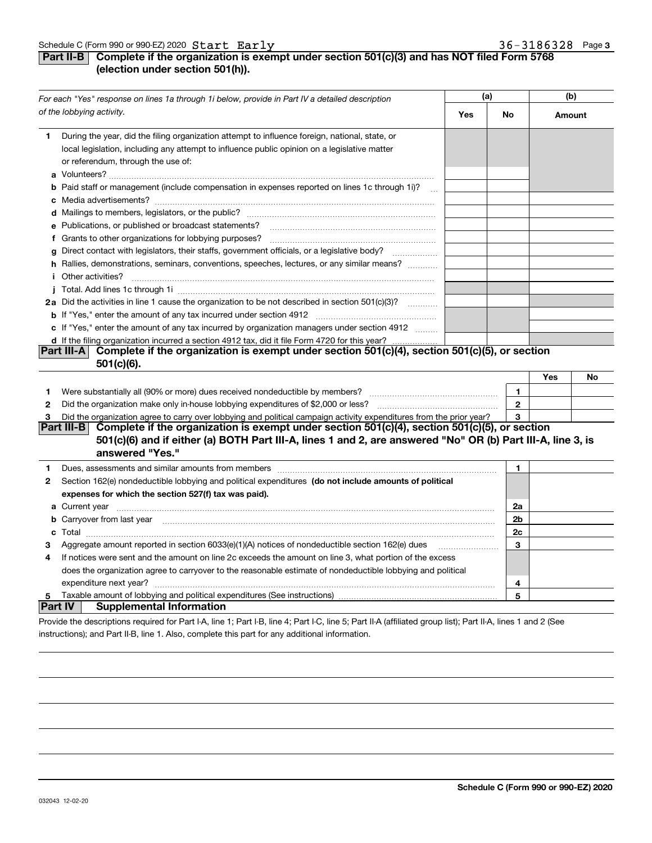### **Part II-B** Complete if the organization is exempt under section 501(c)(3) and has NOT filed Form 5768 **(election under section 501(h)).**

|              | For each "Yes" response on lines 1a through 1i below, provide in Part IV a detailed description                                                                                                                                                                                      | (a) |              | (b)    |    |
|--------------|--------------------------------------------------------------------------------------------------------------------------------------------------------------------------------------------------------------------------------------------------------------------------------------|-----|--------------|--------|----|
|              | of the lobbying activity.                                                                                                                                                                                                                                                            | Yes | No           | Amount |    |
| 1            | During the year, did the filing organization attempt to influence foreign, national, state, or<br>local legislation, including any attempt to influence public opinion on a legislative matter<br>or referendum, through the use of:                                                 |     |              |        |    |
|              | <b>b</b> Paid staff or management (include compensation in expenses reported on lines 1c through 1i)?<br>$\ddotsc$                                                                                                                                                                   |     |              |        |    |
|              | e Publications, or published or broadcast statements?                                                                                                                                                                                                                                |     |              |        |    |
|              | f Grants to other organizations for lobbying purposes?<br>g Direct contact with legislators, their staffs, government officials, or a legislative body?<br>h Rallies, demonstrations, seminars, conventions, speeches, lectures, or any similar means?<br><i>i</i> Other activities? |     |              |        |    |
|              | 2a Did the activities in line 1 cause the organization to be not described in section 501(c)(3)?                                                                                                                                                                                     |     |              |        |    |
|              | c If "Yes," enter the amount of any tax incurred by organization managers under section 4912                                                                                                                                                                                         |     |              |        |    |
|              | d If the filing organization incurred a section 4912 tax, did it file Form 4720 for this year?<br>Part III-A Complete if the organization is exempt under section 501(c)(4), section 501(c)(5), or section<br>$501(c)(6)$ .                                                          |     |              |        |    |
|              |                                                                                                                                                                                                                                                                                      |     |              | Yes    | No |
| 1            |                                                                                                                                                                                                                                                                                      |     | 1            |        |    |
| $\mathbf{2}$ |                                                                                                                                                                                                                                                                                      |     | $\mathbf{2}$ |        |    |
| 3            | Did the organization agree to carry over lobbying and political campaign activity expenditures from the prior year?                                                                                                                                                                  |     | 3            |        |    |
|              | Complete if the organization is exempt under section 501(c)(4), section 501(c)(5), or section<br> Part III-B <br>501(c)(6) and if either (a) BOTH Part III-A, lines 1 and 2, are answered "No" OR (b) Part III-A, line 3, is<br>answered "Yes."                                      |     |              |        |    |
| 1            | Dues, assessments and similar amounts from members [111] www.community.community.community.community.community                                                                                                                                                                       |     | 1            |        |    |
| 2            | Section 162(e) nondeductible lobbying and political expenditures (do not include amounts of political                                                                                                                                                                                |     |              |        |    |
|              | expenses for which the section 527(f) tax was paid).                                                                                                                                                                                                                                 |     |              |        |    |
|              |                                                                                                                                                                                                                                                                                      |     | 2a           |        |    |
|              | b Carryover from last year manufactured and content to content the content of the content of the content of the content of the content of the content of the content of the content of the content of the content of the conte                                                       |     | 2b           |        |    |
| c            |                                                                                                                                                                                                                                                                                      |     | 2c           |        |    |
| З            | Aggregate amount reported in section 6033(e)(1)(A) notices of nondeductible section 162(e) dues                                                                                                                                                                                      |     | 3            |        |    |
| 4            | If notices were sent and the amount on line 2c exceeds the amount on line 3, what portion of the excess                                                                                                                                                                              |     |              |        |    |
|              | does the organization agree to carryover to the reasonable estimate of nondeductible lobbying and political                                                                                                                                                                          |     |              |        |    |
|              |                                                                                                                                                                                                                                                                                      |     | 4            |        |    |
| 5            | <b>Supplemental Information</b><br><b>Part IV</b>                                                                                                                                                                                                                                    |     | 5            |        |    |
|              | Brougle the descriptions required for Part LA Line 1: Part LR Line 4: Part LC Line 5: Part ILA (affiliated aroun list): Part ILA Lines 1 and 2 (See                                                                                                                                  |     |              |        |    |

Provide the descriptions required for Part I-A, line 1; Part I-B, line 4; Part I-C, line 5; Part II-A (affiliated group list); Part II-A, lines 1 and 2 (See instructions); and Part II-B, line 1. Also, complete this part for any additional information.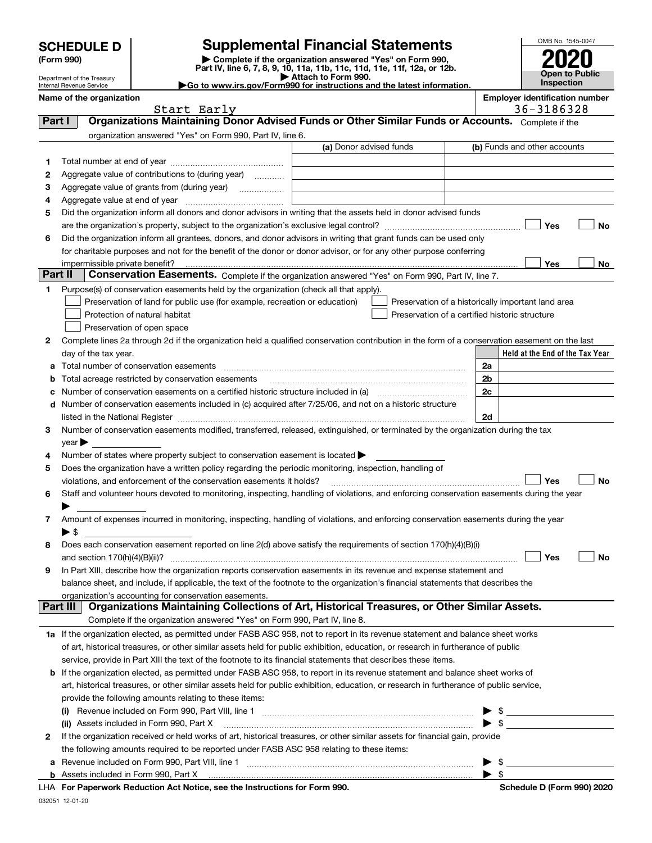| <b>SCHEDULE D</b> |
|-------------------|
|                   |

Department of the Treasury Internal Revenue Service

## **SCHEDULE D Supplemental Financial Statements**

(Form 990)<br>
Pepartment of the Treasury<br>
Department of the Treasury<br>
Department of the Treasury<br>
Department of the Treasury<br> **Co to www.irs.gov/Form990 for instructions and the latest information.**<br> **Co to www.irs.gov/Form9** 



| Name of the organization<br>Start Early                                                                                                                                                                                       | <b>Employer identification number</b><br>36-3186328                      |
|-------------------------------------------------------------------------------------------------------------------------------------------------------------------------------------------------------------------------------|--------------------------------------------------------------------------|
| Organizations Maintaining Donor Advised Funds or Other Similar Funds or Accounts. Complete if the<br>Part I                                                                                                                   |                                                                          |
| organization answered "Yes" on Form 990, Part IV, line 6.                                                                                                                                                                     |                                                                          |
| (a) Donor advised funds                                                                                                                                                                                                       | (b) Funds and other accounts                                             |
| 1.                                                                                                                                                                                                                            |                                                                          |
| Aggregate value of contributions to (during year)<br>2                                                                                                                                                                        |                                                                          |
| Aggregate value of grants from (during year)<br>з                                                                                                                                                                             |                                                                          |
| 4                                                                                                                                                                                                                             |                                                                          |
| Did the organization inform all donors and donor advisors in writing that the assets held in donor advised funds<br>5                                                                                                         |                                                                          |
|                                                                                                                                                                                                                               | Yes<br>No                                                                |
| Did the organization inform all grantees, donors, and donor advisors in writing that grant funds can be used only<br>6                                                                                                        |                                                                          |
| for charitable purposes and not for the benefit of the donor or donor advisor, or for any other purpose conferring                                                                                                            |                                                                          |
| impermissible private benefit?                                                                                                                                                                                                | Yes<br>No                                                                |
| Part II<br>Conservation Easements. Complete if the organization answered "Yes" on Form 990, Part IV, line 7.                                                                                                                  |                                                                          |
| Purpose(s) of conservation easements held by the organization (check all that apply).<br>1                                                                                                                                    |                                                                          |
| Preservation of land for public use (for example, recreation or education)                                                                                                                                                    | Preservation of a historically important land area                       |
| Protection of natural habitat                                                                                                                                                                                                 | Preservation of a certified historic structure                           |
| Preservation of open space                                                                                                                                                                                                    |                                                                          |
| Complete lines 2a through 2d if the organization held a qualified conservation contribution in the form of a conservation easement on the last<br>2                                                                           |                                                                          |
| day of the tax year.                                                                                                                                                                                                          | Held at the End of the Tax Year                                          |
| Total number of conservation easements                                                                                                                                                                                        | 2a                                                                       |
| Total acreage restricted by conservation easements Total acreage restricted by conservation easements<br>b                                                                                                                    | 2 <sub>b</sub>                                                           |
|                                                                                                                                                                                                                               | 2c                                                                       |
| d Number of conservation easements included in (c) acquired after 7/25/06, and not on a historic structure                                                                                                                    |                                                                          |
| listed in the National Register [11, 1200] [12] The National Register [11, 1200] [12] The National Register [11, 1200] [12] The National Register [11, 1200] [12] The National Register [11, 1200] [12] The National Register | 2d                                                                       |
| Number of conservation easements modified, transferred, released, extinguished, or terminated by the organization during the tax<br>3                                                                                         |                                                                          |
| year                                                                                                                                                                                                                          |                                                                          |
| Number of states where property subject to conservation easement is located ><br>4                                                                                                                                            |                                                                          |
| Does the organization have a written policy regarding the periodic monitoring, inspection, handling of<br>5                                                                                                                   |                                                                          |
| violations, and enforcement of the conservation easements it holds?<br>Staff and volunteer hours devoted to monitoring, inspecting, handling of violations, and enforcing conservation easements during the year              | Yes<br>No                                                                |
| 6                                                                                                                                                                                                                             |                                                                          |
| Amount of expenses incurred in monitoring, inspecting, handling of violations, and enforcing conservation easements during the year<br>7.                                                                                     |                                                                          |
| ▶ \$                                                                                                                                                                                                                          |                                                                          |
| Does each conservation easement reported on line 2(d) above satisfy the requirements of section 170(h)(4)(B)(i)<br>8                                                                                                          |                                                                          |
| and section $170(h)(4)(B)(ii)?$                                                                                                                                                                                               | Yes<br>No                                                                |
| In Part XIII, describe how the organization reports conservation easements in its revenue and expense statement and<br>9                                                                                                      |                                                                          |
| balance sheet, and include, if applicable, the text of the footnote to the organization's financial statements that describes the                                                                                             |                                                                          |
| organization's accounting for conservation easements.                                                                                                                                                                         |                                                                          |
| Organizations Maintaining Collections of Art, Historical Treasures, or Other Similar Assets.<br>Part III                                                                                                                      |                                                                          |
| Complete if the organization answered "Yes" on Form 990, Part IV, line 8.                                                                                                                                                     |                                                                          |
| 1a If the organization elected, as permitted under FASB ASC 958, not to report in its revenue statement and balance sheet works                                                                                               |                                                                          |
| of art, historical treasures, or other similar assets held for public exhibition, education, or research in furtherance of public                                                                                             |                                                                          |
| service, provide in Part XIII the text of the footnote to its financial statements that describes these items.                                                                                                                |                                                                          |
| <b>b</b> If the organization elected, as permitted under FASB ASC 958, to report in its revenue statement and balance sheet works of                                                                                          |                                                                          |
| art, historical treasures, or other similar assets held for public exhibition, education, or research in furtherance of public service,                                                                                       |                                                                          |
| provide the following amounts relating to these items:                                                                                                                                                                        |                                                                          |
|                                                                                                                                                                                                                               | $\triangleright$ \$                                                      |
| (ii) Assets included in Form 990, Part X                                                                                                                                                                                      | $\triangleright$ \$                                                      |
| If the organization received or held works of art, historical treasures, or other similar assets for financial gain, provide<br>2                                                                                             |                                                                          |
| the following amounts required to be reported under FASB ASC 958 relating to these items:                                                                                                                                     |                                                                          |
| a Revenue included on Form 990, Part VIII, line 1 [2000] [2000] [2000] [2000] [2000] [2000] [2000] [2000] [2000                                                                                                               | $\blacktriangleright$ \$<br>the control of the control of the control of |
|                                                                                                                                                                                                                               | $\blacktriangleright$ \$                                                 |

032051 12-01-20 **For Paperwork Reduction Act Notice, see the Instructions for Form 990. Schedule D (Form 990) 2020** LHA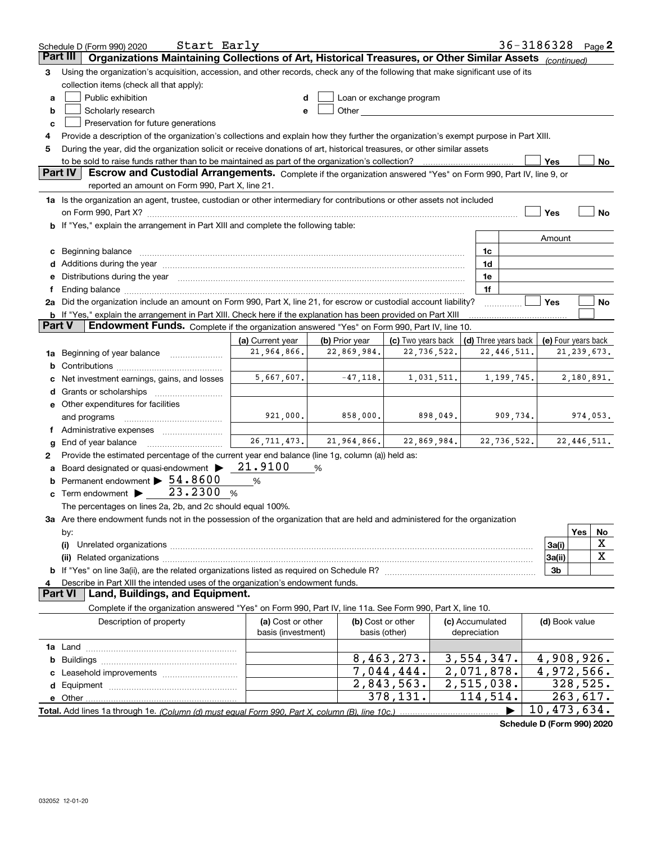|               | Start Early<br>Schedule D (Form 990) 2020                                                                                                                                                                                      |                    |                |                          |                      | 36-3186328                 |               | Page $2$ |
|---------------|--------------------------------------------------------------------------------------------------------------------------------------------------------------------------------------------------------------------------------|--------------------|----------------|--------------------------|----------------------|----------------------------|---------------|----------|
| Part III      | Organizations Maintaining Collections of Art, Historical Treasures, or Other Similar Assets (continued)                                                                                                                        |                    |                |                          |                      |                            |               |          |
| 3             | Using the organization's acquisition, accession, and other records, check any of the following that make significant use of its                                                                                                |                    |                |                          |                      |                            |               |          |
|               | collection items (check all that apply):                                                                                                                                                                                       |                    |                |                          |                      |                            |               |          |
| a             | Public exhibition                                                                                                                                                                                                              | d                  |                | Loan or exchange program |                      |                            |               |          |
| b             | Scholarly research                                                                                                                                                                                                             | е                  | Other          |                          |                      |                            |               |          |
| c             | Preservation for future generations                                                                                                                                                                                            |                    |                |                          |                      |                            |               |          |
| 4             | Provide a description of the organization's collections and explain how they further the organization's exempt purpose in Part XIII.                                                                                           |                    |                |                          |                      |                            |               |          |
| 5             | During the year, did the organization solicit or receive donations of art, historical treasures, or other similar assets                                                                                                       |                    |                |                          |                      |                            |               |          |
|               | to be sold to raise funds rather than to be maintained as part of the organization's collection?                                                                                                                               |                    |                |                          |                      | Yes                        |               | No       |
|               | <b>Part IV</b><br>Escrow and Custodial Arrangements. Complete if the organization answered "Yes" on Form 990, Part IV, line 9, or<br>reported an amount on Form 990, Part X, line 21.                                          |                    |                |                          |                      |                            |               |          |
|               | 1a Is the organization an agent, trustee, custodian or other intermediary for contributions or other assets not included                                                                                                       |                    |                |                          |                      |                            |               |          |
|               | on Form 990, Part X? [11] matter contracts and contracts and contracts are contracted as a function of the set of the set of the set of the set of the set of the set of the set of the set of the set of the set of the set o |                    |                |                          |                      | Yes                        |               | No       |
|               | b If "Yes," explain the arrangement in Part XIII and complete the following table:                                                                                                                                             |                    |                |                          |                      |                            |               |          |
|               |                                                                                                                                                                                                                                |                    |                |                          |                      | Amount                     |               |          |
|               | c Beginning balance                                                                                                                                                                                                            |                    |                |                          | 1c                   |                            |               |          |
|               |                                                                                                                                                                                                                                |                    |                |                          | 1d                   |                            |               |          |
| е             | Distributions during the year manufactured and continuum and contact the year manufactured and contact the year                                                                                                                |                    |                |                          | 1e                   |                            |               |          |
|               |                                                                                                                                                                                                                                |                    |                |                          | 1f                   |                            |               |          |
|               | 2a Did the organization include an amount on Form 990, Part X, line 21, for escrow or custodial account liability?                                                                                                             |                    |                |                          |                      | Yes                        |               | No       |
|               | <b>b</b> If "Yes," explain the arrangement in Part XIII. Check here if the explanation has been provided on Part XIII                                                                                                          |                    |                |                          |                      |                            |               |          |
| <b>Part V</b> | <b>Endowment Funds.</b> Complete if the organization answered "Yes" on Form 990, Part IV, line 10.                                                                                                                             |                    |                |                          |                      |                            |               |          |
|               |                                                                                                                                                                                                                                | (a) Current year   | (b) Prior year | (c) Two years back       | (d) Three years back | (e) Four years back        |               |          |
| 1a            | Beginning of year balance <i>manumman</i>                                                                                                                                                                                      | 21,964,866.        | 22,869,984.    | 22,736,522.              | 22, 446, 511.        |                            | 21, 239, 673. |          |
| b             |                                                                                                                                                                                                                                | 5,667,607.         | $-47,118.$     |                          | 1,199,745.           |                            |               |          |
|               | Net investment earnings, gains, and losses                                                                                                                                                                                     |                    |                | 1,031,511.               |                      |                            | 2,180,891.    |          |
|               | d Grants or scholarships                                                                                                                                                                                                       |                    |                |                          |                      |                            |               |          |
|               | e Other expenditures for facilities                                                                                                                                                                                            | 921,000.           | 858,000.       | 898,049.                 | 909,734.             |                            |               | 974,053. |
|               | and programs                                                                                                                                                                                                                   |                    |                |                          |                      |                            |               |          |
|               | Administrative expenses                                                                                                                                                                                                        | 26, 711, 473.      | 21,964,866.    | 22,869,984.              | 22,736,522.          |                            | 22, 446, 511. |          |
| g             | End of year balance<br>Provide the estimated percentage of the current year end balance (line 1g, column (a)) held as:                                                                                                         |                    |                |                          |                      |                            |               |          |
| 2             | Board designated or quasi-endowment >                                                                                                                                                                                          | 21.9100            | %              |                          |                      |                            |               |          |
| а             | Permanent endowment $\blacktriangleright$ 54.8600                                                                                                                                                                              | $\%$               |                |                          |                      |                            |               |          |
|               | c Term endowment $\blacktriangleright$ 23.2300                                                                                                                                                                                 | %                  |                |                          |                      |                            |               |          |
|               | The percentages on lines 2a, 2b, and 2c should equal 100%.                                                                                                                                                                     |                    |                |                          |                      |                            |               |          |
|               | 3a Are there endowment funds not in the possession of the organization that are held and administered for the organization                                                                                                     |                    |                |                          |                      |                            |               |          |
|               | by:                                                                                                                                                                                                                            |                    |                |                          |                      |                            | Yes           | No       |
|               | (i)                                                                                                                                                                                                                            |                    |                |                          |                      | 3a(i)                      |               | х        |
|               |                                                                                                                                                                                                                                |                    |                |                          |                      | 3a(ii)                     |               | x        |
|               |                                                                                                                                                                                                                                |                    |                |                          |                      | 3 <sub>b</sub>             |               |          |
|               | Describe in Part XIII the intended uses of the organization's endowment funds.                                                                                                                                                 |                    |                |                          |                      |                            |               |          |
|               | <b>Part VI</b><br>Land, Buildings, and Equipment.                                                                                                                                                                              |                    |                |                          |                      |                            |               |          |
|               | Complete if the organization answered "Yes" on Form 990, Part IV, line 11a. See Form 990, Part X, line 10.                                                                                                                     |                    |                |                          |                      |                            |               |          |
|               | Description of property                                                                                                                                                                                                        | (a) Cost or other  |                | (b) Cost or other        | (c) Accumulated      | (d) Book value             |               |          |
|               |                                                                                                                                                                                                                                | basis (investment) |                | basis (other)            | depreciation         |                            |               |          |
|               |                                                                                                                                                                                                                                |                    |                |                          |                      |                            |               |          |
|               |                                                                                                                                                                                                                                |                    |                | 8,463,273.               | 3,554,347.           | 4,908,926.                 |               |          |
|               |                                                                                                                                                                                                                                |                    |                | 7,044,444.               | 2,071,878.           | $\overline{4,972,566}$ .   |               |          |
|               |                                                                                                                                                                                                                                |                    |                | 2,843,563.               | 2,515,038.           |                            | 328,525.      |          |
|               |                                                                                                                                                                                                                                |                    |                | 378,131.                 | 114,514.             |                            | 263,617.      |          |
|               | Total. Add lines 1a through 1e. (Column (d) must equal Form 990. Part X, column (B), line 10c.)                                                                                                                                |                    |                |                          |                      | 10,473,634.                |               |          |
|               |                                                                                                                                                                                                                                |                    |                |                          |                      | Schedule D (Form 990) 2020 |               |          |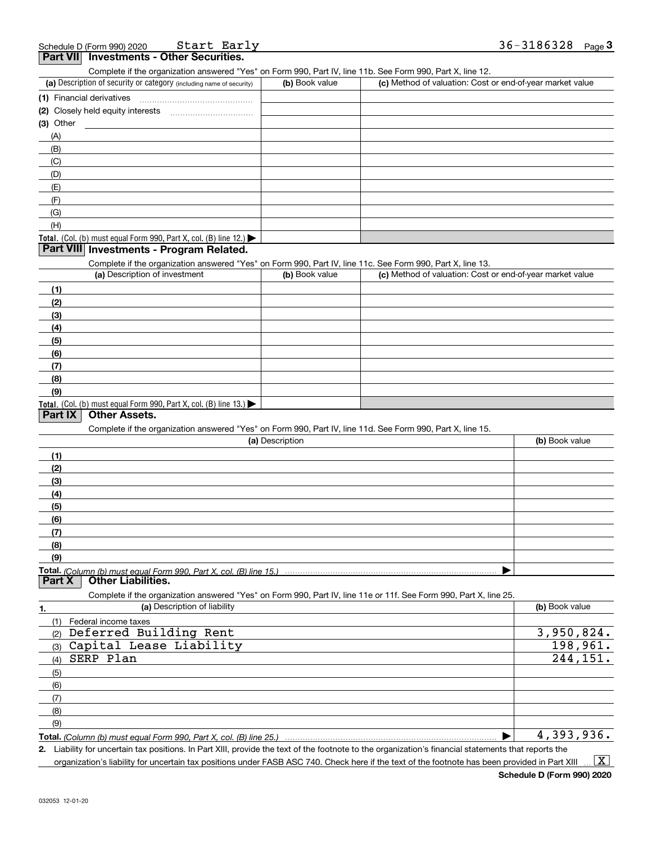Start Early

| Complete if the organization answered "Yes" on Form 990, Part IV, line 11b. See Form 990, Part X, line 12.<br>(a) Description of security or category (including name of security) | (b) Book value  | (c) Method of valuation: Cost or end-of-year market value |                |
|------------------------------------------------------------------------------------------------------------------------------------------------------------------------------------|-----------------|-----------------------------------------------------------|----------------|
| (1) Financial derivatives                                                                                                                                                          |                 |                                                           |                |
|                                                                                                                                                                                    |                 |                                                           |                |
| $(3)$ Other<br><u> The Communication of the Communication</u>                                                                                                                      |                 |                                                           |                |
| (A)                                                                                                                                                                                |                 |                                                           |                |
| (B)                                                                                                                                                                                |                 |                                                           |                |
| (C)                                                                                                                                                                                |                 |                                                           |                |
| (D)                                                                                                                                                                                |                 |                                                           |                |
| (E)                                                                                                                                                                                |                 |                                                           |                |
| (F)                                                                                                                                                                                |                 |                                                           |                |
| (G)                                                                                                                                                                                |                 |                                                           |                |
| (H)                                                                                                                                                                                |                 |                                                           |                |
| Total. (Col. (b) must equal Form 990, Part X, col. (B) line 12.)                                                                                                                   |                 |                                                           |                |
| Part VIII Investments - Program Related.                                                                                                                                           |                 |                                                           |                |
| Complete if the organization answered "Yes" on Form 990, Part IV, line 11c. See Form 990, Part X, line 13.                                                                         |                 |                                                           |                |
| (a) Description of investment                                                                                                                                                      | (b) Book value  | (c) Method of valuation: Cost or end-of-year market value |                |
| (1)                                                                                                                                                                                |                 |                                                           |                |
| (2)                                                                                                                                                                                |                 |                                                           |                |
| (3)                                                                                                                                                                                |                 |                                                           |                |
| (4)                                                                                                                                                                                |                 |                                                           |                |
| (5)                                                                                                                                                                                |                 |                                                           |                |
| (6)                                                                                                                                                                                |                 |                                                           |                |
| (7)                                                                                                                                                                                |                 |                                                           |                |
| (8)                                                                                                                                                                                |                 |                                                           |                |
| (9)                                                                                                                                                                                |                 |                                                           |                |
| Total. (Col. (b) must equal Form 990, Part X, col. (B) line 13.)                                                                                                                   |                 |                                                           |                |
| <b>Other Assets.</b><br>Part $ X $                                                                                                                                                 |                 |                                                           |                |
| Complete if the organization answered "Yes" on Form 990, Part IV, line 11d. See Form 990, Part X, line 15.                                                                         |                 |                                                           |                |
|                                                                                                                                                                                    | (a) Description |                                                           | (b) Book value |
| (1)                                                                                                                                                                                |                 |                                                           |                |
| (2)                                                                                                                                                                                |                 |                                                           |                |
| (3)                                                                                                                                                                                |                 |                                                           |                |
| (4)                                                                                                                                                                                |                 |                                                           |                |
| (5)                                                                                                                                                                                |                 |                                                           |                |
| (6)                                                                                                                                                                                |                 |                                                           |                |
| (7)                                                                                                                                                                                |                 |                                                           |                |
| (8)                                                                                                                                                                                |                 |                                                           |                |
| (9)                                                                                                                                                                                |                 |                                                           |                |
|                                                                                                                                                                                    |                 |                                                           |                |
| <b>Other Liabilities.</b><br>Part X                                                                                                                                                |                 |                                                           |                |
| Complete if the organization answered "Yes" on Form 990, Part IV, line 11e or 11f. See Form 990, Part X, line 25.                                                                  |                 |                                                           |                |
| (a) Description of liability<br>1.                                                                                                                                                 |                 |                                                           | (b) Book value |
| (1) Federal income taxes                                                                                                                                                           |                 |                                                           |                |
| Deferred Building Rent<br>(2)                                                                                                                                                      |                 |                                                           | 3,950,824.     |
| Capital Lease Liability<br>(3)                                                                                                                                                     |                 |                                                           | 198,961.       |
| SERP Plan<br>(4)                                                                                                                                                                   |                 |                                                           | 244,151.       |
| (5)                                                                                                                                                                                |                 |                                                           |                |
| (6)                                                                                                                                                                                |                 |                                                           |                |
| (7)                                                                                                                                                                                |                 |                                                           |                |
| (8)                                                                                                                                                                                |                 |                                                           |                |
| (9)                                                                                                                                                                                |                 |                                                           |                |
|                                                                                                                                                                                    |                 |                                                           | 4,393,936.     |

**2.** Liability for uncertain tax positions. In Part XIII, provide the text of the footnote to the organization's financial statements that reports the organization's liability for uncertain tax positions under FASB ASC 740. Check here if the text of the footnote has been provided in Part XIII  $\vert$  X  $\vert$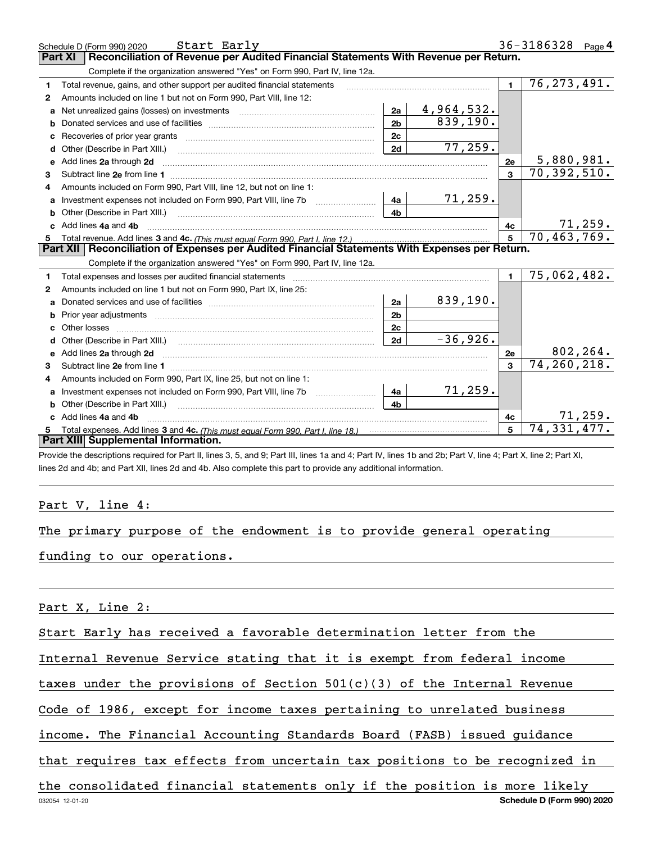|    | Start Early<br>Schedule D (Form 990) 2020                                                                                                                                                                                           |                |            |                | 36-3186328 Page 4 |
|----|-------------------------------------------------------------------------------------------------------------------------------------------------------------------------------------------------------------------------------------|----------------|------------|----------------|-------------------|
|    | Reconciliation of Revenue per Audited Financial Statements With Revenue per Return.<br>Part XI                                                                                                                                      |                |            |                |                   |
|    | Complete if the organization answered "Yes" on Form 990, Part IV, line 12a.                                                                                                                                                         |                |            |                |                   |
| 1  | Total revenue, gains, and other support per audited financial statements                                                                                                                                                            |                |            | $\blacksquare$ | 76, 273, 491.     |
| 2  | Amounts included on line 1 but not on Form 990, Part VIII, line 12:                                                                                                                                                                 |                |            |                |                   |
| a  |                                                                                                                                                                                                                                     | 2a             | 4,964,532. |                |                   |
| b  |                                                                                                                                                                                                                                     | 2 <sub>b</sub> | 839,190.   |                |                   |
| c  |                                                                                                                                                                                                                                     | 2c             |            |                |                   |
| d  | Other (Describe in Part XIII.)                                                                                                                                                                                                      | 2d             | 77,259.    |                |                   |
| е  | Add lines 2a through 2d                                                                                                                                                                                                             |                |            | 2e             | 5,880,981.        |
| 3  |                                                                                                                                                                                                                                     |                |            | $\mathbf{3}$   | 70, 392, 510.     |
| 4  | Amounts included on Form 990. Part VIII, line 12, but not on line 1:                                                                                                                                                                |                |            |                |                   |
| a  | Investment expenses not included on Form 990, Part VIII, line 7b                                                                                                                                                                    | 4a             | 71,259.    |                |                   |
| b  | Other (Describe in Part XIII.) <b>Construction Contract Construction</b> Chern Construction Chern Chern Chern Chern Chern Chern Chern Chern Chern Chern Chern Chern Chern Chern Chern Chern Chern Chern Chern Chern Chern Chern Che | 4 <sub>b</sub> |            |                |                   |
| c. | Add lines 4a and 4b                                                                                                                                                                                                                 |                |            | 4с             | 71,259.           |
|    |                                                                                                                                                                                                                                     |                |            |                |                   |
| 5  |                                                                                                                                                                                                                                     |                |            | 5              | 70,463,769.       |
|    | Part XII   Reconciliation of Expenses per Audited Financial Statements With Expenses per Return.                                                                                                                                    |                |            |                |                   |
|    | Complete if the organization answered "Yes" on Form 990, Part IV, line 12a.                                                                                                                                                         |                |            |                |                   |
| 1  | Total expenses and losses per audited financial statements [11] [11] Total expenses and losses per audited financial statements [11] [11] Total expenses and losses per audited financial statements                                |                |            | $\blacksquare$ | 75,062,482.       |
| 2  | Amounts included on line 1 but not on Form 990, Part IX, line 25:                                                                                                                                                                   |                |            |                |                   |
| a  |                                                                                                                                                                                                                                     | 2a             | 839,190.   |                |                   |
| b  |                                                                                                                                                                                                                                     | 2 <sub>b</sub> |            |                |                   |
| c  |                                                                                                                                                                                                                                     | 2c             |            |                |                   |
|    |                                                                                                                                                                                                                                     | 2d             | $-36,926.$ |                |                   |
|    |                                                                                                                                                                                                                                     |                |            | 2e             | 802, 264.         |
| 3  | e Add lines 2a through 2d <b>contract and a contract and a contract a</b> contract a contract and a contract a contract a contract a contract a contract a contract a contract a contract a contract a contract a contract a contra |                |            | $\mathbf{3}$   | 74,260,218.       |
| 4  | Amounts included on Form 990, Part IX, line 25, but not on line 1:                                                                                                                                                                  |                |            |                |                   |
| a  |                                                                                                                                                                                                                                     | 4a             | 71,259.    |                |                   |
| b  |                                                                                                                                                                                                                                     | 4h             |            |                |                   |
|    | c Add lines 4a and 4b                                                                                                                                                                                                               |                |            | 4с             | 71,259.           |
|    | Part XIII Supplemental Information.                                                                                                                                                                                                 |                |            | 5              | 74, 331, 477.     |

Provide the descriptions required for Part II, lines 3, 5, and 9; Part III, lines 1a and 4; Part IV, lines 1b and 2b; Part V, line 4; Part X, line 2; Part XI, lines 2d and 4b; and Part XII, lines 2d and 4b. Also complete this part to provide any additional information.

### Part V, line 4:

### The primary purpose of the endowment is to provide general operating

funding to our operations.

Part X, Line 2:

Start Early has received a favorable determination letter from the

Internal Revenue Service stating that it is exempt from federal income

taxes under the provisions of Section 501(c)(3) of the Internal Revenue

Code of 1986, except for income taxes pertaining to unrelated business

income. The Financial Accounting Standards Board (FASB) issued guidance

that requires tax effects from uncertain tax positions to be recognized in

032054 12-01-20 **Schedule D (Form 990) 2020** the consolidated financial statements only if the position is more likely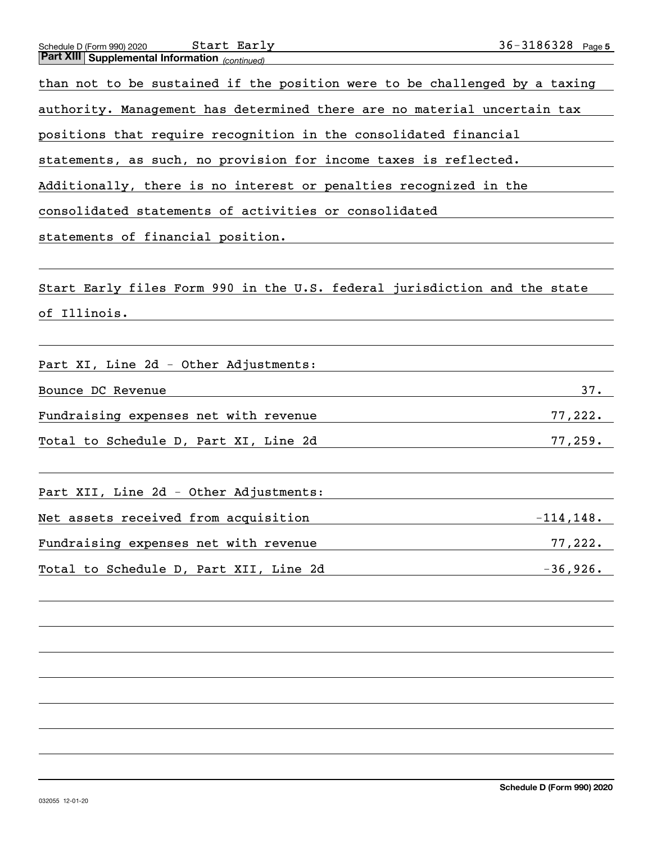| Start Early<br>Schedule D (Form 990) 2020                                  | $36 - 3186328$ Page 5 |     |
|----------------------------------------------------------------------------|-----------------------|-----|
| Part XIII Supplemental Information (continued)                             |                       |     |
| than not to be sustained if the position were to be challenged by a taxing |                       |     |
| authority. Management has determined there are no material uncertain tax   |                       |     |
| positions that require recognition in the consolidated financial           |                       |     |
| statements, as such, no provision for income taxes is reflected.           |                       |     |
| Additionally, there is no interest or penalties recognized in the          |                       |     |
| consolidated statements of activities or consolidated                      |                       |     |
| statements of financial position.                                          |                       |     |
| Start Early files Form 990 in the U.S. federal jurisdiction and the state  |                       |     |
| of Illinois.                                                               |                       |     |
|                                                                            |                       |     |
| Part XI, Line 2d - Other Adjustments:                                      |                       |     |
| Bounce DC Revenue                                                          |                       | 37. |
| Fundraising expenses net with revenue                                      | 77,222.               |     |
| Total to Schedule D, Part XI, Line 2d                                      | 77,259.               |     |
|                                                                            |                       |     |
| Part XII, Line 2d - Other Adjustments:                                     |                       |     |
| Net assets received from acquisition                                       | $-114, 148.$          |     |
| Fundraising expenses net with revenue                                      | 77,222.               |     |
| Total to Schedule D, Part XII, Line 2d                                     | $-36,926.$            |     |
|                                                                            |                       |     |
|                                                                            |                       |     |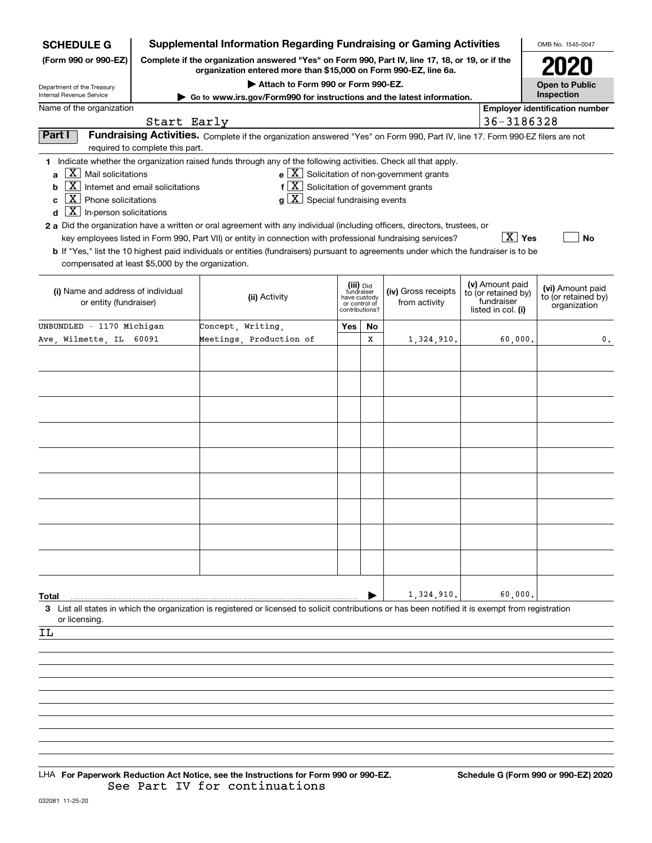| <b>SCHEDULE G</b>                                                                                                                             |                                  | <b>Supplemental Information Regarding Fundraising or Gaming Activities</b>                                                                                                                                                                                                                                                                                                                                                                                                                                                                                                                |     |                                                                            |                                                                      |                                                                            |                | OMB No. 1545-0047                                       |
|-----------------------------------------------------------------------------------------------------------------------------------------------|----------------------------------|-------------------------------------------------------------------------------------------------------------------------------------------------------------------------------------------------------------------------------------------------------------------------------------------------------------------------------------------------------------------------------------------------------------------------------------------------------------------------------------------------------------------------------------------------------------------------------------------|-----|----------------------------------------------------------------------------|----------------------------------------------------------------------|----------------------------------------------------------------------------|----------------|---------------------------------------------------------|
| (Form 990 or 990-EZ)                                                                                                                          |                                  | Complete if the organization answered "Yes" on Form 990, Part IV, line 17, 18, or 19, or if the<br>organization entered more than \$15,000 on Form 990-EZ, line 6a.                                                                                                                                                                                                                                                                                                                                                                                                                       |     |                                                                            |                                                                      |                                                                            |                |                                                         |
| Department of the Treasury                                                                                                                    |                                  | Attach to Form 990 or Form 990-EZ.                                                                                                                                                                                                                                                                                                                                                                                                                                                                                                                                                        |     |                                                                            |                                                                      |                                                                            |                | <b>Open to Public</b>                                   |
| Internal Revenue Service<br>Name of the organization                                                                                          |                                  | Go to www.irs.gov/Form990 for instructions and the latest information.                                                                                                                                                                                                                                                                                                                                                                                                                                                                                                                    |     |                                                                            |                                                                      |                                                                            |                | Inspection<br><b>Employer identification number</b>     |
|                                                                                                                                               | Start Early                      |                                                                                                                                                                                                                                                                                                                                                                                                                                                                                                                                                                                           |     |                                                                            |                                                                      |                                                                            | 36-3186328     |                                                         |
| Part I                                                                                                                                        |                                  | Fundraising Activities. Complete if the organization answered "Yes" on Form 990, Part IV, line 17. Form 990-EZ filers are not                                                                                                                                                                                                                                                                                                                                                                                                                                                             |     |                                                                            |                                                                      |                                                                            |                |                                                         |
|                                                                                                                                               | required to complete this part.  |                                                                                                                                                                                                                                                                                                                                                                                                                                                                                                                                                                                           |     |                                                                            |                                                                      |                                                                            |                |                                                         |
| $X$ Mail solicitations<br>a<br>  X  <br>b<br>$\boxed{\text{X}}$ Phone solicitations<br>C<br>$\boxed{\textbf{X}}$ In-person solicitations<br>d | Internet and email solicitations | 1 Indicate whether the organization raised funds through any of the following activities. Check all that apply.<br>$f[X]$ Solicitation of government grants<br>$g\mid X$ Special fundraising events<br>2 a Did the organization have a written or oral agreement with any individual (including officers, directors, trustees, or<br>key employees listed in Form 990, Part VII) or entity in connection with professional fundraising services?<br>b If "Yes," list the 10 highest paid individuals or entities (fundraisers) pursuant to agreements under which the fundraiser is to be |     |                                                                            | $\mathbf{e} \times \mathbf{X}$ Solicitation of non-government grants |                                                                            | $\sqrt{X}$ Yes | <b>No</b>                                               |
| compensated at least \$5,000 by the organization.                                                                                             |                                  |                                                                                                                                                                                                                                                                                                                                                                                                                                                                                                                                                                                           |     |                                                                            |                                                                      |                                                                            |                |                                                         |
| (i) Name and address of individual<br>or entity (fundraiser)                                                                                  |                                  | (ii) Activity                                                                                                                                                                                                                                                                                                                                                                                                                                                                                                                                                                             |     | (iii) Did<br>fundraiser<br>have custody<br>or control of<br>contributions? | (iv) Gross receipts<br>from activity                                 | (v) Amount paid<br>to (or retained by)<br>fundraiser<br>listed in col. (i) |                | (vi) Amount paid<br>to (or retained by)<br>organization |
| UNBUNDLED - 1170 Michigan                                                                                                                     |                                  | Concept, Writing,                                                                                                                                                                                                                                                                                                                                                                                                                                                                                                                                                                         | Yes | No                                                                         |                                                                      |                                                                            |                |                                                         |
| Ave, Wilmette, IL 60091                                                                                                                       |                                  | Meetings, Production of                                                                                                                                                                                                                                                                                                                                                                                                                                                                                                                                                                   |     | X                                                                          | 1,324,910.                                                           |                                                                            | 60,000.        | 0.                                                      |
| Total<br>or licensing<br>IL                                                                                                                   |                                  | 3 List all states in which the organization is registered or licensed to solicit contributions or has been notified it is exempt from registration                                                                                                                                                                                                                                                                                                                                                                                                                                        |     |                                                                            | 1,324,910.                                                           |                                                                            | 60,000.        |                                                         |
|                                                                                                                                               |                                  |                                                                                                                                                                                                                                                                                                                                                                                                                                                                                                                                                                                           |     |                                                                            |                                                                      |                                                                            |                |                                                         |
|                                                                                                                                               |                                  |                                                                                                                                                                                                                                                                                                                                                                                                                                                                                                                                                                                           |     |                                                                            |                                                                      |                                                                            |                |                                                         |
|                                                                                                                                               |                                  |                                                                                                                                                                                                                                                                                                                                                                                                                                                                                                                                                                                           |     |                                                                            |                                                                      |                                                                            |                |                                                         |
|                                                                                                                                               |                                  |                                                                                                                                                                                                                                                                                                                                                                                                                                                                                                                                                                                           |     |                                                                            |                                                                      |                                                                            |                |                                                         |

LHA For Paperwork Reduction Act Notice, see the Instructions for Form 990 or 990-EZ. Schedule G (Form 990 or 990-EZ) 2020 See Part IV for continuations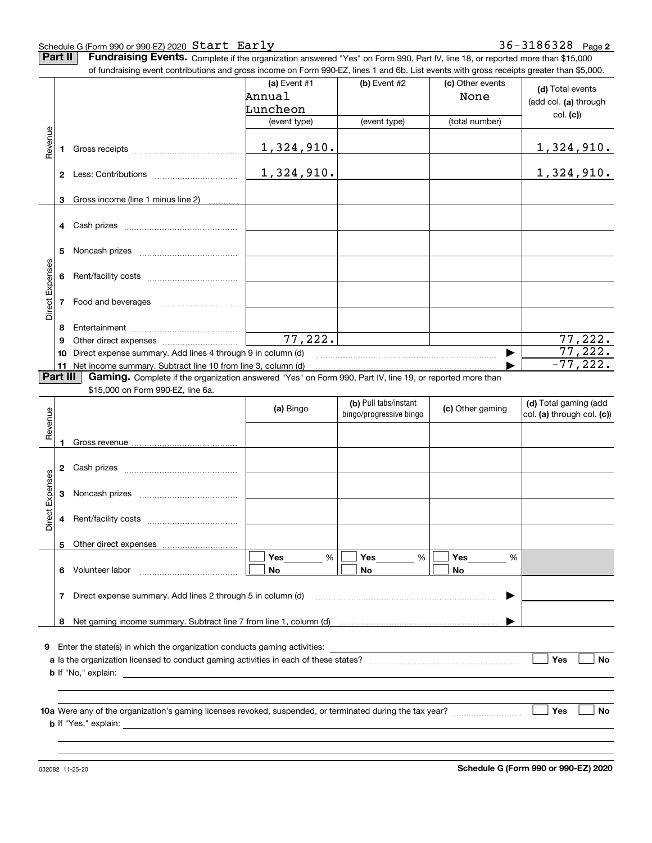#### Schedule G (Form 990 or 990-EZ) 2020  $\texttt{Start}\_\texttt{W}$ Start Early 36-3186328

**Part II** | Fundraising Events. Complete if the organization answered "Yes" on Form 990, Part IV, line 18, or reported more than \$15,000

|                 |          | of fundraising event contributions and gross income on Form 990-EZ, lines 1 and 6b. List events with gross receipts greater than \$5,000. |              |                         |                  |                            |
|-----------------|----------|-------------------------------------------------------------------------------------------------------------------------------------------|--------------|-------------------------|------------------|----------------------------|
|                 |          |                                                                                                                                           | (a) Event #1 | $(b)$ Event #2          | (c) Other events | (d) Total events           |
|                 |          |                                                                                                                                           | Annual       |                         | None             |                            |
|                 |          |                                                                                                                                           | Luncheon     |                         |                  | (add col. (a) through      |
|                 |          |                                                                                                                                           | (event type) | (event type)            | (total number)   | col. (c)                   |
|                 |          |                                                                                                                                           |              |                         |                  |                            |
| Revenue         |          |                                                                                                                                           |              |                         |                  |                            |
|                 |          |                                                                                                                                           | 1,324,910.   |                         |                  | 1,324,910.                 |
|                 |          |                                                                                                                                           |              |                         |                  |                            |
|                 |          |                                                                                                                                           | 1,324,910.   |                         |                  | 1,324,910.                 |
|                 |          |                                                                                                                                           |              |                         |                  |                            |
|                 |          |                                                                                                                                           |              |                         |                  |                            |
|                 | 3        | Gross income (line 1 minus line 2)                                                                                                        |              |                         |                  |                            |
|                 |          |                                                                                                                                           |              |                         |                  |                            |
|                 |          |                                                                                                                                           |              |                         |                  |                            |
|                 |          |                                                                                                                                           |              |                         |                  |                            |
|                 | 5        |                                                                                                                                           |              |                         |                  |                            |
|                 |          |                                                                                                                                           |              |                         |                  |                            |
|                 | 6        |                                                                                                                                           |              |                         |                  |                            |
|                 |          |                                                                                                                                           |              |                         |                  |                            |
| Direct Expenses |          |                                                                                                                                           |              |                         |                  |                            |
|                 |          | 7 Food and beverages                                                                                                                      |              |                         |                  |                            |
|                 |          |                                                                                                                                           |              |                         |                  |                            |
|                 | 8        |                                                                                                                                           |              |                         |                  |                            |
|                 | 9        |                                                                                                                                           | 77,222.      |                         |                  | 77,222.                    |
|                 | 10       | Direct expense summary. Add lines 4 through 9 in column (d)                                                                               |              |                         |                  | 77,222.                    |
|                 |          | 11 Net income summary. Subtract line 10 from line 3, column (d)                                                                           |              |                         |                  | $-77,222.$                 |
|                 | Part III | Gaming. Complete if the organization answered "Yes" on Form 990, Part IV, line 19, or reported more than                                  |              |                         |                  |                            |
|                 |          |                                                                                                                                           |              |                         |                  |                            |
|                 |          | \$15,000 on Form 990-EZ, line 6a.                                                                                                         |              |                         |                  |                            |
|                 |          |                                                                                                                                           | (a) Bingo    | (b) Pull tabs/instant   | (c) Other gaming | (d) Total gaming (add      |
| Revenue         |          |                                                                                                                                           |              | bingo/progressive bingo |                  | col. (a) through col. (c)) |
|                 |          |                                                                                                                                           |              |                         |                  |                            |
|                 |          |                                                                                                                                           |              |                         |                  |                            |
|                 |          |                                                                                                                                           |              |                         |                  |                            |
|                 |          |                                                                                                                                           |              |                         |                  |                            |
|                 |          |                                                                                                                                           |              |                         |                  |                            |
| Expenses        |          |                                                                                                                                           |              |                         |                  |                            |
|                 | 3        |                                                                                                                                           |              |                         |                  |                            |
|                 |          |                                                                                                                                           |              |                         |                  |                            |
| <b>Direct</b>   |          |                                                                                                                                           |              |                         |                  |                            |
|                 |          |                                                                                                                                           |              |                         |                  |                            |
|                 |          | 5 Other direct expenses                                                                                                                   |              |                         |                  |                            |
|                 |          |                                                                                                                                           | Yes<br>$\%$  | Yes<br>%                | Yes<br>%         |                            |
|                 |          | 6 Volunteer labor                                                                                                                         | No           | No                      | No               |                            |
|                 |          |                                                                                                                                           |              |                         |                  |                            |
|                 |          |                                                                                                                                           |              |                         |                  |                            |
|                 |          | 7 Direct expense summary. Add lines 2 through 5 in column (d)                                                                             |              |                         |                  |                            |
|                 |          |                                                                                                                                           |              |                         |                  |                            |
|                 |          |                                                                                                                                           |              |                         |                  |                            |
|                 |          |                                                                                                                                           |              |                         |                  |                            |
| 9               |          | Enter the state(s) in which the organization conducts gaming activities:                                                                  |              |                         |                  |                            |
|                 |          |                                                                                                                                           |              |                         |                  | Yes<br>No                  |
|                 |          |                                                                                                                                           |              |                         |                  |                            |
|                 |          | <b>b</b> If "No," explain: $\qquad \qquad$                                                                                                |              |                         |                  |                            |
|                 |          |                                                                                                                                           |              |                         |                  |                            |
|                 |          |                                                                                                                                           |              |                         |                  |                            |
|                 |          |                                                                                                                                           |              |                         |                  | Yes<br>No                  |
|                 |          |                                                                                                                                           |              |                         |                  |                            |
|                 |          |                                                                                                                                           |              |                         |                  |                            |
|                 |          |                                                                                                                                           |              |                         |                  |                            |
|                 |          |                                                                                                                                           |              |                         |                  |                            |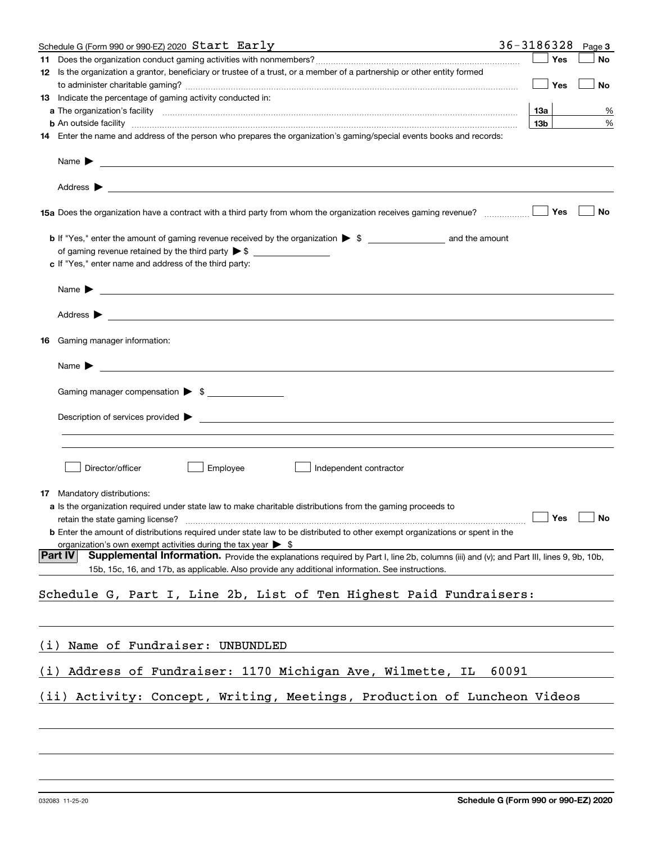|     | Schedule G (Form 990 or 990-EZ) 2020 $Start$ $Early$                                                                                                                                                                                                               | 36-3186328 |                 |           | Page 3    |
|-----|--------------------------------------------------------------------------------------------------------------------------------------------------------------------------------------------------------------------------------------------------------------------|------------|-----------------|-----------|-----------|
|     |                                                                                                                                                                                                                                                                    |            |                 | Yes       | <b>No</b> |
|     | 12 Is the organization a grantor, beneficiary or trustee of a trust, or a member of a partnership or other entity formed                                                                                                                                           |            |                 |           |           |
|     |                                                                                                                                                                                                                                                                    |            |                 | Yes       | No        |
|     | 13 Indicate the percentage of gaming activity conducted in:                                                                                                                                                                                                        |            |                 |           |           |
|     |                                                                                                                                                                                                                                                                    |            | 13а             |           | %         |
|     |                                                                                                                                                                                                                                                                    |            | 13 <sub>b</sub> |           | %         |
|     | <b>b</b> An outside facility <i>www.communicality www.communicality.communicality www.communicality www.communicality.communicality</i>                                                                                                                            |            |                 |           |           |
|     | 14 Enter the name and address of the person who prepares the organization's gaming/special events books and records:                                                                                                                                               |            |                 |           |           |
|     | Name $\blacktriangleright$<br><u>se a componente de la componente de la componente de la componente de la componente de la componente de la com</u>                                                                                                                |            |                 |           |           |
|     |                                                                                                                                                                                                                                                                    |            |                 |           |           |
|     | 15a Does the organization have a contract with a third party from whom the organization receives gaming revenue?                                                                                                                                                   |            |                 | Yes       | <b>No</b> |
|     |                                                                                                                                                                                                                                                                    |            |                 |           |           |
|     |                                                                                                                                                                                                                                                                    |            |                 |           |           |
|     | c If "Yes," enter name and address of the third party:                                                                                                                                                                                                             |            |                 |           |           |
|     | Name $\blacktriangleright$<br>and the control of the control of the control of the control of the control of the control of the control of the                                                                                                                     |            |                 |           |           |
|     |                                                                                                                                                                                                                                                                    |            |                 |           |           |
|     |                                                                                                                                                                                                                                                                    |            |                 |           |           |
|     | 16 Gaming manager information:                                                                                                                                                                                                                                     |            |                 |           |           |
|     |                                                                                                                                                                                                                                                                    |            |                 |           |           |
|     | <u>and the state of the state of the state of the state of the state of the state of the state of the state of the state of the state of the state of the state of the state of the state of the state of the state of the state</u><br>Name $\blacktriangleright$ |            |                 |           |           |
|     | Gaming manager compensation > \$                                                                                                                                                                                                                                   |            |                 |           |           |
|     |                                                                                                                                                                                                                                                                    |            |                 |           |           |
|     |                                                                                                                                                                                                                                                                    |            |                 |           |           |
|     |                                                                                                                                                                                                                                                                    |            |                 |           |           |
|     |                                                                                                                                                                                                                                                                    |            |                 |           |           |
|     |                                                                                                                                                                                                                                                                    |            |                 |           |           |
|     | Director/officer<br>Employee<br>Independent contractor                                                                                                                                                                                                             |            |                 |           |           |
|     |                                                                                                                                                                                                                                                                    |            |                 |           |           |
|     | <b>17</b> Mandatory distributions:                                                                                                                                                                                                                                 |            |                 |           |           |
|     | <b>a</b> Is the organization required under state law to make charitable distributions from the gaming proceeds to                                                                                                                                                 |            |                 |           |           |
|     |                                                                                                                                                                                                                                                                    |            |                 | __  Yes L | $\Box$ No |
|     | <b>b</b> Enter the amount of distributions required under state law to be distributed to other exempt organizations or spent in the                                                                                                                                |            |                 |           |           |
|     | organization's own exempt activities during the tax year $\triangleright$ \$                                                                                                                                                                                       |            |                 |           |           |
|     | ∣Part IV<br>Supplemental Information. Provide the explanations required by Part I, line 2b, columns (iii) and (v); and Part III, lines 9, 9b, 10b,                                                                                                                 |            |                 |           |           |
|     | 15b, 15c, 16, and 17b, as applicable. Also provide any additional information. See instructions.                                                                                                                                                                   |            |                 |           |           |
|     |                                                                                                                                                                                                                                                                    |            |                 |           |           |
|     | Schedule G, Part I, Line 2b, List of Ten Highest Paid Fundraisers:                                                                                                                                                                                                 |            |                 |           |           |
|     |                                                                                                                                                                                                                                                                    |            |                 |           |           |
|     |                                                                                                                                                                                                                                                                    |            |                 |           |           |
| (i) | Name of Fundraiser: UNBUNDLED                                                                                                                                                                                                                                      |            |                 |           |           |
|     |                                                                                                                                                                                                                                                                    |            |                 |           |           |
| (i) | Address of Fundraiser: 1170 Michigan Ave, Wilmette, IL                                                                                                                                                                                                             | 60091      |                 |           |           |
|     | Activity: Concept, Writing, Meetings, Production of Luncheon Videos<br>(iii)                                                                                                                                                                                       |            |                 |           |           |
|     |                                                                                                                                                                                                                                                                    |            |                 |           |           |
|     |                                                                                                                                                                                                                                                                    |            |                 |           |           |
|     |                                                                                                                                                                                                                                                                    |            |                 |           |           |
|     |                                                                                                                                                                                                                                                                    |            |                 |           |           |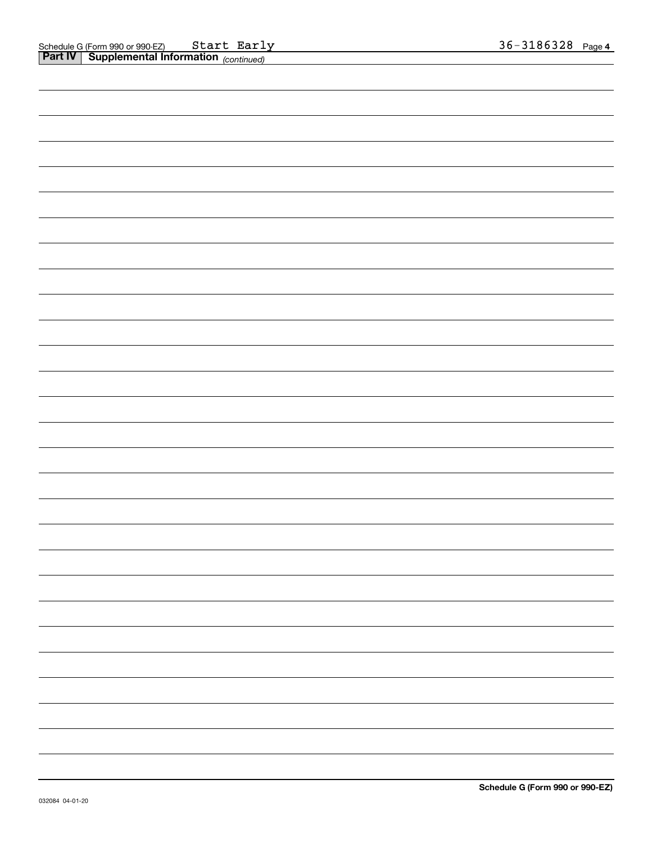| PartIV | supplemental information (continued) |  |  |
|--------|--------------------------------------|--|--|
|        |                                      |  |  |
|        |                                      |  |  |
|        |                                      |  |  |
|        |                                      |  |  |
|        |                                      |  |  |
|        |                                      |  |  |
|        |                                      |  |  |
|        |                                      |  |  |
|        |                                      |  |  |
|        |                                      |  |  |
|        |                                      |  |  |
|        |                                      |  |  |
|        |                                      |  |  |
|        |                                      |  |  |
|        |                                      |  |  |
|        |                                      |  |  |
|        |                                      |  |  |
|        |                                      |  |  |
|        |                                      |  |  |
|        |                                      |  |  |
|        |                                      |  |  |
|        |                                      |  |  |
|        |                                      |  |  |
|        |                                      |  |  |
|        |                                      |  |  |
|        |                                      |  |  |
|        |                                      |  |  |
|        |                                      |  |  |
|        |                                      |  |  |
|        |                                      |  |  |
|        |                                      |  |  |
|        |                                      |  |  |
|        |                                      |  |  |
|        |                                      |  |  |
|        |                                      |  |  |
|        |                                      |  |  |
|        |                                      |  |  |
|        |                                      |  |  |
|        |                                      |  |  |
|        |                                      |  |  |
|        |                                      |  |  |
|        |                                      |  |  |
|        |                                      |  |  |
|        |                                      |  |  |
|        |                                      |  |  |
|        |                                      |  |  |
|        |                                      |  |  |
|        |                                      |  |  |
|        |                                      |  |  |
|        |                                      |  |  |
|        |                                      |  |  |
|        |                                      |  |  |
|        |                                      |  |  |
|        |                                      |  |  |
|        |                                      |  |  |
|        |                                      |  |  |
|        |                                      |  |  |
|        |                                      |  |  |
|        |                                      |  |  |
|        |                                      |  |  |
|        |                                      |  |  |
|        |                                      |  |  |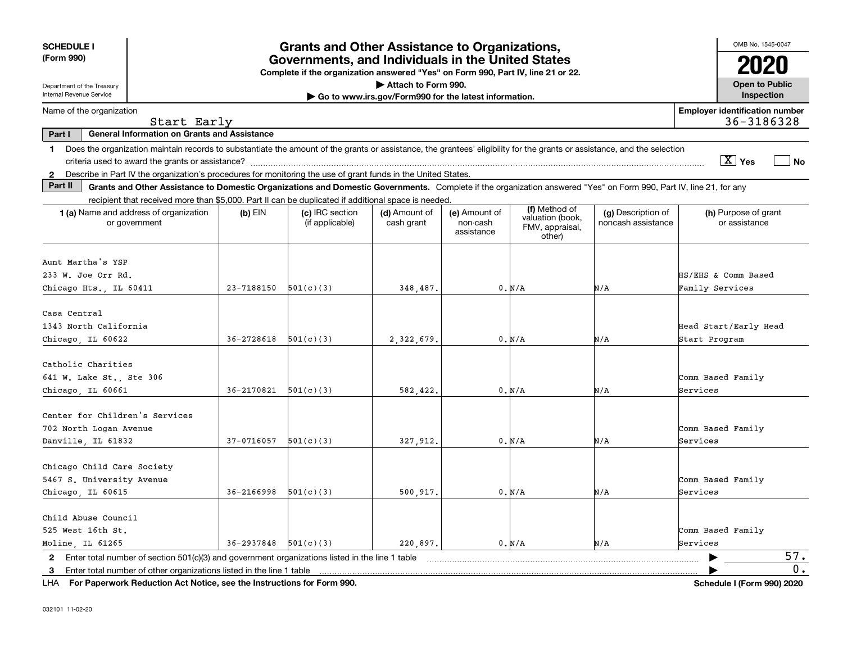| <b>SCHEDULE I</b><br>(Form 990)                                                                                                                                                                                                                                                                   | <b>Grants and Other Assistance to Organizations,</b><br>Governments, and Individuals in the United States<br>Complete if the organization answered "Yes" on Form 990, Part IV, line 21 or 22.<br>Attach to Form 990. |                                    |                                                       |                                         |                                                                |                                          |                                                     |  |  |  |  |  |
|---------------------------------------------------------------------------------------------------------------------------------------------------------------------------------------------------------------------------------------------------------------------------------------------------|----------------------------------------------------------------------------------------------------------------------------------------------------------------------------------------------------------------------|------------------------------------|-------------------------------------------------------|-----------------------------------------|----------------------------------------------------------------|------------------------------------------|-----------------------------------------------------|--|--|--|--|--|
| Department of the Treasury<br>Internal Revenue Service                                                                                                                                                                                                                                            |                                                                                                                                                                                                                      |                                    | Go to www.irs.gov/Form990 for the latest information. |                                         |                                                                |                                          | <b>Open to Public</b><br>Inspection                 |  |  |  |  |  |
| Name of the organization<br>Start Early                                                                                                                                                                                                                                                           |                                                                                                                                                                                                                      |                                    |                                                       |                                         |                                                                |                                          | <b>Employer identification number</b><br>36-3186328 |  |  |  |  |  |
| <b>General Information on Grants and Assistance</b><br>Part I                                                                                                                                                                                                                                     |                                                                                                                                                                                                                      |                                    |                                                       |                                         |                                                                |                                          |                                                     |  |  |  |  |  |
| Does the organization maintain records to substantiate the amount of the grants or assistance, the grantees' eligibility for the grants or assistance, and the selection<br>1.<br>2 Describe in Part IV the organization's procedures for monitoring the use of grant funds in the United States. |                                                                                                                                                                                                                      |                                    |                                                       |                                         |                                                                |                                          | $\boxed{\text{X}}$ Yes<br>∣ No                      |  |  |  |  |  |
| Part II<br>Grants and Other Assistance to Domestic Organizations and Domestic Governments. Complete if the organization answered "Yes" on Form 990, Part IV, line 21, for any                                                                                                                     |                                                                                                                                                                                                                      |                                    |                                                       |                                         |                                                                |                                          |                                                     |  |  |  |  |  |
| recipient that received more than \$5,000. Part II can be duplicated if additional space is needed.<br><b>1 (a)</b> Name and address of organization<br>or government                                                                                                                             | $(b)$ EIN                                                                                                                                                                                                            | (c) IRC section<br>(if applicable) | (d) Amount of<br>cash grant                           | (e) Amount of<br>non-cash<br>assistance | (f) Method of<br>valuation (book,<br>FMV, appraisal,<br>other) | (g) Description of<br>noncash assistance | (h) Purpose of grant<br>or assistance               |  |  |  |  |  |
| Aunt Martha's YSP                                                                                                                                                                                                                                                                                 |                                                                                                                                                                                                                      |                                    |                                                       |                                         |                                                                |                                          |                                                     |  |  |  |  |  |
| 233 W. Joe Orr Rd.<br>Chicago Hts., IL 60411                                                                                                                                                                                                                                                      | 23-7188150                                                                                                                                                                                                           | 501(c)(3)                          | 348,487.                                              |                                         | 0. N/A                                                         | N/A                                      | HS/EHS & Comm Based<br>Family Services              |  |  |  |  |  |
|                                                                                                                                                                                                                                                                                                   |                                                                                                                                                                                                                      |                                    |                                                       |                                         |                                                                |                                          |                                                     |  |  |  |  |  |
| Casa Central<br>1343 North California                                                                                                                                                                                                                                                             | 36-2728618                                                                                                                                                                                                           | 501(c)(3)                          | 2.322.679.                                            |                                         | 0. N/A                                                         | N/A                                      | Head Start/Early Head<br>Start Program              |  |  |  |  |  |
| Chicago, IL 60622                                                                                                                                                                                                                                                                                 |                                                                                                                                                                                                                      |                                    |                                                       |                                         |                                                                |                                          |                                                     |  |  |  |  |  |
| Catholic Charities<br>641 W. Lake St., Ste 306<br>Chicago IL 60661                                                                                                                                                                                                                                | 36-2170821                                                                                                                                                                                                           | 501(c)(3)                          | 582,422.                                              |                                         | 0. N/A                                                         | N/A                                      | Comm Based Family<br>Services                       |  |  |  |  |  |
| Center for Children's Services<br>702 North Logan Avenue<br>Danville, IL 61832                                                                                                                                                                                                                    | 37-0716057                                                                                                                                                                                                           | 501(c)(3)                          | 327.912.                                              |                                         | 0. N/A                                                         | N/A                                      | Comm Based Family<br>Services                       |  |  |  |  |  |
| Chicago Child Care Society<br>5467 S. University Avenue<br>Chicago, IL 60615                                                                                                                                                                                                                      | 36-2166998                                                                                                                                                                                                           | 501(c)(3)                          | 500,917.                                              |                                         | 0. N/A                                                         | N/A                                      | Comm Based Family<br>Services                       |  |  |  |  |  |
| Child Abuse Council<br>525 West 16th St.<br>Moline, IL 61265                                                                                                                                                                                                                                      | 36-2937848                                                                                                                                                                                                           | 501(c)(3)                          | 220.897.                                              |                                         | 0. N/A                                                         | N/A                                      | Comm Based Family<br>Services                       |  |  |  |  |  |
| 2 Enter total number of section 501(c)(3) and government organizations listed in the line 1 table<br>Enter total number of other organizations listed in the line 1 table<br>3                                                                                                                    |                                                                                                                                                                                                                      |                                    |                                                       |                                         |                                                                |                                          | 57.<br>0.                                           |  |  |  |  |  |

**For Paperwork Reduction Act Notice, see the Instructions for Form 990. Schedule I (Form 990) 2020** LHA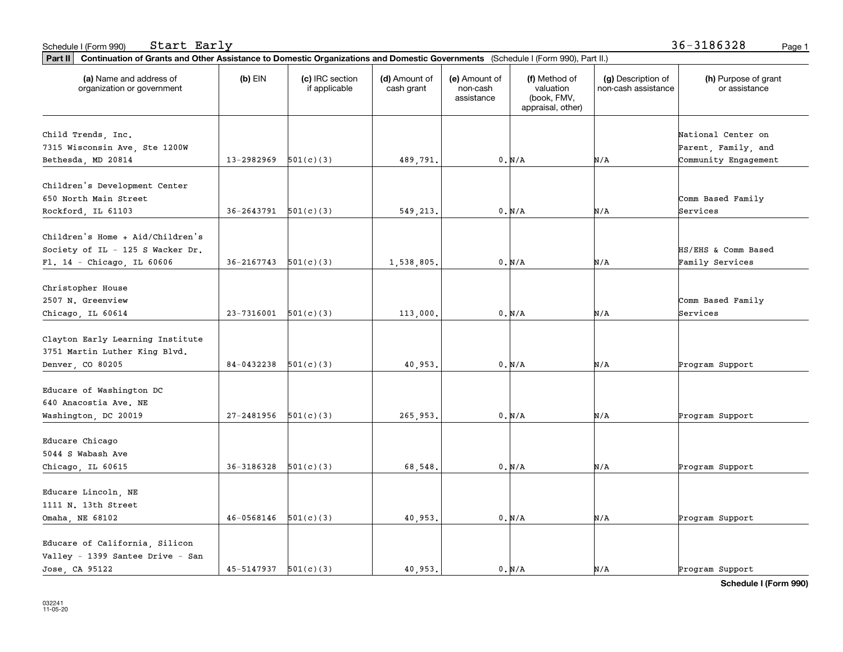| (a) Name and address of<br>organization or government | $(b)$ EIN  | (c) IRC section<br>if applicable | (d) Amount of<br>cash grant | (e) Amount of<br>non-cash<br>assistance | (f) Method of<br>valuation<br>(book, FMV,<br>appraisal, other) | (g) Description of<br>non-cash assistance | (h) Purpose of grant<br>or assistance |
|-------------------------------------------------------|------------|----------------------------------|-----------------------------|-----------------------------------------|----------------------------------------------------------------|-------------------------------------------|---------------------------------------|
| Child Trends, Inc.                                    |            |                                  |                             |                                         |                                                                |                                           | National Center on                    |
| 7315 Wisconsin Ave, Ste 1200W                         |            |                                  |                             |                                         |                                                                |                                           | Parent, Family, and                   |
| Bethesda, MD 20814                                    | 13-2982969 | 501(c)(3)                        | 489,791.                    |                                         | 0. N/A                                                         | N/A                                       | Community Engagement                  |
| Children's Development Center                         |            |                                  |                             |                                         |                                                                |                                           |                                       |
| 650 North Main Street                                 |            |                                  |                             |                                         |                                                                |                                           | Comm Based Family                     |
| Rockford, IL 61103                                    | 36-2643791 | 501(c)(3)                        | 549,213.                    |                                         | 0. N/A                                                         | N/A                                       | Services                              |
|                                                       |            |                                  |                             |                                         |                                                                |                                           |                                       |
| Children's Home + Aid/Children's                      |            |                                  |                             |                                         |                                                                |                                           |                                       |
| Society of IL - 125 S Wacker Dr.                      |            |                                  |                             |                                         |                                                                |                                           | HS/EHS & Comm Based                   |
| Fl. 14 - Chicago, IL 60606                            | 36-2167743 | 501(c)(3)                        | 1,538,805.                  |                                         | 0. N/A                                                         | N/A                                       | Family Services                       |
|                                                       |            |                                  |                             |                                         |                                                                |                                           |                                       |
| Christopher House                                     |            |                                  |                             |                                         |                                                                |                                           |                                       |
| 2507 N. Greenview                                     |            |                                  |                             |                                         |                                                                |                                           | Comm Based Family                     |
| Chicago, IL 60614                                     | 23-7316001 | 501(c)(3)                        | 113,000.                    |                                         | 0. N/A                                                         | N/A                                       | Services                              |
| Clayton Early Learning Institute                      |            |                                  |                             |                                         |                                                                |                                           |                                       |
| 3751 Martin Luther King Blvd.                         |            |                                  |                             |                                         |                                                                |                                           |                                       |
| Denver, CO 80205                                      | 84-0432238 | 501(c)(3)                        | 40,953.                     |                                         | 0. N/A                                                         | N/A                                       |                                       |
|                                                       |            |                                  |                             |                                         |                                                                |                                           | Program Support                       |
| Educare of Washington DC                              |            |                                  |                             |                                         |                                                                |                                           |                                       |
| 640 Anacostia Ave. NE                                 |            |                                  |                             |                                         |                                                                |                                           |                                       |
| Washington, DC 20019                                  | 27-2481956 | 501(c)(3)                        | 265,953.                    |                                         | 0. N/A                                                         | N/A                                       | Program Support                       |
|                                                       |            |                                  |                             |                                         |                                                                |                                           |                                       |
| Educare Chicago                                       |            |                                  |                             |                                         |                                                                |                                           |                                       |
| 5044 S Wabash Ave                                     |            |                                  |                             |                                         |                                                                |                                           |                                       |
| Chicago, IL 60615                                     | 36-3186328 | 501(c)(3)                        | 68,548.                     |                                         | 0. N/A                                                         | N/A                                       | Program Support                       |
| Educare Lincoln, NE                                   |            |                                  |                             |                                         |                                                                |                                           |                                       |
| 1111 N. 13th Street                                   |            |                                  |                             |                                         |                                                                |                                           |                                       |
| Omaha, NE 68102                                       | 46-0568146 | 501(c)(3)                        | 40,953.                     |                                         | 0. N/A                                                         | N/A                                       | Program Support                       |
|                                                       |            |                                  |                             |                                         |                                                                |                                           |                                       |
| Educare of California, Silicon                        |            |                                  |                             |                                         |                                                                |                                           |                                       |
| Valley - 1399 Santee Drive - San                      |            |                                  |                             |                                         |                                                                |                                           |                                       |
| Jose CA 95122                                         | 45-5147937 | 501(c)(3)                        | 40.953.                     |                                         | 0. N/A                                                         | N/A                                       | Program Support                       |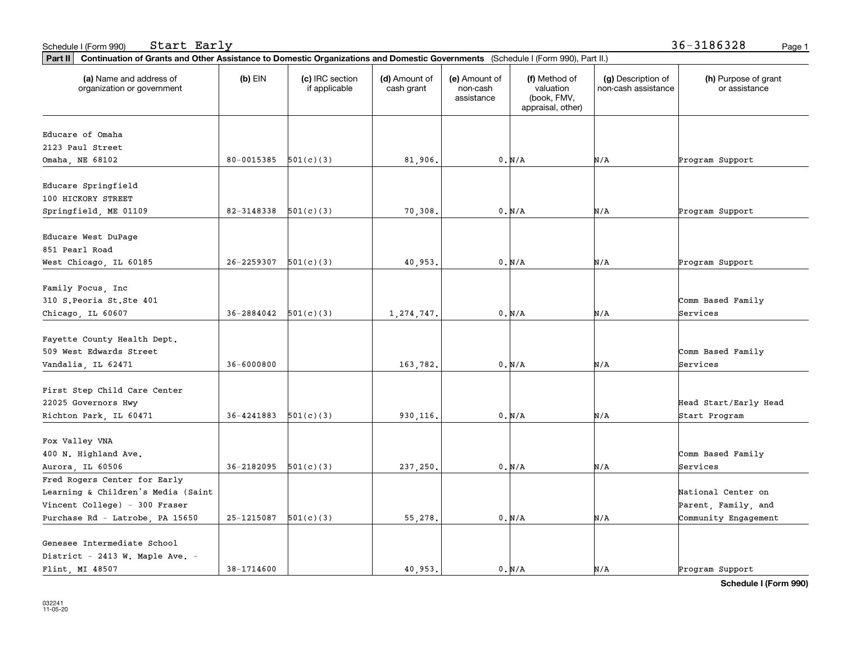| (a) Name and address of<br>organization or government | $(b)$ EIN  | (c) IRC section<br>if applicable | (d) Amount of<br>cash grant | (e) Amount of<br>non-cash<br>assistance | (f) Method of<br>valuation<br>(book, FMV,<br>appraisal, other) | (g) Description of<br>non-cash assistance | (h) Purpose of grant<br>or assistance |
|-------------------------------------------------------|------------|----------------------------------|-----------------------------|-----------------------------------------|----------------------------------------------------------------|-------------------------------------------|---------------------------------------|
| Educare of Omaha                                      |            |                                  |                             |                                         |                                                                |                                           |                                       |
| 2123 Paul Street                                      |            |                                  |                             |                                         |                                                                |                                           |                                       |
| Omaha, NE 68102                                       | 80-0015385 | 501(c)(3)                        | 81,906.                     |                                         | 0. N/A                                                         | N/A                                       | Program Support                       |
|                                                       |            |                                  |                             |                                         |                                                                |                                           |                                       |
| Educare Springfield                                   |            |                                  |                             |                                         |                                                                |                                           |                                       |
| 100 HICKORY STREET                                    |            |                                  |                             |                                         |                                                                |                                           |                                       |
| Springfield, ME 01109                                 | 82-3148338 | 501(c)(3)                        | 70,308.                     |                                         | 0. N/A                                                         | N/A                                       | Program Support                       |
|                                                       |            |                                  |                             |                                         |                                                                |                                           |                                       |
| Educare West DuPage                                   |            |                                  |                             |                                         |                                                                |                                           |                                       |
| 851 Pearl Road                                        |            |                                  |                             |                                         |                                                                |                                           |                                       |
| West Chicago, IL 60185                                | 26-2259307 | 501(c)(3)                        | 40,953.                     |                                         | 0. N/A                                                         | N/A                                       | Program Support                       |
|                                                       |            |                                  |                             |                                         |                                                                |                                           |                                       |
| Family Focus, Inc                                     |            |                                  |                             |                                         |                                                                |                                           |                                       |
| 310 S. Peoria St. Ste 401                             |            |                                  |                             |                                         |                                                                |                                           | Comm Based Family                     |
| Chicago, IL 60607                                     | 36-2884042 | 501(c)(3)                        | 1,274,747.                  |                                         | 0. N/A                                                         | N/A                                       | Services                              |
|                                                       |            |                                  |                             |                                         |                                                                |                                           |                                       |
| Fayette County Health Dept.                           |            |                                  |                             |                                         |                                                                |                                           |                                       |
| 509 West Edwards Street                               |            |                                  |                             |                                         |                                                                |                                           | Comm Based Family                     |
| Vandalia, IL 62471                                    | 36-6000800 |                                  | 163,782.                    |                                         | 0. N/A                                                         | N/A                                       | Services                              |
|                                                       |            |                                  |                             |                                         |                                                                |                                           |                                       |
| First Step Child Care Center                          |            |                                  |                             |                                         |                                                                |                                           |                                       |
| 22025 Governors Hwy                                   |            |                                  |                             |                                         |                                                                |                                           | Head Start/Early Head                 |
| Richton Park, IL 60471                                | 36-4241883 | 501(c)(3)                        | 930, 116.                   |                                         | 0. N/A                                                         | N/A                                       | Start Program                         |
|                                                       |            |                                  |                             |                                         |                                                                |                                           |                                       |
| Fox Valley VNA                                        |            |                                  |                             |                                         |                                                                |                                           |                                       |
| 400 N. Highland Ave.                                  |            |                                  |                             |                                         |                                                                |                                           | Comm Based Family                     |
| Aurora, IL 60506                                      | 36-2182095 | 501(c)(3)                        | 237,250.                    |                                         | 0. N/A                                                         | N/A                                       | Services                              |
| Fred Rogers Center for Early                          |            |                                  |                             |                                         |                                                                |                                           |                                       |
| Learning & Children's Media (Saint                    |            |                                  |                             |                                         |                                                                |                                           | National Center on                    |
| Vincent College) - 300 Fraser                         |            |                                  |                             |                                         |                                                                |                                           | Parent, Family, and                   |
| Purchase Rd - Latrobe, PA 15650                       | 25-1215087 | 501(c)(3)                        | 55,278.                     |                                         | 0. N/A                                                         | N/A                                       | Community Engagement                  |
|                                                       |            |                                  |                             |                                         |                                                                |                                           |                                       |
| Genesee Intermediate School                           |            |                                  |                             |                                         |                                                                |                                           |                                       |
| District - 2413 W. Maple Ave. -                       |            |                                  |                             |                                         |                                                                |                                           |                                       |
| Flint, MI 48507                                       | 38-1714600 |                                  | 40.953.                     |                                         | 0. N/A                                                         | N/A                                       | Program Support                       |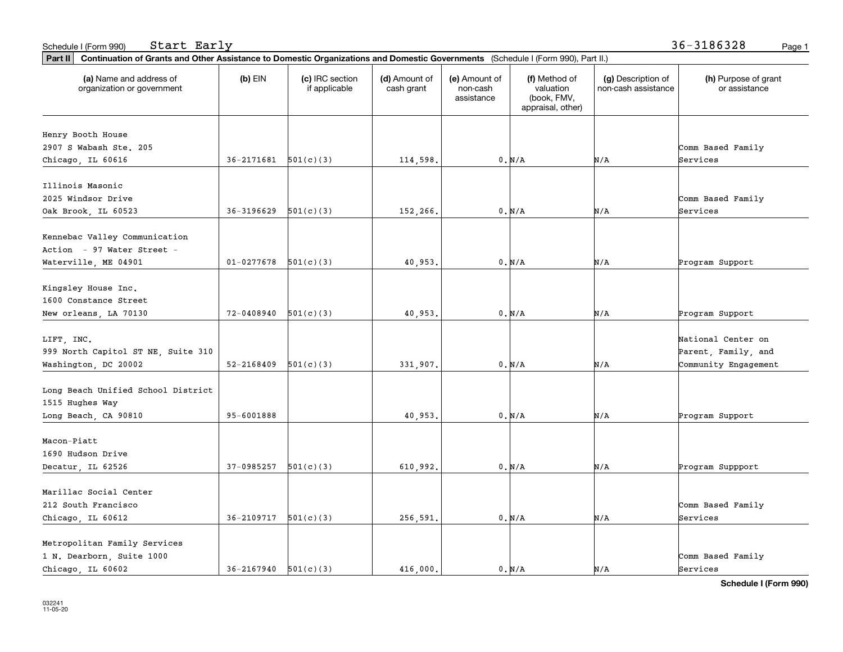| Part II   Continuation of Grants and Other Assistance to Domestic Organizations and Domestic Governments (Schedule I (Form 990), Part II.) |                |                                  |                             |                                         |                                                                |                                           |                                       |
|--------------------------------------------------------------------------------------------------------------------------------------------|----------------|----------------------------------|-----------------------------|-----------------------------------------|----------------------------------------------------------------|-------------------------------------------|---------------------------------------|
| (a) Name and address of<br>organization or government                                                                                      | (b) $EIN$      | (c) IRC section<br>if applicable | (d) Amount of<br>cash grant | (e) Amount of<br>non-cash<br>assistance | (f) Method of<br>valuation<br>(book, FMV,<br>appraisal, other) | (g) Description of<br>non-cash assistance | (h) Purpose of grant<br>or assistance |
| Henry Booth House                                                                                                                          |                |                                  |                             |                                         |                                                                |                                           |                                       |
| 2907 S Wabash Ste. 205                                                                                                                     |                |                                  |                             |                                         |                                                                |                                           | Comm Based Family                     |
| Chicago, IL 60616                                                                                                                          | 36-2171681     | 501(c)(3)                        | 114,598.                    |                                         | 0. N/A                                                         | N/A                                       | Services                              |
|                                                                                                                                            |                |                                  |                             |                                         |                                                                |                                           |                                       |
| Illinois Masonic                                                                                                                           |                |                                  |                             |                                         |                                                                |                                           |                                       |
| 2025 Windsor Drive                                                                                                                         |                |                                  |                             |                                         |                                                                |                                           | Comm Based Family                     |
| Oak Brook, IL 60523                                                                                                                        | 36-3196629     | 501(c)(3)                        | 152,266.                    |                                         | 0. N/A                                                         | N/A                                       | Services                              |
|                                                                                                                                            |                |                                  |                             |                                         |                                                                |                                           |                                       |
| Kennebac Valley Communication                                                                                                              |                |                                  |                             |                                         |                                                                |                                           |                                       |
| Action - 97 Water Street -                                                                                                                 |                |                                  |                             |                                         |                                                                |                                           |                                       |
| Waterville, ME 04901                                                                                                                       | $01 - 0277678$ | 501(c)(3)                        | 40,953.                     |                                         | 0. N/A                                                         | N/A                                       | Program Support                       |
|                                                                                                                                            |                |                                  |                             |                                         |                                                                |                                           |                                       |
| Kingsley House Inc.                                                                                                                        |                |                                  |                             |                                         |                                                                |                                           |                                       |
| 1600 Constance Street                                                                                                                      |                |                                  |                             |                                         |                                                                |                                           |                                       |
| New orleans, LA 70130                                                                                                                      | 72-0408940     | 501(c)(3)                        | 40,953.                     |                                         | 0. N/A                                                         | N/A                                       | Program Support                       |
|                                                                                                                                            |                |                                  |                             |                                         |                                                                |                                           |                                       |
| LIFT, INC.                                                                                                                                 |                |                                  |                             |                                         |                                                                |                                           | National Center on                    |
| 999 North Capitol ST NE, Suite 310                                                                                                         |                |                                  |                             |                                         |                                                                |                                           | Parent, Family, and                   |
| Washington, DC 20002                                                                                                                       | 52-2168409     | 501(c)(3)                        | 331,907.                    |                                         | 0. N/A                                                         | N/A                                       | Community Engagement                  |
|                                                                                                                                            |                |                                  |                             |                                         |                                                                |                                           |                                       |
| Long Beach Unified School District                                                                                                         |                |                                  |                             |                                         |                                                                |                                           |                                       |
| 1515 Hughes Way                                                                                                                            |                |                                  |                             |                                         |                                                                |                                           |                                       |
| Long Beach, CA 90810                                                                                                                       | 95-6001888     |                                  | 40,953.                     |                                         | 0. N/A                                                         | N/A                                       | Program Support                       |
|                                                                                                                                            |                |                                  |                             |                                         |                                                                |                                           |                                       |
| Macon-Piatt                                                                                                                                |                |                                  |                             |                                         |                                                                |                                           |                                       |
| 1690 Hudson Drive                                                                                                                          |                |                                  |                             |                                         |                                                                |                                           |                                       |
| Decatur, IL 62526                                                                                                                          | 37-0985257     | 501(c)(3)                        | 610,992.                    |                                         | 0. N/A                                                         | N/A                                       | Program Suppport                      |
|                                                                                                                                            |                |                                  |                             |                                         |                                                                |                                           |                                       |
| Marillac Social Center                                                                                                                     |                |                                  |                             |                                         |                                                                |                                           |                                       |
| 212 South Francisco                                                                                                                        |                |                                  |                             |                                         |                                                                |                                           | Comm Based Family                     |
| Chicago, IL 60612                                                                                                                          | 36-2109717     | 501(c)(3)                        | 256,591.                    |                                         | 0. N/A                                                         | N/A                                       | Services                              |
|                                                                                                                                            |                |                                  |                             |                                         |                                                                |                                           |                                       |
| Metropolitan Family Services                                                                                                               |                |                                  |                             |                                         |                                                                |                                           |                                       |
| 1 N. Dearborn, Suite 1000                                                                                                                  |                |                                  |                             |                                         |                                                                |                                           | Comm Based Family                     |
| Chicago IL 60602                                                                                                                           | 36-2167940     | 501(c)(3)                        | 416,000.                    |                                         | 0. N/A                                                         | N/A                                       | Services                              |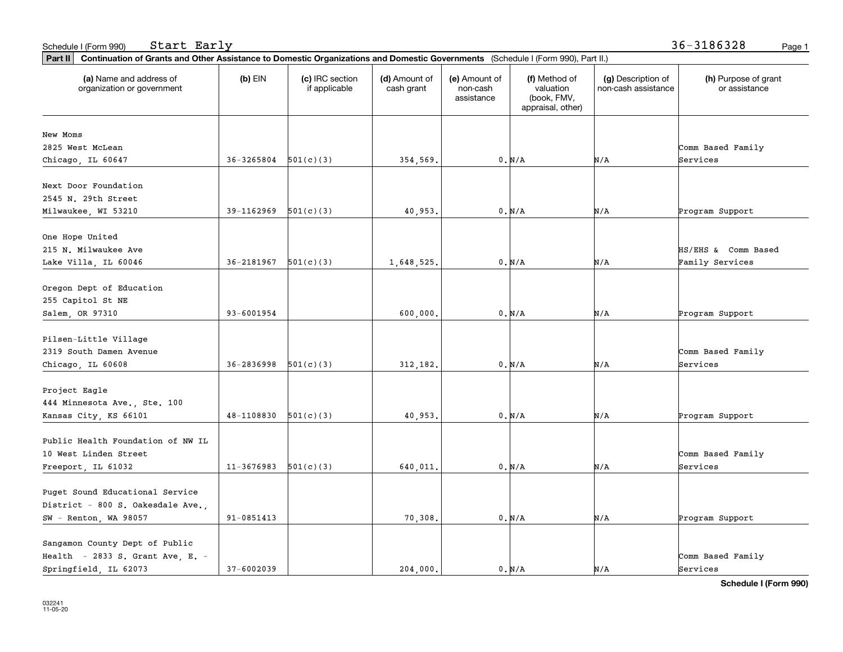| Part II   Continuation of Grants and Other Assistance to Domestic Organizations and Domestic Governments (Schedule I (Form 990), Part II.) |            |                                  |                             |                                         |                                                                |                                           |                                       |
|--------------------------------------------------------------------------------------------------------------------------------------------|------------|----------------------------------|-----------------------------|-----------------------------------------|----------------------------------------------------------------|-------------------------------------------|---------------------------------------|
| (a) Name and address of<br>organization or government                                                                                      | $(b)$ EIN  | (c) IRC section<br>if applicable | (d) Amount of<br>cash grant | (e) Amount of<br>non-cash<br>assistance | (f) Method of<br>valuation<br>(book, FMV,<br>appraisal, other) | (g) Description of<br>non-cash assistance | (h) Purpose of grant<br>or assistance |
| New Moms                                                                                                                                   |            |                                  |                             |                                         |                                                                |                                           |                                       |
| 2825 West McLean                                                                                                                           |            |                                  |                             |                                         |                                                                |                                           | Comm Based Family                     |
| Chicago, IL 60647                                                                                                                          | 36-3265804 | 501(c)(3)                        | 354,569.                    |                                         | 0. N/A                                                         | N/A                                       | Services                              |
|                                                                                                                                            |            |                                  |                             |                                         |                                                                |                                           |                                       |
| Next Door Foundation                                                                                                                       |            |                                  |                             |                                         |                                                                |                                           |                                       |
| 2545 N. 29th Street                                                                                                                        |            |                                  |                             |                                         |                                                                |                                           |                                       |
| Milwaukee, WI 53210                                                                                                                        | 39-1162969 | 501(c)(3)                        | 40,953.                     |                                         | 0. N/A                                                         | N/A                                       | Program Support                       |
|                                                                                                                                            |            |                                  |                             |                                         |                                                                |                                           |                                       |
| One Hope United                                                                                                                            |            |                                  |                             |                                         |                                                                |                                           |                                       |
| 215 N. Milwaukee Ave                                                                                                                       |            |                                  |                             |                                         |                                                                |                                           | HS/EHS & Comm Based                   |
| Lake Villa, IL 60046                                                                                                                       | 36-2181967 | 501(c)(3)                        | 1,648,525.                  |                                         | 0. N/A                                                         | N/A                                       | Family Services                       |
|                                                                                                                                            |            |                                  |                             |                                         |                                                                |                                           |                                       |
| Oregon Dept of Education                                                                                                                   |            |                                  |                             |                                         |                                                                |                                           |                                       |
| 255 Capitol St NE                                                                                                                          | 93-6001954 |                                  |                             |                                         | 0. N/A                                                         | N/A                                       |                                       |
| Salem, OR 97310                                                                                                                            |            |                                  | 600,000.                    |                                         |                                                                |                                           | Program Support                       |
| Pilsen-Little Village                                                                                                                      |            |                                  |                             |                                         |                                                                |                                           |                                       |
| 2319 South Damen Avenue                                                                                                                    |            |                                  |                             |                                         |                                                                |                                           | Comm Based Family                     |
| Chicago, IL 60608                                                                                                                          | 36-2836998 | 501(c)(3)                        | 312,182.                    |                                         | 0. N/A                                                         | N/A                                       | Services                              |
|                                                                                                                                            |            |                                  |                             |                                         |                                                                |                                           |                                       |
| Project Eagle                                                                                                                              |            |                                  |                             |                                         |                                                                |                                           |                                       |
| 444 Minnesota Ave., Ste. 100                                                                                                               |            |                                  |                             |                                         |                                                                |                                           |                                       |
| Kansas City, KS 66101                                                                                                                      | 48-1108830 | 501(c)(3)                        | 40,953.                     |                                         | 0. N/A                                                         | N/A                                       | Program Support                       |
|                                                                                                                                            |            |                                  |                             |                                         |                                                                |                                           |                                       |
| Public Health Foundation of NW IL                                                                                                          |            |                                  |                             |                                         |                                                                |                                           |                                       |
| 10 West Linden Street                                                                                                                      |            |                                  |                             |                                         |                                                                |                                           | Comm Based Family                     |
| Freeport, IL 61032                                                                                                                         | 11-3676983 | 501(c)(3)                        | 640,011.                    |                                         | 0. N/A                                                         | N/A                                       | Services                              |
| Puget Sound Educational Service                                                                                                            |            |                                  |                             |                                         |                                                                |                                           |                                       |
| District - 800 S. Oakesdale Ave.,                                                                                                          |            |                                  |                             |                                         |                                                                |                                           |                                       |
| SW - Renton, WA 98057                                                                                                                      | 91-0851413 |                                  | 70,308.                     |                                         | 0. N/A                                                         | N/A                                       | Program Support                       |
|                                                                                                                                            |            |                                  |                             |                                         |                                                                |                                           |                                       |
| Sangamon County Dept of Public                                                                                                             |            |                                  |                             |                                         |                                                                |                                           |                                       |
| Health - 2833 S. Grant Ave, E. -                                                                                                           |            |                                  |                             |                                         |                                                                |                                           | Comm Based Family                     |
| Springfield, IL 62073                                                                                                                      | 37-6002039 |                                  | 204,000.                    |                                         | 0. N/A                                                         | N/A                                       | Services                              |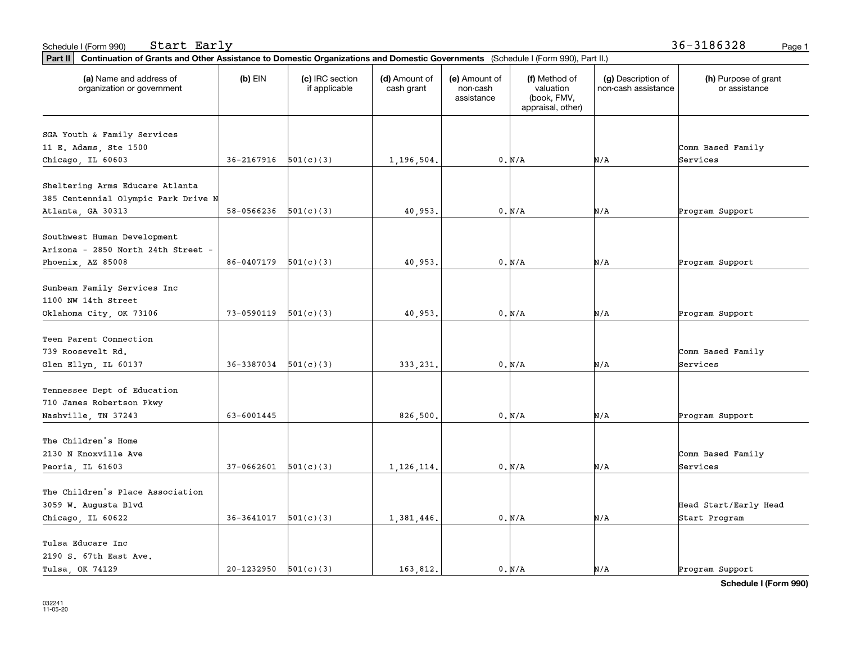| (a) Name and address of<br>organization or government | $(b)$ EIN  | (c) IRC section<br>if applicable | (d) Amount of<br>cash grant | (e) Amount of<br>non-cash<br>assistance | (f) Method of<br>valuation<br>(book, FMV,<br>appraisal, other) | (g) Description of<br>non-cash assistance | (h) Purpose of grant<br>or assistance |
|-------------------------------------------------------|------------|----------------------------------|-----------------------------|-----------------------------------------|----------------------------------------------------------------|-------------------------------------------|---------------------------------------|
| SGA Youth & Family Services                           |            |                                  |                             |                                         |                                                                |                                           |                                       |
| 11 E. Adams, Ste 1500                                 |            |                                  |                             |                                         |                                                                |                                           | Comm Based Family                     |
| Chicago, IL 60603                                     | 36-2167916 | 501(c)(3)                        | 1,196,504.                  |                                         | 0. N/A                                                         | N/A                                       | Services                              |
|                                                       |            |                                  |                             |                                         |                                                                |                                           |                                       |
| Sheltering Arms Educare Atlanta                       |            |                                  |                             |                                         |                                                                |                                           |                                       |
| 385 Centennial Olympic Park Drive N                   |            |                                  |                             |                                         |                                                                |                                           |                                       |
| Atlanta, GA 30313                                     | 58-0566236 | 501(c)(3)                        | 40,953.                     |                                         | 0. N/A                                                         | N/A                                       | Program Support                       |
|                                                       |            |                                  |                             |                                         |                                                                |                                           |                                       |
| Southwest Human Development                           |            |                                  |                             |                                         |                                                                |                                           |                                       |
| Arizona - 2850 North 24th Street -                    |            |                                  |                             |                                         |                                                                |                                           |                                       |
| Phoenix, AZ 85008                                     | 86-0407179 | 501(c)(3)                        | 40,953.                     |                                         | 0. N/A                                                         | N/A                                       | Program Support                       |
|                                                       |            |                                  |                             |                                         |                                                                |                                           |                                       |
| Sunbeam Family Services Inc                           |            |                                  |                             |                                         |                                                                |                                           |                                       |
| 1100 NW 14th Street                                   |            |                                  |                             |                                         |                                                                |                                           |                                       |
| Oklahoma City, OK 73106                               | 73-0590119 | 501(c)(3)                        | 40,953.                     |                                         | 0. N/A                                                         | N/A                                       | Program Support                       |
|                                                       |            |                                  |                             |                                         |                                                                |                                           |                                       |
| Teen Parent Connection                                |            |                                  |                             |                                         |                                                                |                                           |                                       |
| 739 Roosevelt Rd.                                     |            |                                  |                             |                                         |                                                                |                                           | Comm Based Family                     |
| Glen Ellyn, IL 60137                                  | 36-3387034 | 501(c)(3)                        | 333, 231.                   |                                         | 0. N/A                                                         | N/A                                       | Services                              |
| Tennessee Dept of Education                           |            |                                  |                             |                                         |                                                                |                                           |                                       |
| 710 James Robertson Pkwy                              |            |                                  |                             |                                         |                                                                |                                           |                                       |
| Nashville, TN 37243                                   | 63-6001445 |                                  | 826,500.                    |                                         | 0. N/A                                                         | N/A                                       | Program Support                       |
|                                                       |            |                                  |                             |                                         |                                                                |                                           |                                       |
| The Children's Home                                   |            |                                  |                             |                                         |                                                                |                                           |                                       |
| 2130 N Knoxville Ave                                  |            |                                  |                             |                                         |                                                                |                                           | Comm Based Family                     |
| Peoria, IL 61603                                      | 37-0662601 | 501(c)(3)                        | 1, 126, 114.                |                                         | 0. N/A                                                         | N/A                                       | Services                              |
|                                                       |            |                                  |                             |                                         |                                                                |                                           |                                       |
| The Children's Place Association                      |            |                                  |                             |                                         |                                                                |                                           |                                       |
| 3059 W. Augusta Blvd                                  |            |                                  |                             |                                         |                                                                |                                           | Head Start/Early Head                 |
| Chicago, IL 60622                                     | 36-3641017 | 501(c)(3)                        | 1,381,446.                  |                                         | 0. N/A                                                         | N/A                                       | Start Program                         |
|                                                       |            |                                  |                             |                                         |                                                                |                                           |                                       |
| Tulsa Educare Inc                                     |            |                                  |                             |                                         |                                                                |                                           |                                       |
| 2190 S. 67th East Ave.                                |            |                                  |                             |                                         |                                                                |                                           |                                       |
| Tulsa, OK 74129                                       | 20-1232950 | 501(c)(3)                        | 163.812.                    |                                         | 0. N/A                                                         | N/A                                       | Program Support                       |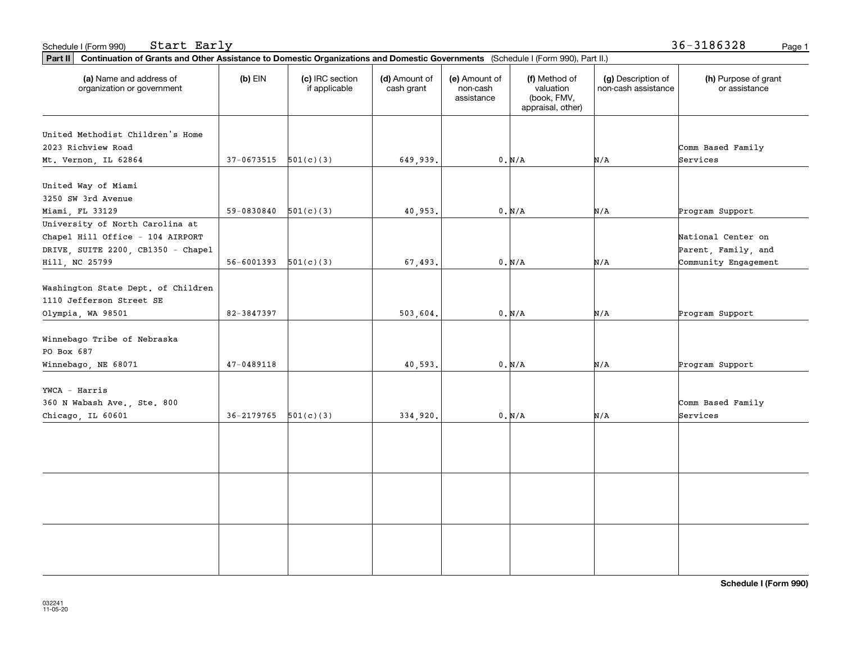36-3186328

| (a) Name and address of<br>organization or government | $(b)$ EIN  | (c) IRC section<br>if applicable | (d) Amount of<br>cash grant | (e) Amount of<br>non-cash<br>assistance | (f) Method of<br>valuation<br>(book, FMV,<br>appraisal, other) | (g) Description of<br>non-cash assistance | (h) Purpose of grant<br>or assistance |
|-------------------------------------------------------|------------|----------------------------------|-----------------------------|-----------------------------------------|----------------------------------------------------------------|-------------------------------------------|---------------------------------------|
| United Methodist Children's Home                      |            |                                  |                             |                                         |                                                                |                                           |                                       |
| 2023 Richview Road                                    |            |                                  |                             |                                         |                                                                |                                           | Comm Based Family                     |
|                                                       | 37-0673515 | 501(c)(3)                        |                             |                                         | 0. N/A                                                         | N/A                                       | Services                              |
| Mt. Vernon, IL 62864                                  |            |                                  | 649,939.                    |                                         |                                                                |                                           |                                       |
| United Way of Miami                                   |            |                                  |                             |                                         |                                                                |                                           |                                       |
| 3250 SW 3rd Avenue                                    |            |                                  |                             |                                         |                                                                |                                           |                                       |
| Miami, FL 33129                                       | 59-0830840 | 501(c)(3)                        | 40,953.                     |                                         | 0. N/A                                                         | N/A                                       | Program Support                       |
| University of North Carolina at                       |            |                                  |                             |                                         |                                                                |                                           |                                       |
| Chapel Hill Office - 104 AIRPORT                      |            |                                  |                             |                                         |                                                                |                                           | National Center on                    |
| DRIVE, SUITE 2200, CB1350 - Chapel                    |            |                                  |                             |                                         |                                                                |                                           | Parent, Family, and                   |
| Hill, NC 25799                                        | 56-6001393 | 501(c)(3)                        | 67,493.                     |                                         | 0. N/A                                                         | N/A                                       | Community Engagement                  |
|                                                       |            |                                  |                             |                                         |                                                                |                                           |                                       |
| Washington State Dept. of Children                    |            |                                  |                             |                                         |                                                                |                                           |                                       |
| 1110 Jefferson Street SE                              |            |                                  |                             |                                         |                                                                |                                           |                                       |
| Olympia, WA 98501                                     | 82-3847397 |                                  | 503,604.                    |                                         | 0. N/A                                                         | N/A                                       | Program Support                       |
|                                                       |            |                                  |                             |                                         |                                                                |                                           |                                       |
| Winnebago Tribe of Nebraska                           |            |                                  |                             |                                         |                                                                |                                           |                                       |
| PO Box 687                                            |            |                                  |                             |                                         |                                                                |                                           |                                       |
| Winnebago, NE 68071                                   | 47-0489118 |                                  | 40,593.                     |                                         | 0. N/A                                                         | N/A                                       | Program Support                       |
|                                                       |            |                                  |                             |                                         |                                                                |                                           |                                       |
| YWCA - Harris                                         |            |                                  |                             |                                         |                                                                |                                           |                                       |
| 360 N Wabash Ave., Ste. 800                           |            |                                  |                             |                                         |                                                                |                                           | Comm Based Family                     |
| Chicago, IL 60601                                     | 36-2179765 | 501(c)(3)                        | 334,920.                    |                                         | 0. N/A                                                         | N/A                                       | Services                              |
|                                                       |            |                                  |                             |                                         |                                                                |                                           |                                       |
|                                                       |            |                                  |                             |                                         |                                                                |                                           |                                       |
|                                                       |            |                                  |                             |                                         |                                                                |                                           |                                       |
|                                                       |            |                                  |                             |                                         |                                                                |                                           |                                       |
|                                                       |            |                                  |                             |                                         |                                                                |                                           |                                       |
|                                                       |            |                                  |                             |                                         |                                                                |                                           |                                       |
|                                                       |            |                                  |                             |                                         |                                                                |                                           |                                       |
|                                                       |            |                                  |                             |                                         |                                                                |                                           |                                       |
|                                                       |            |                                  |                             |                                         |                                                                |                                           |                                       |
|                                                       |            |                                  |                             |                                         |                                                                |                                           |                                       |
|                                                       |            |                                  |                             |                                         |                                                                |                                           |                                       |
|                                                       |            |                                  |                             |                                         |                                                                |                                           |                                       |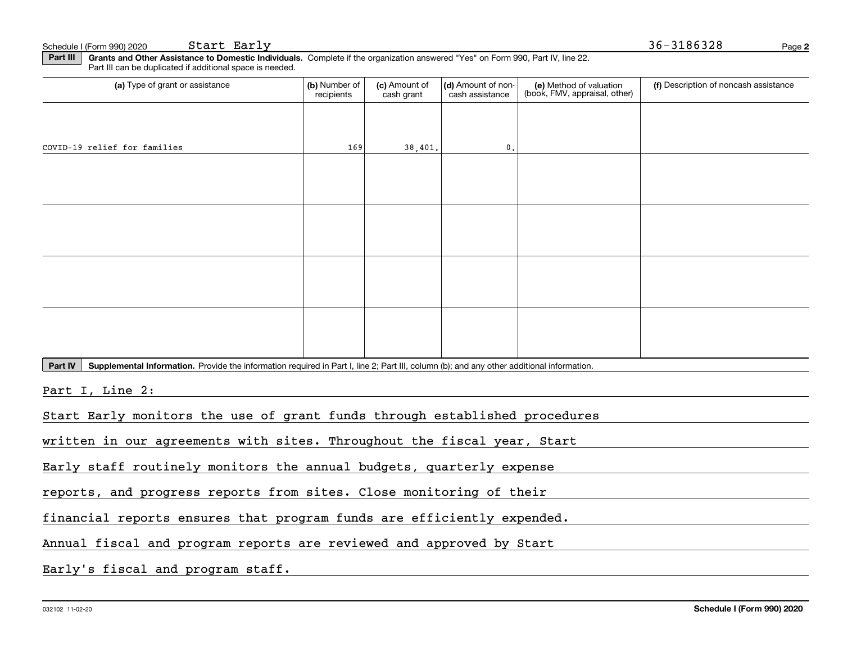**2**

**Part III** | Grants and Other Assistance to Domestic Individuals. Complete if the organization answered "Yes" on Form 990, Part IV, line 22. Part III can be duplicated if additional space is needed.

| (a) Type of grant or assistance                                                                                                                      | (b) Number of<br>recipients | (c) Amount of<br>cash grant | (d) Amount of non-<br>cash assistance | (e) Method of valuation<br>(book, FMV, appraisal, other) | (f) Description of noncash assistance |  |  |  |  |
|------------------------------------------------------------------------------------------------------------------------------------------------------|-----------------------------|-----------------------------|---------------------------------------|----------------------------------------------------------|---------------------------------------|--|--|--|--|
|                                                                                                                                                      |                             |                             |                                       |                                                          |                                       |  |  |  |  |
| COVID-19 relief for families                                                                                                                         | 169                         | 38,401.                     | $\mathfrak o$ .                       |                                                          |                                       |  |  |  |  |
|                                                                                                                                                      |                             |                             |                                       |                                                          |                                       |  |  |  |  |
|                                                                                                                                                      |                             |                             |                                       |                                                          |                                       |  |  |  |  |
|                                                                                                                                                      |                             |                             |                                       |                                                          |                                       |  |  |  |  |
|                                                                                                                                                      |                             |                             |                                       |                                                          |                                       |  |  |  |  |
|                                                                                                                                                      |                             |                             |                                       |                                                          |                                       |  |  |  |  |
|                                                                                                                                                      |                             |                             |                                       |                                                          |                                       |  |  |  |  |
|                                                                                                                                                      |                             |                             |                                       |                                                          |                                       |  |  |  |  |
|                                                                                                                                                      |                             |                             |                                       |                                                          |                                       |  |  |  |  |
| Supplemental Information. Provide the information required in Part I, line 2; Part III, column (b); and any other additional information.<br>Part IV |                             |                             |                                       |                                                          |                                       |  |  |  |  |
| Part I, Line 2:                                                                                                                                      |                             |                             |                                       |                                                          |                                       |  |  |  |  |
| 그 그는 그 사람들을 지원하고 있다. 그 사람들은 그 사람들은 어디에 대해 보고 있다.<br>п.                                                                                               |                             |                             |                                       |                                                          |                                       |  |  |  |  |

Start Early monitors the use of grant funds through established procedures

written in our agreements with sites. Throughout the fiscal year, Start

Early staff routinely monitors the annual budgets, quarterly expense

reports, and progress reports from sites. Close monitoring of their

financial reports ensures that program funds are efficiently expended.

Annual fiscal and program reports are reviewed and approved by Start

Early's fiscal and program staff.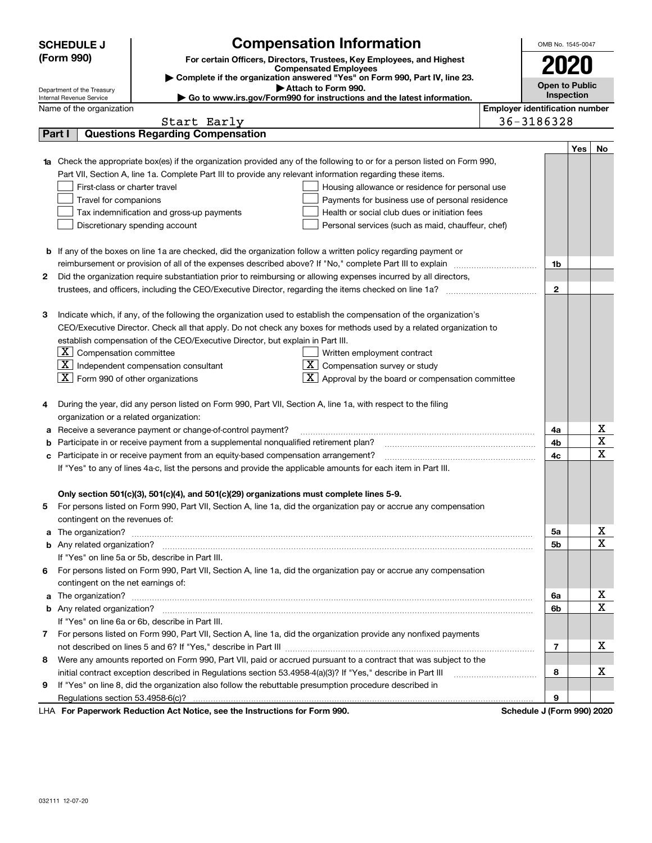|   | <b>SCHEDULE J</b>                                                                   |                                                                                          | <b>Compensation Information</b>                                                                                                                                                                                                      |                                  | OMB No. 1545-0047                     |                       |             |  |  |  |
|---|-------------------------------------------------------------------------------------|------------------------------------------------------------------------------------------|--------------------------------------------------------------------------------------------------------------------------------------------------------------------------------------------------------------------------------------|----------------------------------|---------------------------------------|-----------------------|-------------|--|--|--|
|   | (Form 990)<br>For certain Officers, Directors, Trustees, Key Employees, and Highest |                                                                                          |                                                                                                                                                                                                                                      |                                  |                                       |                       |             |  |  |  |
|   |                                                                                     |                                                                                          | <b>Compensated Employees</b>                                                                                                                                                                                                         |                                  | 2020                                  |                       |             |  |  |  |
|   |                                                                                     |                                                                                          | Complete if the organization answered "Yes" on Form 990, Part IV, line 23.                                                                                                                                                           |                                  |                                       | <b>Open to Public</b> |             |  |  |  |
|   | Department of the Treasury<br>Internal Revenue Service                              |                                                                                          | Attach to Form 990.<br>$\blacktriangleright$ Go to www.irs.gov/Form990 for instructions and the latest information.                                                                                                                  |                                  | Inspection                            |                       |             |  |  |  |
|   | Name of the organization                                                            |                                                                                          |                                                                                                                                                                                                                                      |                                  | <b>Employer identification number</b> |                       |             |  |  |  |
|   |                                                                                     | Start Early                                                                              |                                                                                                                                                                                                                                      |                                  | 36-3186328                            |                       |             |  |  |  |
|   | Part I                                                                              | <b>Questions Regarding Compensation</b>                                                  |                                                                                                                                                                                                                                      |                                  |                                       |                       |             |  |  |  |
|   |                                                                                     |                                                                                          |                                                                                                                                                                                                                                      |                                  |                                       | Yes                   | No          |  |  |  |
|   |                                                                                     |                                                                                          | Check the appropriate box(es) if the organization provided any of the following to or for a person listed on Form 990,                                                                                                               |                                  |                                       |                       |             |  |  |  |
|   |                                                                                     |                                                                                          | Part VII, Section A, line 1a. Complete Part III to provide any relevant information regarding these items.                                                                                                                           |                                  |                                       |                       |             |  |  |  |
|   | First-class or charter travel                                                       |                                                                                          | Housing allowance or residence for personal use                                                                                                                                                                                      |                                  |                                       |                       |             |  |  |  |
|   | Travel for companions                                                               |                                                                                          | Payments for business use of personal residence                                                                                                                                                                                      |                                  |                                       |                       |             |  |  |  |
|   |                                                                                     | Tax indemnification and gross-up payments                                                | Health or social club dues or initiation fees                                                                                                                                                                                        |                                  |                                       |                       |             |  |  |  |
|   |                                                                                     | Discretionary spending account                                                           | Personal services (such as maid, chauffeur, chef)                                                                                                                                                                                    |                                  |                                       |                       |             |  |  |  |
|   |                                                                                     |                                                                                          |                                                                                                                                                                                                                                      |                                  |                                       |                       |             |  |  |  |
|   |                                                                                     |                                                                                          | <b>b</b> If any of the boxes on line 1a are checked, did the organization follow a written policy regarding payment or                                                                                                               |                                  |                                       |                       |             |  |  |  |
|   |                                                                                     |                                                                                          |                                                                                                                                                                                                                                      |                                  | 1b                                    |                       |             |  |  |  |
| 2 |                                                                                     |                                                                                          | Did the organization require substantiation prior to reimbursing or allowing expenses incurred by all directors,                                                                                                                     |                                  |                                       |                       |             |  |  |  |
|   |                                                                                     |                                                                                          |                                                                                                                                                                                                                                      |                                  | $\mathbf{2}$                          |                       |             |  |  |  |
|   |                                                                                     |                                                                                          |                                                                                                                                                                                                                                      |                                  |                                       |                       |             |  |  |  |
| з |                                                                                     |                                                                                          | Indicate which, if any, of the following the organization used to establish the compensation of the organization's                                                                                                                   |                                  |                                       |                       |             |  |  |  |
|   |                                                                                     |                                                                                          | CEO/Executive Director. Check all that apply. Do not check any boxes for methods used by a related organization to                                                                                                                   |                                  |                                       |                       |             |  |  |  |
|   |                                                                                     | establish compensation of the CEO/Executive Director, but explain in Part III.           |                                                                                                                                                                                                                                      |                                  |                                       |                       |             |  |  |  |
|   | $X$ Compensation committee                                                          |                                                                                          | Written employment contract                                                                                                                                                                                                          |                                  |                                       |                       |             |  |  |  |
|   |                                                                                     | $\boxed{\text{X}}$ Independent compensation consultant                                   | $X$ Compensation survey or study                                                                                                                                                                                                     |                                  |                                       |                       |             |  |  |  |
|   | $\boxed{\text{X}}$ Form 990 of other organizations                                  |                                                                                          | $X$ Approval by the board or compensation committee                                                                                                                                                                                  |                                  |                                       |                       |             |  |  |  |
|   |                                                                                     |                                                                                          |                                                                                                                                                                                                                                      |                                  |                                       |                       |             |  |  |  |
| 4 |                                                                                     |                                                                                          | During the year, did any person listed on Form 990, Part VII, Section A, line 1a, with respect to the filing                                                                                                                         |                                  |                                       |                       |             |  |  |  |
|   | organization or a related organization:                                             |                                                                                          |                                                                                                                                                                                                                                      |                                  |                                       |                       |             |  |  |  |
| а |                                                                                     | Receive a severance payment or change-of-control payment?                                |                                                                                                                                                                                                                                      |                                  | 4a                                    |                       | х           |  |  |  |
| b |                                                                                     | Participate in or receive payment from a supplemental nonqualified retirement plan?      |                                                                                                                                                                                                                                      |                                  | 4b                                    |                       | X           |  |  |  |
|   |                                                                                     | Participate in or receive payment from an equity-based compensation arrangement?         |                                                                                                                                                                                                                                      |                                  | 4с                                    |                       | $\mathbf X$ |  |  |  |
|   |                                                                                     |                                                                                          | If "Yes" to any of lines 4a-c, list the persons and provide the applicable amounts for each item in Part III.                                                                                                                        |                                  |                                       |                       |             |  |  |  |
|   |                                                                                     |                                                                                          |                                                                                                                                                                                                                                      |                                  |                                       |                       |             |  |  |  |
|   |                                                                                     | Only section 501(c)(3), 501(c)(4), and 501(c)(29) organizations must complete lines 5-9. |                                                                                                                                                                                                                                      |                                  |                                       |                       |             |  |  |  |
| 5 |                                                                                     |                                                                                          | For persons listed on Form 990, Part VII, Section A, line 1a, did the organization pay or accrue any compensation                                                                                                                    |                                  |                                       |                       |             |  |  |  |
|   | contingent on the revenues of:                                                      |                                                                                          |                                                                                                                                                                                                                                      |                                  |                                       |                       |             |  |  |  |
| a |                                                                                     |                                                                                          | The organization? <b>With the contract of the contract of the contract of the contract of the contract of the contract of the contract of the contract of the contract of the contract of the contract of the contract of the co</b> |                                  | 5a                                    |                       | х           |  |  |  |
|   |                                                                                     |                                                                                          |                                                                                                                                                                                                                                      |                                  | 5b                                    |                       | $\mathbf X$ |  |  |  |
|   |                                                                                     | If "Yes" on line 5a or 5b, describe in Part III.                                         |                                                                                                                                                                                                                                      |                                  |                                       |                       |             |  |  |  |
|   |                                                                                     |                                                                                          | 6 For persons listed on Form 990, Part VII, Section A, line 1a, did the organization pay or accrue any compensation                                                                                                                  |                                  |                                       |                       |             |  |  |  |
|   | contingent on the net earnings of:                                                  |                                                                                          |                                                                                                                                                                                                                                      |                                  |                                       |                       |             |  |  |  |
| a |                                                                                     |                                                                                          | The organization? <b>With the contract of the contract of the contract of the contract of the contract of the contract of the contract of the contract of the contract of the contract of the contract of the contract of the co</b> |                                  | 6a                                    |                       | х           |  |  |  |
|   |                                                                                     |                                                                                          |                                                                                                                                                                                                                                      |                                  | 6b                                    |                       | $\mathbf X$ |  |  |  |
|   |                                                                                     | If "Yes" on line 6a or 6b, describe in Part III.                                         |                                                                                                                                                                                                                                      |                                  |                                       |                       |             |  |  |  |
|   |                                                                                     |                                                                                          | 7 For persons listed on Form 990, Part VII, Section A, line 1a, did the organization provide any nonfixed payments                                                                                                                   |                                  |                                       |                       |             |  |  |  |
|   |                                                                                     |                                                                                          |                                                                                                                                                                                                                                      |                                  | $\overline{7}$                        |                       | х           |  |  |  |
| 8 |                                                                                     |                                                                                          | Were any amounts reported on Form 990, Part VII, paid or accrued pursuant to a contract that was subject to the                                                                                                                      |                                  |                                       |                       |             |  |  |  |
|   |                                                                                     |                                                                                          | initial contract exception described in Regulations section 53.4958-4(a)(3)? If "Yes," describe in Part III                                                                                                                          |                                  | 8                                     |                       | х           |  |  |  |
| 9 |                                                                                     |                                                                                          | If "Yes" on line 8, did the organization also follow the rebuttable presumption procedure described in                                                                                                                               |                                  |                                       |                       |             |  |  |  |
|   |                                                                                     |                                                                                          |                                                                                                                                                                                                                                      |                                  | 9                                     |                       |             |  |  |  |
|   |                                                                                     | For Departuarly Reduction Act Notice, and the Instructions for Form 000                  |                                                                                                                                                                                                                                      | <b>Cohodule 1/Form 0001.2020</b> |                                       |                       |             |  |  |  |

LHA For Paperwork Reduction Act Notice, see the Instructions for Form 990. Schedule J (Form 990) 2020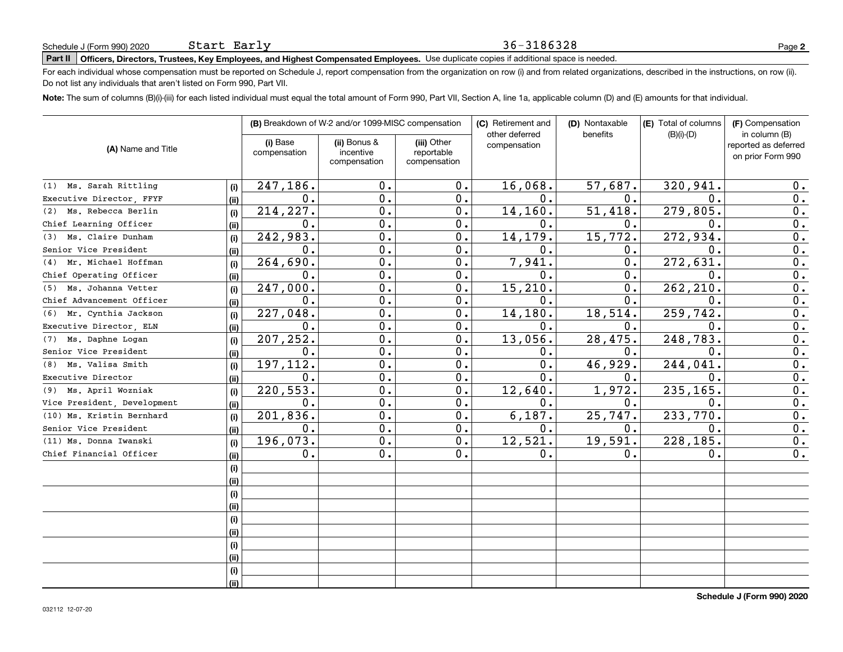#### 36-3186328

**2**

# **Part II Officers, Directors, Trustees, Key Employees, and Highest Compensated Employees.**  Schedule J (Form 990) 2020 Page Use duplicate copies if additional space is needed.

For each individual whose compensation must be reported on Schedule J, report compensation from the organization on row (i) and from related organizations, described in the instructions, on row (ii). Do not list any individuals that aren't listed on Form 990, Part VII.

**Note:**  The sum of columns (B)(i)-(iii) for each listed individual must equal the total amount of Form 990, Part VII, Section A, line 1a, applicable column (D) and (E) amounts for that individual.

|                             |      |                          | (B) Breakdown of W-2 and/or 1099-MISC compensation |                                           | (C) Retirement and             | (D) Nontaxable | (E) Total of columns | (F) Compensation                                           |
|-----------------------------|------|--------------------------|----------------------------------------------------|-------------------------------------------|--------------------------------|----------------|----------------------|------------------------------------------------------------|
| (A) Name and Title          |      | (i) Base<br>compensation | (ii) Bonus &<br>incentive<br>compensation          | (iii) Other<br>reportable<br>compensation | other deferred<br>compensation | benefits       | $(B)(i)-(D)$         | in column (B)<br>reported as deferred<br>on prior Form 990 |
| (1) Ms. Sarah Rittling      | (i)  | 247,186.                 | 0.                                                 | 0.                                        | 16,068.                        | 57,687.        | 320,941.             | 0.                                                         |
| Executive Director, FFYF    | (i)  | 0.                       | 0.                                                 | 0.                                        | 0.                             | 0.             | 0.                   | 0.                                                         |
| Ms. Rebecca Berlin<br>(2)   | (i)  | 214,227.                 | 0.                                                 | 0.                                        | 14,160.                        | 51,418.        | 279,805.             | 0.                                                         |
| Chief Learning Officer      | (ii) | 0.                       | 0.                                                 | 0.                                        | 0.                             | 0.             | 0.                   | 0.                                                         |
| Ms. Claire Dunham<br>(3)    | (i)  | 242,983.                 | 0.                                                 | 0.                                        | 14,179.                        | 15,772.        | 272,934.             | 0.                                                         |
| Senior Vice President       | (i)  | 0.                       | 0.                                                 | 0.                                        | 0.                             | 0.             | 0.                   | 0.                                                         |
| Mr. Michael Hoffman<br>(4)  | (i)  | 264,690.                 | 0.                                                 | 0.                                        | 7,941                          | 0.             | 272,631.             | 0.                                                         |
| Chief Operating Officer     | (ii) | 0.                       | 0.                                                 | 0.                                        | 0.                             | 0.             | 0.                   | $\mathbf 0$ .                                              |
| Ms. Johanna Vetter<br>(5)   | (i)  | 247,000.                 | 0.                                                 | 0.                                        | 15, 210.                       | 0.             | 262,210.             | 0.                                                         |
| Chief Advancement Officer   | (ii) | 0.                       | 0.                                                 | 0.                                        | 0.                             | 0.             | 0.                   | $0$ .                                                      |
| Mr. Cynthia Jackson<br>(6)  | (i)  | 227,048.                 | 0.                                                 | 0.                                        | 14,180.                        | 18,514.        | 259, 742.            | $0$ .                                                      |
| Executive Director, ELN     | (ii) | 0.                       | $0$ .                                              | 0.                                        | 0.                             | 0.             | 0.                   | 0.                                                         |
| Ms. Daphne Logan<br>(7)     | (i)  | 207,252.                 | $0$ .                                              | 0.                                        | 13,056.                        | 28,475.        | 248,783.             | $\mathbf 0$ .                                              |
| Senior Vice President       | (ii) | 0.                       | 0.                                                 | 0.                                        | 0.                             | 0.             | 0.                   | 0.                                                         |
| Ms. Valisa Smith<br>(8)     | (i)  | 197,112.                 | 0.                                                 | 0.                                        | 0.                             | 46,929.        | 244,041              | $\mathbf 0$ .                                              |
| Executive Director          | (i)  | 0.                       | $0$ .                                              | 0.                                        | 0.                             | 0.             | 0.                   | $\mathbf 0$ .                                              |
| Ms. April Wozniak<br>(9)    | (i)  | 220,553.                 | $0$ .                                              | 0.                                        | 12,640.                        | 1,972.         | 235,165.             | 0.                                                         |
| Vice President, Development | (i)  | 0.                       | $0$ .                                              | 0.                                        | 0.                             | 0.             | 0.                   | 0.                                                         |
| (10) Ms. Kristin Bernhard   | (i)  | 201,836.                 | 0.                                                 | 0.                                        | 6, 187.                        | 25,747.        | 233,770.             | 0.                                                         |
| Senior Vice President       | (ii) | 0.                       | 0.                                                 | 0.                                        | 0.                             | 0.             | 0.                   | 0.                                                         |
| (11) Ms. Donna Iwanski      | (i)  | 196,073.                 | 0.                                                 | 0.                                        | 12,521.                        | 19,591.        | 228,185.             | $\mathbf 0$ .                                              |
| Chief Financial Officer     | (ii) | 0.                       | 0.                                                 | 0.                                        | 0.                             | 0.             | 0.                   | $\mathbf 0$ .                                              |
|                             | (i)  |                          |                                                    |                                           |                                |                |                      |                                                            |
|                             | (i)  |                          |                                                    |                                           |                                |                |                      |                                                            |
|                             | (i)  |                          |                                                    |                                           |                                |                |                      |                                                            |
|                             | (i)  |                          |                                                    |                                           |                                |                |                      |                                                            |
|                             | (i)  |                          |                                                    |                                           |                                |                |                      |                                                            |
|                             | (i)  |                          |                                                    |                                           |                                |                |                      |                                                            |
|                             | (i)  |                          |                                                    |                                           |                                |                |                      |                                                            |
|                             | (i)  |                          |                                                    |                                           |                                |                |                      |                                                            |
|                             | (i)  |                          |                                                    |                                           |                                |                |                      |                                                            |
|                             | (ii) |                          |                                                    |                                           |                                |                |                      |                                                            |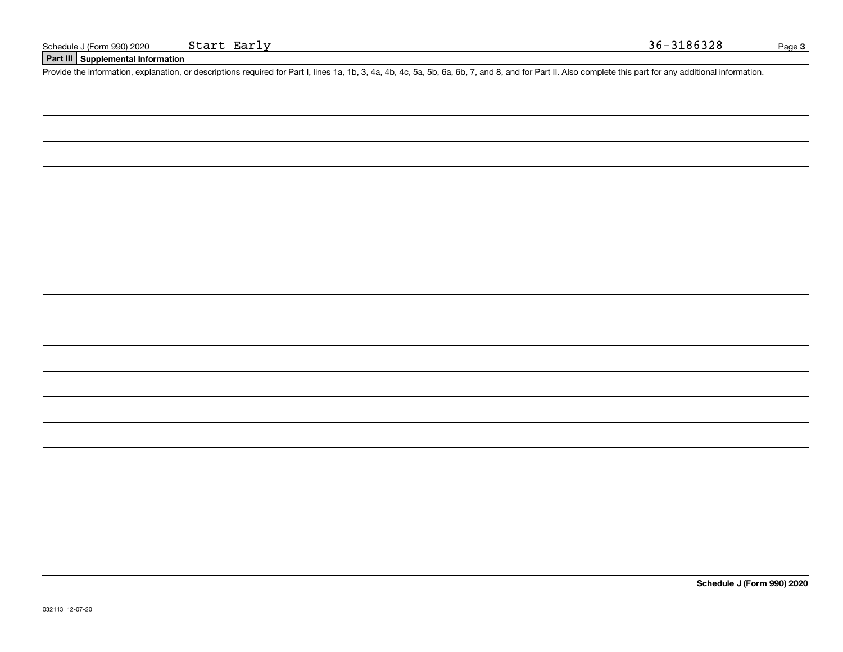### **Part III Supplemental Information**

Schedule J (Form 990) 2020 Start Early 36-3186328<br>
Part III Supplemental Information<br>
Provide the information, explanation, or descriptions required for Part I, lines 1a, 1b, 3, 4a, 4b, 4c, 5a, 5b, 6a, 6b, 7, and 8, and fo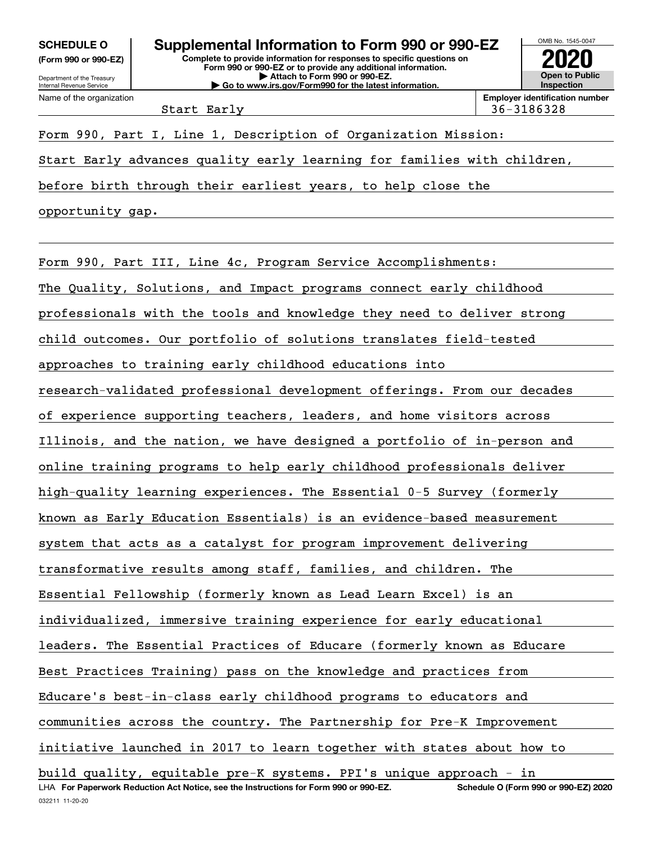**(Form 990 or 990-EZ)**



Start Early 36-3186328

Form 990, Part I, Line 1, Description of Organization Mission:

Start Early advances quality early learning for families with children,

before birth through their earliest years, to help close the

opportunity gap.

LHA For Paperwork Reduction Act Notice, see the Instructions for Form 990 or 990-EZ. Schedule O (Form 990 or 990-EZ) 2020 Form 990, Part III, Line 4c, Program Service Accomplishments: The Quality, Solutions, and Impact programs connect early childhood professionals with the tools and knowledge they need to deliver strong child outcomes. Our portfolio of solutions translates field-tested approaches to training early childhood educations into research-validated professional development offerings. From our decades of experience supporting teachers, leaders, and home visitors across Illinois, and the nation, we have designed a portfolio of in-person and online training programs to help early childhood professionals deliver high-quality learning experiences. The Essential 0-5 Survey (formerly known as Early Education Essentials) is an evidence-based measurement system that acts as a catalyst for program improvement delivering transformative results among staff, families, and children. The Essential Fellowship (formerly known as Lead Learn Excel) is an individualized, immersive training experience for early educational leaders. The Essential Practices of Educare (formerly known as Educare Best Practices Training) pass on the knowledge and practices from Educare's best-in-class early childhood programs to educators and communities across the country. The Partnership for Pre-K Improvement initiative launched in 2017 to learn together with states about how to build quality, equitable pre-K systems. PPI's unique approach - in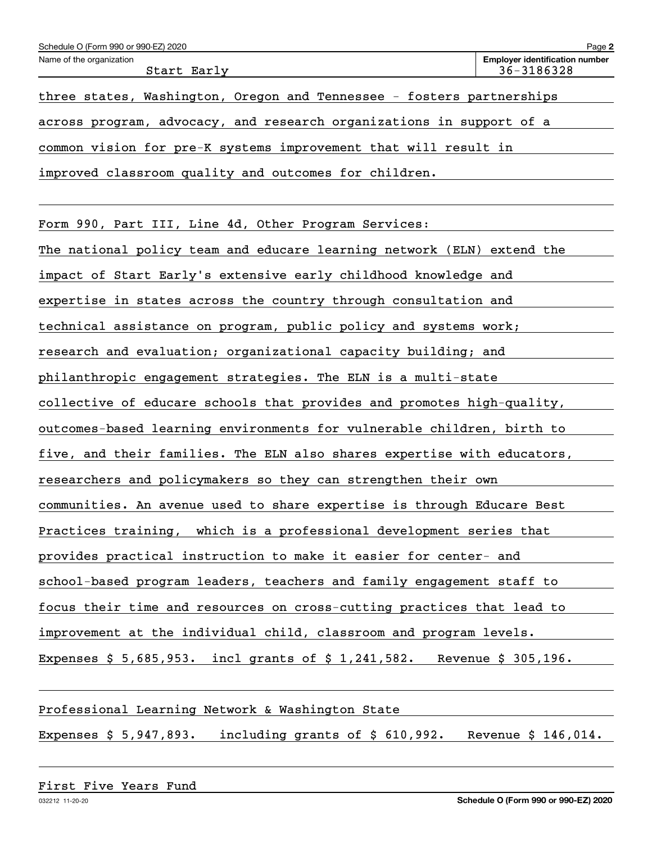| Schedule O (Form 990 or 990-EZ) 2020                                  | Page 2                                              |
|-----------------------------------------------------------------------|-----------------------------------------------------|
| Name of the organization<br>Start Early                               | <b>Employer identification number</b><br>36-3186328 |
| three states, Washington, Oregon and Tennessee - fosters partnerships |                                                     |
| across program, advocacy, and research organizations in support of a  |                                                     |
| common vision for pre-K systems improvement that will result in       |                                                     |
| improved classroom quality and outcomes for children.                 |                                                     |

Form 990, Part III, Line 4d, Other Program Services:

The national policy team and educare learning network (ELN) extend the impact of Start Early's extensive early childhood knowledge and expertise in states across the country through consultation and technical assistance on program, public policy and systems work; research and evaluation; organizational capacity building; and philanthropic engagement strategies. The ELN is a multi-state collective of educare schools that provides and promotes high-quality, outcomes-based learning environments for vulnerable children, birth to five, and their families. The ELN also shares expertise with educators, researchers and policymakers so they can strengthen their own communities. An avenue used to share expertise is through Educare Best Practices training, which is a professional development series that provides practical instruction to make it easier for center- and school-based program leaders, teachers and family engagement staff to focus their time and resources on cross-cutting practices that lead to improvement at the individual child, classroom and program levels. Expenses \$ 5,685,953. incl grants of \$ 1,241,582. Revenue \$ 305,196.

Professional Learning Network & Washington State

Expenses  $$5,947,893.$  including grants of  $$610,992.$  Revenue  $$146,014.$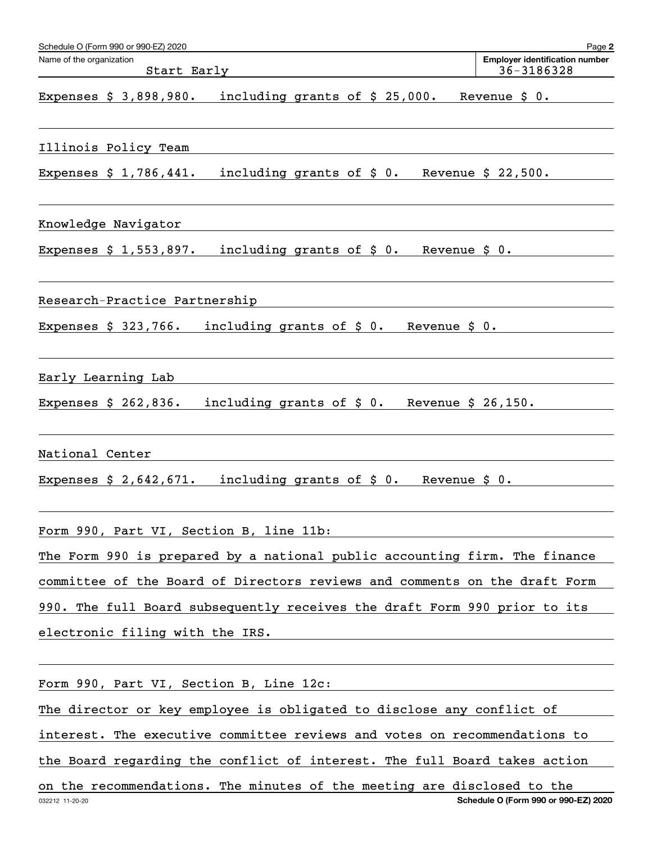| Schedule O (Form 990 or 990-EZ) 2020                                                                | Page 2                                              |
|-----------------------------------------------------------------------------------------------------|-----------------------------------------------------|
| Name of the organization<br>Start Early                                                             | <b>Employer identification number</b><br>36-3186328 |
| including grants of \$ 25,000.<br>Expenses $$3,898,980.$                                            | Revenue $$0.$                                       |
| Illinois Policy Team                                                                                |                                                     |
| including grants of \$ 0.<br>Expenses $$1,786,441.$                                                 | Revenue $$22,500.$                                  |
| Knowledge Navigator                                                                                 |                                                     |
| Expenses $$1,553,897.$<br>including grants of \$ 0.<br>Revenue $$0.$                                |                                                     |
| Research-Practice Partnership                                                                       |                                                     |
| including grants of $\sharp$ 0.<br>Expenses $$323,766$ .<br>Revenue $\sharp$ 0.                     |                                                     |
| Early Learning Lab<br>including grants of $\sharp$ 0.<br>Expenses $$262,836.$<br>Revenue $$26,150.$ |                                                     |
| National Center<br>including grants of \$ 0.<br>Expenses $$2,642,671.$<br>Revenue $$0.$             |                                                     |
| Form 990, Part VI, Section B, line 11b:                                                             |                                                     |
| The Form 990 is prepared by a national public accounting firm. The finance                          |                                                     |
| committee of the Board of Directors reviews and comments on the draft Form                          |                                                     |
| 990. The full Board subsequently receives the draft Form 990 prior to its                           |                                                     |
| electronic filing with the IRS.                                                                     |                                                     |
| Form 990, Part VI, Section B, Line 12c:                                                             |                                                     |
| The director or key employee is obligated to disclose any conflict of                               |                                                     |
| interest. The executive committee reviews and votes on recommendations to                           |                                                     |
| the Board regarding the conflict of interest. The full Board takes action                           |                                                     |
| on the recommendations. The minutes of the meeting are disclosed to the<br>032212 11-20-20          | Schedule O (Form 990 or 990-EZ) 2020                |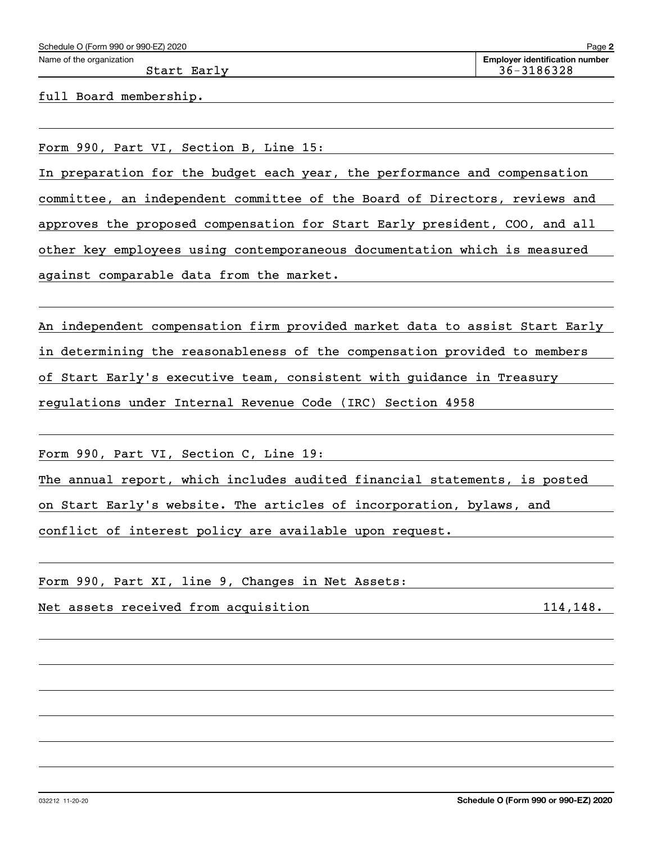Start Early 36-3186328

full Board membership.

Form 990, Part VI, Section B, Line 15:

In preparation for the budget each year, the performance and compensation committee, an independent committee of the Board of Directors, reviews and approves the proposed compensation for Start Early president, COO, and all other key employees using contemporaneous documentation which is measured against comparable data from the market.

An independent compensation firm provided market data to assist Start Early in determining the reasonableness of the compensation provided to members of Start Early's executive team, consistent with guidance in Treasury regulations under Internal Revenue Code (IRC) Section 4958

Form 990, Part VI, Section C, Line 19: The annual report, which includes audited financial statements, is posted on Start Early's website. The articles of incorporation, bylaws, and conflict of interest policy are available upon request.

Form 990, Part XI, line 9, Changes in Net Assets:

Net assets received from acquisition 114,148.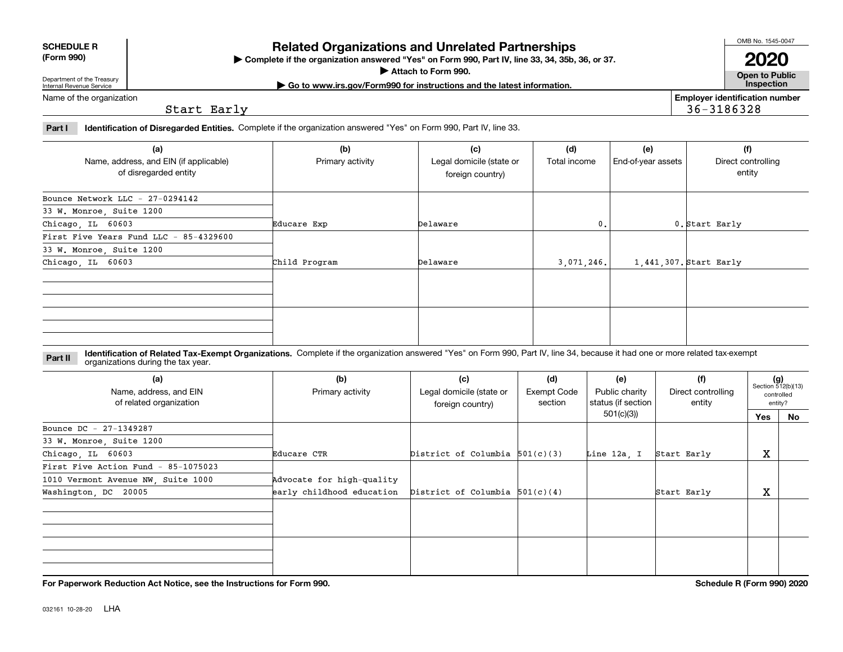| <b>SCHEDULE R</b> |
|-------------------|
| ----              |

**(Form 990)**

## **Related Organizations and Unrelated Partnerships**

**Complete if the organization answered "Yes" on Form 990, Part IV, line 33, 34, 35b, 36, or 37.** |

**Attach to Form 990.**  |

OMB No. 1545-0047 **2020**

**Open to Public**

Department of the Treasury Internal Revenue Service

**| Go to www.irs.gov/Form990 for instructions and the latest information. Inspection**

Name of the organization

Start Early

**Employer identification number** 36-3186328

**Part I Identification of Disregarded Entities.**  Complete if the organization answered "Yes" on Form 990, Part IV, line 33.

| (a)<br>Name, address, and EIN (if applicable)<br>of disregarded entity | (b)<br>Primary activity | (c)<br>Legal domicile (state or<br>foreign country) | (d)<br>Total income | (e)<br>End-of-year assets | (f)<br>Direct controlling<br>entity |
|------------------------------------------------------------------------|-------------------------|-----------------------------------------------------|---------------------|---------------------------|-------------------------------------|
| Bounce Network LLC - 27-0294142                                        |                         |                                                     |                     |                           |                                     |
| 33 W. Monroe, Suite 1200                                               |                         |                                                     |                     |                           |                                     |
| Chicago, IL 60603                                                      | Educare Exp             | Delaware                                            | 0.                  |                           | 0. Start Early                      |
| First Five Years Fund LLC - $85-4329600$                               |                         |                                                     |                     |                           |                                     |
| 33 W. Monroe, Suite 1200                                               |                         |                                                     |                     |                           |                                     |
| Chicago IL 60603                                                       | Child Program           | Delaware                                            | 3,071,246.          |                           | 1,441,307. Start Early              |
|                                                                        |                         |                                                     |                     |                           |                                     |
|                                                                        |                         |                                                     |                     |                           |                                     |

**Identification of Related Tax-Exempt Organizations.** Complete if the organization answered "Yes" on Form 990, Part IV, line 34, because it had one or more related tax-exempt **Part II** organizations during the tax year.

| (a)<br>Name, address, and EIN<br>of related organization | (b)<br>Primary activity   | (c)<br>Legal domicile (state or<br>foreign country) | (d)<br><b>Exempt Code</b><br>section | (e)<br>Public charity<br>status (if section | (f)<br>Direct controlling<br>entity |     | $(g)$<br>Section 512(b)(13)<br>controlled<br>entity? |
|----------------------------------------------------------|---------------------------|-----------------------------------------------------|--------------------------------------|---------------------------------------------|-------------------------------------|-----|------------------------------------------------------|
|                                                          |                           |                                                     |                                      | 501(c)(3)                                   |                                     | Yes | No                                                   |
| Bounce DC - 27-1349287                                   |                           |                                                     |                                      |                                             |                                     |     |                                                      |
| 33 W. Monroe, Suite 1200                                 |                           |                                                     |                                      |                                             |                                     |     |                                                      |
| Chicago, IL 60603                                        | Educare CTR               | District of Columbia $501(c)(3)$                    |                                      | Line $12a$ , I                              | Start Early                         | X   |                                                      |
| First Five Action Fund - 85-1075023                      |                           |                                                     |                                      |                                             |                                     |     |                                                      |
| 1010 Vermont Avenue NW, Suite 1000                       | Advocate for high-quality |                                                     |                                      |                                             |                                     |     |                                                      |
| Washington, DC 20005                                     | early childhood education | District of Columbia $501(c)(4)$                    |                                      |                                             | Start Early                         | X   |                                                      |
|                                                          |                           |                                                     |                                      |                                             |                                     |     |                                                      |
|                                                          |                           |                                                     |                                      |                                             |                                     |     |                                                      |
|                                                          |                           |                                                     |                                      |                                             |                                     |     |                                                      |
|                                                          |                           |                                                     |                                      |                                             |                                     |     |                                                      |

**For Paperwork Reduction Act Notice, see the Instructions for Form 990. Schedule R (Form 990) 2020**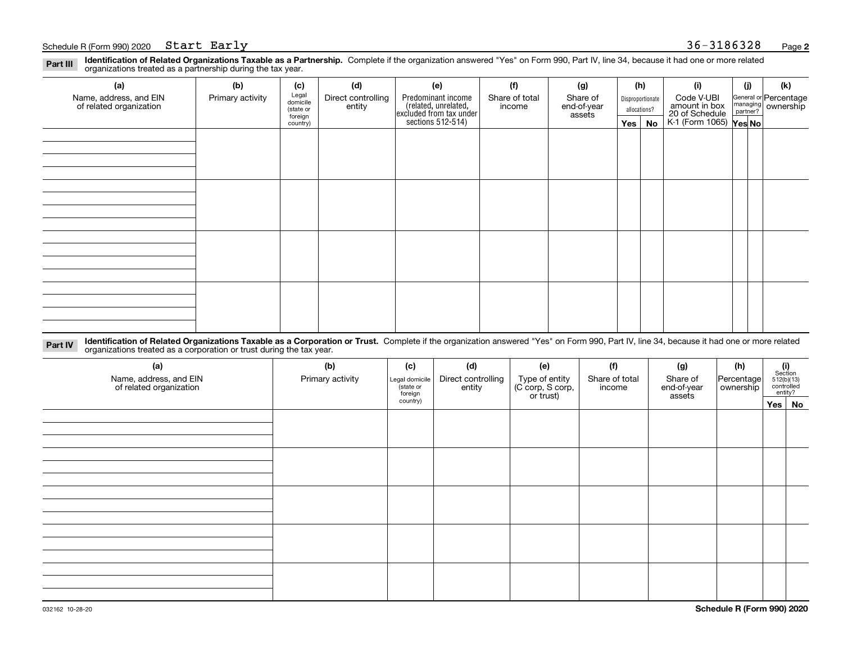**Identification of Related Organizations Taxable as a Partnership.** Complete if the organization answered "Yes" on Form 990, Part IV, line 34, because it had one or more related **Part III** organizations treated as a partnership during the tax year.

| (a)                                               | (b)              | (c)                                       | (d)                          | (e)                                                                                        | (f)                      | (g)                               |            | (h)                              | (i)                                                                              | (i) | (k)                                         |  |  |  |  |  |  |  |  |  |
|---------------------------------------------------|------------------|-------------------------------------------|------------------------------|--------------------------------------------------------------------------------------------|--------------------------|-----------------------------------|------------|----------------------------------|----------------------------------------------------------------------------------|-----|---------------------------------------------|--|--|--|--|--|--|--|--|--|
| Name, address, and EIN<br>of related organization | Primary activity | Legal<br>domicile<br>(state or<br>foreign | Direct controlling<br>entity | Predominant income<br>(related, unrelated,<br>excluded from tax under<br>sections 512-514) | Share of total<br>income | Share of<br>end-of-year<br>assets |            | Disproportionate<br>allocations? | Code V-UBI<br>amount in box<br>20 of Schedule Partner?<br>K-1 (Form 1065) Yes No |     | General or Percentage<br>managing ownership |  |  |  |  |  |  |  |  |  |
|                                                   |                  | country)                                  |                              |                                                                                            |                          |                                   | $Yes \mid$ | No                               |                                                                                  |     |                                             |  |  |  |  |  |  |  |  |  |
|                                                   |                  |                                           |                              |                                                                                            |                          |                                   |            |                                  |                                                                                  |     |                                             |  |  |  |  |  |  |  |  |  |
|                                                   |                  |                                           |                              |                                                                                            |                          |                                   |            |                                  |                                                                                  |     |                                             |  |  |  |  |  |  |  |  |  |
|                                                   |                  |                                           |                              |                                                                                            |                          |                                   |            |                                  |                                                                                  |     |                                             |  |  |  |  |  |  |  |  |  |
|                                                   |                  |                                           |                              |                                                                                            |                          |                                   |            |                                  |                                                                                  |     |                                             |  |  |  |  |  |  |  |  |  |
|                                                   |                  |                                           |                              |                                                                                            |                          |                                   |            |                                  |                                                                                  |     |                                             |  |  |  |  |  |  |  |  |  |
|                                                   |                  |                                           |                              |                                                                                            |                          |                                   |            |                                  |                                                                                  |     |                                             |  |  |  |  |  |  |  |  |  |
|                                                   |                  |                                           |                              |                                                                                            |                          |                                   |            |                                  |                                                                                  |     |                                             |  |  |  |  |  |  |  |  |  |
|                                                   |                  |                                           |                              |                                                                                            |                          |                                   |            |                                  |                                                                                  |     |                                             |  |  |  |  |  |  |  |  |  |
|                                                   |                  |                                           |                              |                                                                                            |                          |                                   |            |                                  |                                                                                  |     |                                             |  |  |  |  |  |  |  |  |  |
|                                                   |                  |                                           |                              |                                                                                            |                          |                                   |            |                                  |                                                                                  |     |                                             |  |  |  |  |  |  |  |  |  |
|                                                   |                  |                                           |                              |                                                                                            |                          |                                   |            |                                  |                                                                                  |     |                                             |  |  |  |  |  |  |  |  |  |
|                                                   |                  |                                           |                              |                                                                                            |                          |                                   |            |                                  |                                                                                  |     |                                             |  |  |  |  |  |  |  |  |  |
|                                                   |                  |                                           |                              |                                                                                            |                          |                                   |            |                                  |                                                                                  |     |                                             |  |  |  |  |  |  |  |  |  |
|                                                   |                  |                                           |                              |                                                                                            |                          |                                   |            |                                  |                                                                                  |     |                                             |  |  |  |  |  |  |  |  |  |
|                                                   |                  |                                           |                              |                                                                                            |                          |                                   |            |                                  |                                                                                  |     |                                             |  |  |  |  |  |  |  |  |  |
|                                                   |                  |                                           |                              |                                                                                            |                          |                                   |            |                                  |                                                                                  |     |                                             |  |  |  |  |  |  |  |  |  |

**Identification of Related Organizations Taxable as a Corporation or Trust.** Complete if the organization answered "Yes" on Form 990, Part IV, line 34, because it had one or more related **Part IV** organizations treated as a corporation or trust during the tax year.

| (a)<br>Name, address, and EIN<br>of related organization | (b)<br>Primary activity | (c)<br>Legal domicile<br>(state or<br>foreign | (d)<br>Direct controlling<br>entity | (e)<br>Type of entity<br>(C corp, S corp,<br>or trust) | (f)<br>Share of total<br>income | (g)<br>Share of<br>end-of-year<br>assets | (h)<br>Percentage<br>ownership | $\begin{array}{c} \textbf{(i)}\\ \text{Section}\\ 512 \text{(b)} \text{(13)}\\ \text{controlled} \\ \text{entity?} \end{array}$ |
|----------------------------------------------------------|-------------------------|-----------------------------------------------|-------------------------------------|--------------------------------------------------------|---------------------------------|------------------------------------------|--------------------------------|---------------------------------------------------------------------------------------------------------------------------------|
|                                                          |                         | country)                                      |                                     |                                                        |                                 |                                          |                                | Yes   No                                                                                                                        |
|                                                          |                         |                                               |                                     |                                                        |                                 |                                          |                                |                                                                                                                                 |
|                                                          |                         |                                               |                                     |                                                        |                                 |                                          |                                |                                                                                                                                 |
|                                                          |                         |                                               |                                     |                                                        |                                 |                                          |                                |                                                                                                                                 |
|                                                          |                         |                                               |                                     |                                                        |                                 |                                          |                                |                                                                                                                                 |
|                                                          |                         |                                               |                                     |                                                        |                                 |                                          |                                |                                                                                                                                 |
|                                                          |                         |                                               |                                     |                                                        |                                 |                                          |                                |                                                                                                                                 |
|                                                          |                         |                                               |                                     |                                                        |                                 |                                          |                                |                                                                                                                                 |
|                                                          |                         |                                               |                                     |                                                        |                                 |                                          |                                |                                                                                                                                 |
|                                                          |                         |                                               |                                     |                                                        |                                 |                                          |                                |                                                                                                                                 |
|                                                          |                         |                                               |                                     |                                                        |                                 |                                          |                                |                                                                                                                                 |
|                                                          |                         |                                               |                                     |                                                        |                                 |                                          |                                |                                                                                                                                 |
|                                                          |                         |                                               |                                     |                                                        |                                 |                                          |                                |                                                                                                                                 |
|                                                          |                         |                                               |                                     |                                                        |                                 |                                          |                                |                                                                                                                                 |
|                                                          |                         |                                               |                                     |                                                        |                                 |                                          |                                |                                                                                                                                 |
|                                                          |                         |                                               |                                     |                                                        |                                 |                                          |                                |                                                                                                                                 |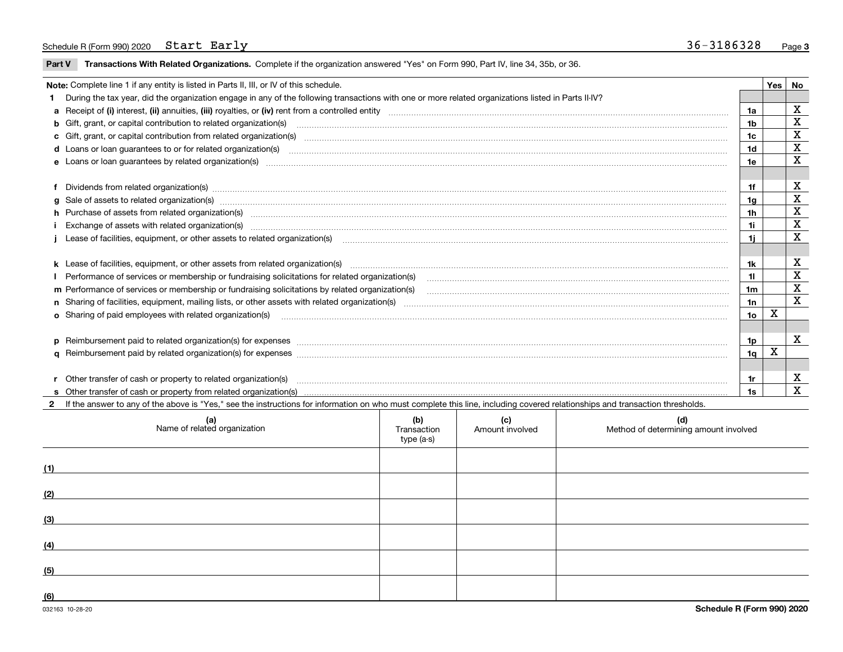$\overline{\phantom{a}}$ 

**Part V** T**ransactions With Related Organizations.** Complete if the organization answered "Yes" on Form 990, Part IV, line 34, 35b, or 36.

| Yes<br>Note: Complete line 1 if any entity is listed in Parts II, III, or IV of this schedule. |                                                                                                                                                                                                                                |                |   |              |  |
|------------------------------------------------------------------------------------------------|--------------------------------------------------------------------------------------------------------------------------------------------------------------------------------------------------------------------------------|----------------|---|--------------|--|
|                                                                                                | 1 During the tax year, did the organization engage in any of the following transactions with one or more related organizations listed in Parts II-IV?                                                                          |                |   |              |  |
|                                                                                                |                                                                                                                                                                                                                                | 1a             |   | X            |  |
|                                                                                                | b Gift, grant, or capital contribution to related organization(s) material contracts and contribution to related organization(s)                                                                                               | 1b             |   | X            |  |
|                                                                                                | c Gift, grant, or capital contribution from related organization(s) manufaction contribution from related organization(s) manufaction contribution from related organization(s) manufaction contribution from related organiza | 1c             |   | X            |  |
|                                                                                                | <b>d</b> Loans or loan quarantees to or for related organization(s)                                                                                                                                                            | 1d             |   | х            |  |
|                                                                                                |                                                                                                                                                                                                                                | 1e             |   | X            |  |
|                                                                                                |                                                                                                                                                                                                                                |                |   |              |  |
|                                                                                                | f Dividends from related organization(s) machinesis and content to the control of the control of the control of the content of the control of the content of the content of the content of the content of the content of the c | 1f             |   | х            |  |
|                                                                                                | $g$ Sale of assets to related organization(s) $\ldots$                                                                                                                                                                         | 1g             |   | X            |  |
|                                                                                                | h Purchase of assets from related organization(s) manufactured and content to content the content of assets from related organization(s)                                                                                       | 1 <sub>h</sub> |   | $\mathbf X$  |  |
|                                                                                                | Exchange of assets with related organization(s) www.wallen.com/www.wallen.com/www.wallen.com/www.wallen.com/www.wallen.com/www.wallen.com/www.wallen.com/www.wallen.com/www.wallen.com/www.wallen.com/www.wallen.com/www.walle | 1i.            |   | $\mathbf X$  |  |
|                                                                                                | Lease of facilities, equipment, or other assets to related organization(s) contraction contraction control and the set of facilities, equipment, or other assets to related organization(s) contraction control and the set of | 1i.            |   | х            |  |
|                                                                                                |                                                                                                                                                                                                                                |                |   |              |  |
|                                                                                                |                                                                                                                                                                                                                                | 1k             |   | х            |  |
|                                                                                                |                                                                                                                                                                                                                                | 11             |   | X            |  |
|                                                                                                | m Performance of services or membership or fundraising solicitations by related organization(s)                                                                                                                                | 1m             |   | X            |  |
|                                                                                                |                                                                                                                                                                                                                                | 1n             |   | X            |  |
|                                                                                                | <b>o</b> Sharing of paid employees with related organization(s)                                                                                                                                                                | 1о             | X |              |  |
|                                                                                                |                                                                                                                                                                                                                                |                |   |              |  |
|                                                                                                | p Reimbursement paid to related organization(s) for expenses [1111] and the content of the content of the content of the content of the content of the content of the content of the content of the content of the content of  | 1p             |   | $\mathbf{x}$ |  |
|                                                                                                |                                                                                                                                                                                                                                | 1 <sub>q</sub> | х |              |  |
|                                                                                                |                                                                                                                                                                                                                                |                |   |              |  |
|                                                                                                | r Other transfer of cash or property to related organization(s)                                                                                                                                                                | 1r             |   | х            |  |
|                                                                                                |                                                                                                                                                                                                                                | 1s             |   | х            |  |
|                                                                                                | 2 If the answer to any of the above is "Yes," see the instructions for information on who must complete this line, including covered relationships and transaction thresholds.                                                 |                |   |              |  |

| (a)<br>Name of related organization | (b)<br>Transaction<br>type (a-s) | (c)<br>Amount involved | (d)<br>Method of determining amount involved |
|-------------------------------------|----------------------------------|------------------------|----------------------------------------------|
| (1)                                 |                                  |                        |                                              |
| (2)                                 |                                  |                        |                                              |
| (3)                                 |                                  |                        |                                              |
| (4)                                 |                                  |                        |                                              |
| (5)                                 |                                  |                        |                                              |
| (6)                                 |                                  |                        |                                              |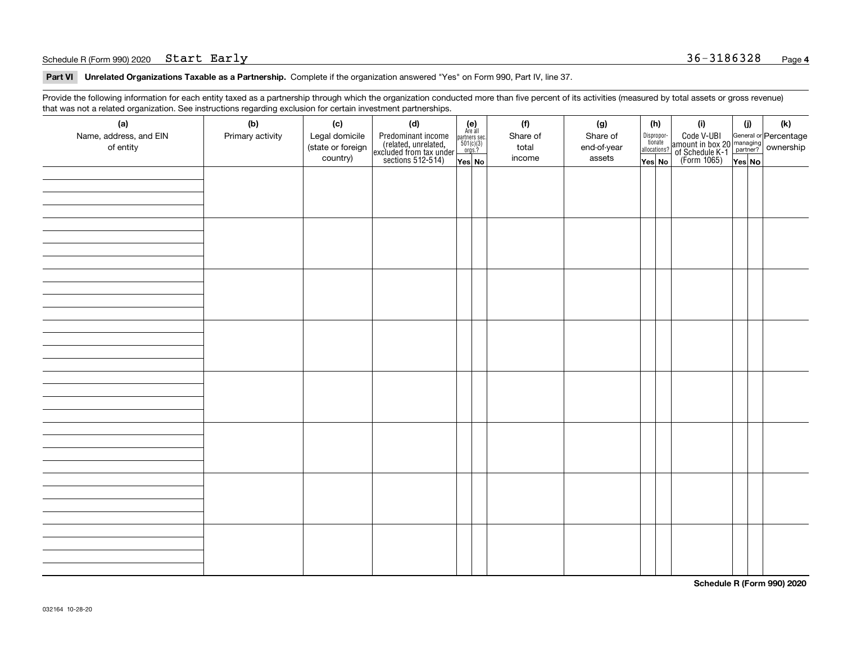**Part VI Unrelated Organizations Taxable as a Partnership. Complete if the organization answered "Yes" on Form 990, Part IV, line 37.** 

Provide the following information for each entity taxed as a partnership through which the organization conducted more than five percent of its activities (measured by total assets or gross revenue) that was not a related organization. See instructions regarding exclusion for certain investment partnerships.

| $\overline{\phantom{0}}$<br>(a)<br>Name, address, and EIN<br>of entity | ັ<br>$\overline{\phantom{a}}$<br>(b)<br>Primary activity | (c)<br>Legal domicile<br>(state or foreign<br>country) | (d)<br>Predominant income<br>(related, unrelated,<br>excluded from tax under<br>sections 512-514) | Yes No | (e)<br>Are all<br>partners sec.<br>$501(c)(3)$<br>$orgs.?$ | (f)<br>Share of<br>total<br>income | (g)<br>Share of<br>end-of-year<br>assets | (h)<br>Disproportionate<br>allocations?<br>Yes No | (i)<br>Code V-UBI<br>amount in box 20 managing<br>of Schedule K-1 partner?<br>(Form 1065)<br>ves No | (i) | $\left( \mathsf{k}\right)$ |
|------------------------------------------------------------------------|----------------------------------------------------------|--------------------------------------------------------|---------------------------------------------------------------------------------------------------|--------|------------------------------------------------------------|------------------------------------|------------------------------------------|---------------------------------------------------|-----------------------------------------------------------------------------------------------------|-----|----------------------------|
|                                                                        |                                                          |                                                        |                                                                                                   |        |                                                            |                                    |                                          |                                                   |                                                                                                     |     |                            |
|                                                                        |                                                          |                                                        |                                                                                                   |        |                                                            |                                    |                                          |                                                   |                                                                                                     |     |                            |
|                                                                        |                                                          |                                                        |                                                                                                   |        |                                                            |                                    |                                          |                                                   |                                                                                                     |     |                            |
|                                                                        |                                                          |                                                        |                                                                                                   |        |                                                            |                                    |                                          |                                                   |                                                                                                     |     |                            |
|                                                                        |                                                          |                                                        |                                                                                                   |        |                                                            |                                    |                                          |                                                   |                                                                                                     |     |                            |
|                                                                        |                                                          |                                                        |                                                                                                   |        |                                                            |                                    |                                          |                                                   |                                                                                                     |     |                            |
|                                                                        |                                                          |                                                        |                                                                                                   |        |                                                            |                                    |                                          |                                                   |                                                                                                     |     |                            |
|                                                                        |                                                          |                                                        |                                                                                                   |        |                                                            |                                    |                                          |                                                   |                                                                                                     |     |                            |